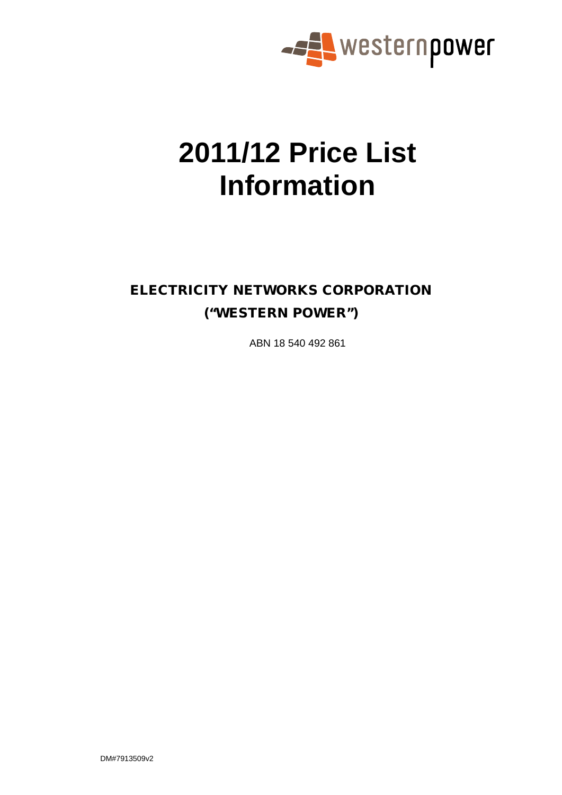

# **2011/12 Price List Information**

# ELECTRICITY NETWORKS CORPORATION ("WESTERN POWER")

ABN 18 540 492 861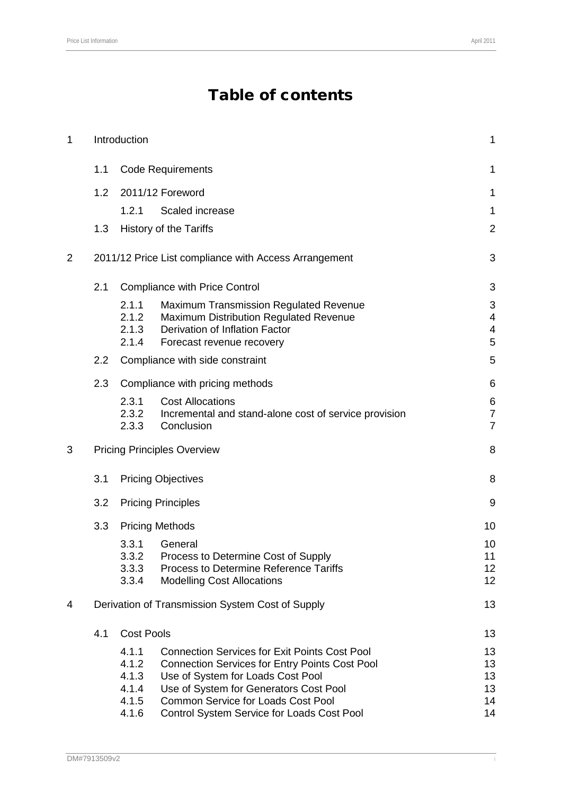# Table of contents

| 1              |                                        | Introduction              |                                                                                      | $\mathbf{1}$                              |
|----------------|----------------------------------------|---------------------------|--------------------------------------------------------------------------------------|-------------------------------------------|
|                | 1.1                                    |                           | <b>Code Requirements</b>                                                             | 1                                         |
|                | 1.2                                    |                           | 2011/12 Foreword                                                                     | 1                                         |
|                |                                        | 1.2.1                     | Scaled increase                                                                      | 1                                         |
|                | 1.3                                    |                           | <b>History of the Tariffs</b>                                                        | $\overline{2}$                            |
| $\overline{2}$ |                                        |                           | 2011/12 Price List compliance with Access Arrangement                                | 3                                         |
|                | 2.1                                    |                           | <b>Compliance with Price Control</b>                                                 | 3                                         |
|                |                                        | 2.1.1                     | <b>Maximum Transmission Regulated Revenue</b>                                        | 3                                         |
|                |                                        | 2.1.2<br>2.1.3            | Maximum Distribution Regulated Revenue<br>Derivation of Inflation Factor             | $\overline{4}$<br>$\overline{\mathbf{4}}$ |
|                |                                        | 2.1.4                     | Forecast revenue recovery                                                            | 5                                         |
|                | 2.2                                    |                           | Compliance with side constraint                                                      | 5                                         |
|                | 2.3<br>Compliance with pricing methods |                           | 6                                                                                    |                                           |
|                |                                        | 2.3.1                     | <b>Cost Allocations</b>                                                              | 6                                         |
|                |                                        | 2.3.2<br>2.3.3            | Incremental and stand-alone cost of service provision<br>Conclusion                  | $\overline{7}$<br>$\overline{7}$          |
| 3              |                                        |                           | <b>Pricing Principles Overview</b>                                                   | 8                                         |
|                | 3.1                                    |                           | <b>Pricing Objectives</b>                                                            | 8                                         |
|                |                                        |                           |                                                                                      |                                           |
|                | 3.2                                    | <b>Pricing Principles</b> | 9                                                                                    |                                           |
|                | 3.3                                    |                           | <b>Pricing Methods</b>                                                               | 10                                        |
|                |                                        | 3.3.1                     | General                                                                              | 10                                        |
|                |                                        | 3.3.2<br>3.3.3            | Process to Determine Cost of Supply<br><b>Process to Determine Reference Tariffs</b> | 11<br>12                                  |
|                |                                        | 3.3.4                     | <b>Modelling Cost Allocations</b>                                                    | 12                                        |
| 4              |                                        |                           | Derivation of Transmission System Cost of Supply                                     | 13                                        |
|                | 4.1                                    | <b>Cost Pools</b>         |                                                                                      | 13                                        |
|                |                                        | 4.1.1                     | <b>Connection Services for Exit Points Cost Pool</b>                                 | 13                                        |
|                |                                        | 4.1.2                     | <b>Connection Services for Entry Points Cost Pool</b>                                | 13                                        |
|                |                                        | 4.1.3<br>4.1.4            | Use of System for Loads Cost Pool<br>Use of System for Generators Cost Pool          | 13<br>13                                  |
|                |                                        | 4.1.5                     | <b>Common Service for Loads Cost Pool</b>                                            | 14                                        |
|                |                                        | 4.1.6                     | Control System Service for Loads Cost Pool                                           | 14                                        |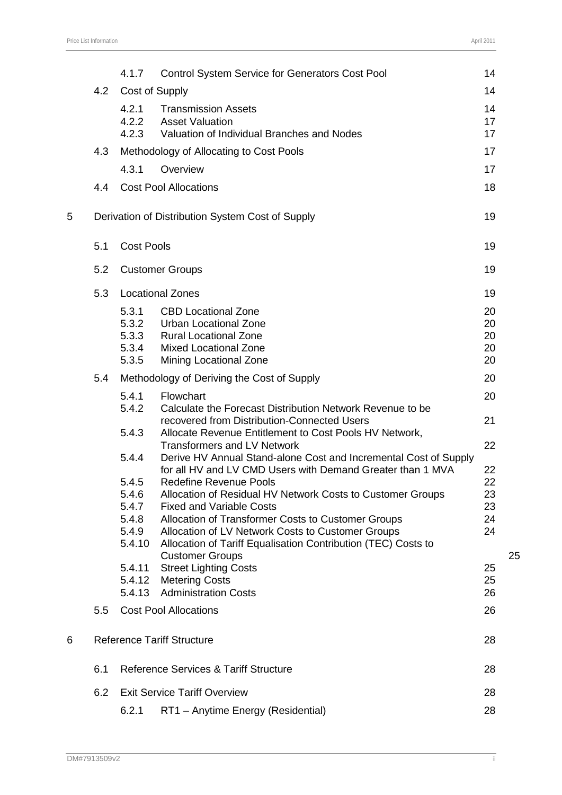|   |     | 4.1.7             | <b>Control System Service for Generators Cost Pool</b>                                       | 14       |    |
|---|-----|-------------------|----------------------------------------------------------------------------------------------|----------|----|
|   | 4.2 | Cost of Supply    |                                                                                              | 14       |    |
|   |     | 4.2.1             | <b>Transmission Assets</b>                                                                   | 14       |    |
|   |     | 4.2.2<br>4.2.3    | <b>Asset Valuation</b><br>Valuation of Individual Branches and Nodes                         | 17<br>17 |    |
|   | 4.3 |                   | Methodology of Allocating to Cost Pools                                                      | 17       |    |
|   |     | 4.3.1             | Overview                                                                                     | 17       |    |
|   | 4.4 |                   | <b>Cost Pool Allocations</b>                                                                 | 18       |    |
|   |     |                   |                                                                                              |          |    |
| 5 |     |                   | Derivation of Distribution System Cost of Supply                                             | 19       |    |
|   | 5.1 | <b>Cost Pools</b> |                                                                                              | 19       |    |
|   | 5.2 |                   | <b>Customer Groups</b>                                                                       | 19       |    |
|   | 5.3 |                   | <b>Locational Zones</b>                                                                      | 19       |    |
|   |     | 5.3.1<br>5.3.2    | <b>CBD Locational Zone</b><br>Urban Locational Zone                                          | 20       |    |
|   |     | 5.3.3             | <b>Rural Locational Zone</b>                                                                 | 20<br>20 |    |
|   |     | 5.3.4             | <b>Mixed Locational Zone</b>                                                                 | 20       |    |
|   |     | 5.3.5             | Mining Locational Zone                                                                       | 20       |    |
|   | 5.4 |                   | Methodology of Deriving the Cost of Supply                                                   | 20       |    |
|   |     | 5.4.1<br>5.4.2    | Flowchart<br>Calculate the Forecast Distribution Network Revenue to be                       | 20       |    |
|   |     |                   | recovered from Distribution-Connected Users                                                  | 21       |    |
|   |     | 5.4.3             | Allocate Revenue Entitlement to Cost Pools HV Network,<br><b>Transformers and LV Network</b> | 22       |    |
|   |     | 5.4.4             | Derive HV Annual Stand-alone Cost and Incremental Cost of Supply                             |          |    |
|   |     |                   | for all HV and LV CMD Users with Demand Greater than 1 MVA                                   | 22       |    |
|   |     | 5.4.5<br>5.4.6    | <b>Redefine Revenue Pools</b><br>Allocation of Residual HV Network Costs to Customer Groups  | 22<br>23 |    |
|   |     | 5.4.7             | <b>Fixed and Variable Costs</b>                                                              | 23       |    |
|   |     | 5.4.8             | Allocation of Transformer Costs to Customer Groups                                           | 24       |    |
|   |     | 5.4.9             | Allocation of LV Network Costs to Customer Groups                                            | 24       |    |
|   |     | 5.4.10            | Allocation of Tariff Equalisation Contribution (TEC) Costs to                                |          |    |
|   |     | 5.4.11            | <b>Customer Groups</b><br><b>Street Lighting Costs</b>                                       | 25       | 25 |
|   |     | 5.4.12            | <b>Metering Costs</b>                                                                        | 25       |    |
|   |     | 5.4.13            | <b>Administration Costs</b>                                                                  | 26       |    |
|   | 5.5 |                   | <b>Cost Pool Allocations</b>                                                                 | 26       |    |
| 6 |     |                   | <b>Reference Tariff Structure</b>                                                            | 28       |    |
|   | 6.1 |                   | <b>Reference Services &amp; Tariff Structure</b>                                             | 28       |    |
|   | 6.2 |                   | <b>Exit Service Tariff Overview</b>                                                          | 28       |    |
|   |     | 6.2.1             | RT1 - Anytime Energy (Residential)                                                           | 28       |    |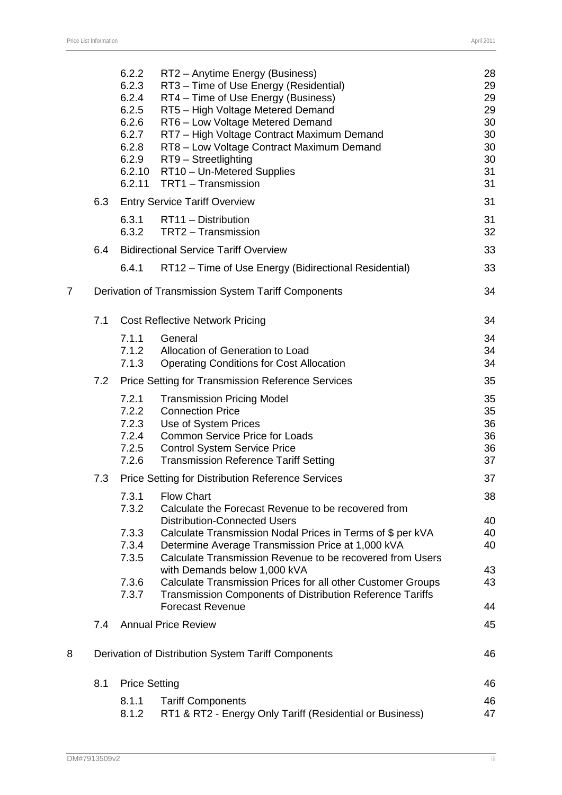|                |     | 6.2.2<br>6.2.3<br>6.2.4<br>6.2.5<br>6.2.6<br>6.2.7<br>6.2.8<br>6.2.9<br>6.2.10<br>6.2.11 | RT2 - Anytime Energy (Business)<br>RT3 - Time of Use Energy (Residential)<br>RT4 - Time of Use Energy (Business)<br>RT5 - High Voltage Metered Demand<br>RT6 - Low Voltage Metered Demand<br>RT7 - High Voltage Contract Maximum Demand<br>RT8 - Low Voltage Contract Maximum Demand<br>RT9 - Streetlighting<br>RT10 - Un-Metered Supplies<br>TRT1 - Transmission | 28<br>29<br>29<br>29<br>30<br>30<br>30<br>30<br>31<br>31 |
|----------------|-----|------------------------------------------------------------------------------------------|-------------------------------------------------------------------------------------------------------------------------------------------------------------------------------------------------------------------------------------------------------------------------------------------------------------------------------------------------------------------|----------------------------------------------------------|
|                | 6.3 |                                                                                          | <b>Entry Service Tariff Overview</b>                                                                                                                                                                                                                                                                                                                              | 31                                                       |
|                |     | 6.3.1<br>6.3.2                                                                           | RT11 - Distribution<br>TRT2 - Transmission                                                                                                                                                                                                                                                                                                                        | 31<br>32                                                 |
|                | 6.4 |                                                                                          | <b>Bidirectional Service Tariff Overview</b>                                                                                                                                                                                                                                                                                                                      | 33                                                       |
|                |     | 6.4.1                                                                                    | RT12 – Time of Use Energy (Bidirectional Residential)                                                                                                                                                                                                                                                                                                             | 33                                                       |
| $\overline{7}$ |     |                                                                                          | Derivation of Transmission System Tariff Components                                                                                                                                                                                                                                                                                                               | 34                                                       |
|                | 7.1 |                                                                                          | <b>Cost Reflective Network Pricing</b>                                                                                                                                                                                                                                                                                                                            | 34                                                       |
|                |     | 7.1.1                                                                                    | General                                                                                                                                                                                                                                                                                                                                                           | 34                                                       |
|                |     | 7.1.2<br>7.1.3                                                                           | Allocation of Generation to Load<br><b>Operating Conditions for Cost Allocation</b>                                                                                                                                                                                                                                                                               | 34<br>34                                                 |
|                | 7.2 |                                                                                          | <b>Price Setting for Transmission Reference Services</b>                                                                                                                                                                                                                                                                                                          | 35                                                       |
|                |     | 7.2.1<br>7.2.2<br>7.2.3<br>7.2.4<br>7.2.5<br>7.2.6                                       | <b>Transmission Pricing Model</b><br><b>Connection Price</b><br>Use of System Prices<br><b>Common Service Price for Loads</b><br><b>Control System Service Price</b><br><b>Transmission Reference Tariff Setting</b>                                                                                                                                              | 35<br>35<br>36<br>36<br>36<br>37                         |
|                | 7.3 |                                                                                          | <b>Price Setting for Distribution Reference Services</b>                                                                                                                                                                                                                                                                                                          | 37                                                       |
|                |     | 7.3.1<br>7.3.2                                                                           | <b>Flow Chart</b><br>Calculate the Forecast Revenue to be recovered from                                                                                                                                                                                                                                                                                          | 38                                                       |
|                |     | 7.3.3                                                                                    | <b>Distribution-Connected Users</b>                                                                                                                                                                                                                                                                                                                               | 40<br>40                                                 |
|                |     | 7.3.4<br>7.3.5                                                                           | Calculate Transmission Nodal Prices in Terms of \$ per kVA<br>Determine Average Transmission Price at 1,000 kVA<br>Calculate Transmission Revenue to be recovered from Users                                                                                                                                                                                      | 40                                                       |
|                |     |                                                                                          | with Demands below 1,000 kVA                                                                                                                                                                                                                                                                                                                                      | 43                                                       |
|                |     | 7.3.6<br>7.3.7                                                                           | Calculate Transmission Prices for all other Customer Groups<br><b>Transmission Components of Distribution Reference Tariffs</b><br><b>Forecast Revenue</b>                                                                                                                                                                                                        | 43<br>44                                                 |
|                | 7.4 |                                                                                          | <b>Annual Price Review</b>                                                                                                                                                                                                                                                                                                                                        | 45                                                       |
| 8              |     |                                                                                          | Derivation of Distribution System Tariff Components                                                                                                                                                                                                                                                                                                               | 46                                                       |
|                | 8.1 | <b>Price Setting</b>                                                                     |                                                                                                                                                                                                                                                                                                                                                                   | 46                                                       |
|                |     | 8.1.1                                                                                    | <b>Tariff Components</b>                                                                                                                                                                                                                                                                                                                                          | 46                                                       |
|                |     | 8.1.2                                                                                    | RT1 & RT2 - Energy Only Tariff (Residential or Business)                                                                                                                                                                                                                                                                                                          | 47                                                       |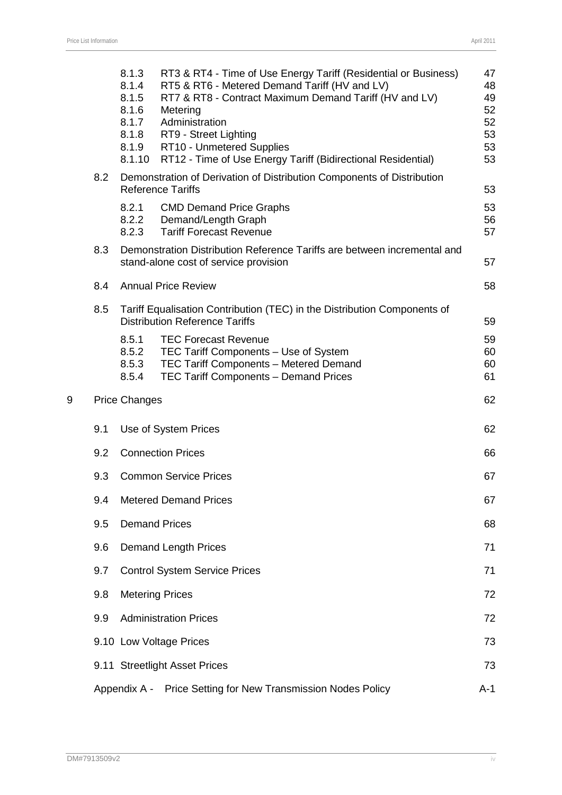|   |     | 8.1.3<br>8.1.4<br>8.1.5<br>8.1.6<br>8.1.7<br>8.1.8<br>8.1.9<br>8.1.10 | RT3 & RT4 - Time of Use Energy Tariff (Residential or Business)<br>RT5 & RT6 - Metered Demand Tariff (HV and LV)<br>RT7 & RT8 - Contract Maximum Demand Tariff (HV and LV)<br>Metering<br>Administration<br>RT9 - Street Lighting<br>RT10 - Unmetered Supplies<br>RT12 - Time of Use Energy Tariff (Bidirectional Residential) | 47<br>48<br>49<br>52<br>52<br>53<br>53<br>53 |
|---|-----|-----------------------------------------------------------------------|--------------------------------------------------------------------------------------------------------------------------------------------------------------------------------------------------------------------------------------------------------------------------------------------------------------------------------|----------------------------------------------|
|   | 8.2 |                                                                       | Demonstration of Derivation of Distribution Components of Distribution<br><b>Reference Tariffs</b>                                                                                                                                                                                                                             | 53                                           |
|   |     | 8.2.1<br>8.2.2<br>8.2.3                                               | <b>CMD Demand Price Graphs</b><br>Demand/Length Graph<br><b>Tariff Forecast Revenue</b>                                                                                                                                                                                                                                        | 53<br>56<br>57                               |
|   | 8.3 |                                                                       | Demonstration Distribution Reference Tariffs are between incremental and<br>stand-alone cost of service provision                                                                                                                                                                                                              | 57                                           |
|   | 8.4 |                                                                       | <b>Annual Price Review</b>                                                                                                                                                                                                                                                                                                     | 58                                           |
|   | 8.5 |                                                                       | Tariff Equalisation Contribution (TEC) in the Distribution Components of<br><b>Distribution Reference Tariffs</b>                                                                                                                                                                                                              | 59                                           |
|   |     | 8.5.1<br>8.5.2<br>8.5.3<br>8.5.4                                      | <b>TEC Forecast Revenue</b><br>TEC Tariff Components - Use of System<br>TEC Tariff Components - Metered Demand<br>TEC Tariff Components - Demand Prices                                                                                                                                                                        | 59<br>60<br>60<br>61                         |
| 9 |     | <b>Price Changes</b>                                                  |                                                                                                                                                                                                                                                                                                                                | 62                                           |
|   | 9.1 |                                                                       | Use of System Prices                                                                                                                                                                                                                                                                                                           | 62                                           |
|   | 9.2 |                                                                       | <b>Connection Prices</b>                                                                                                                                                                                                                                                                                                       | 66                                           |
|   | 9.3 |                                                                       | <b>Common Service Prices</b>                                                                                                                                                                                                                                                                                                   | 67                                           |
|   | 9.4 |                                                                       | <b>Metered Demand Prices</b>                                                                                                                                                                                                                                                                                                   | 67                                           |
|   | 9.5 |                                                                       | <b>Demand Prices</b>                                                                                                                                                                                                                                                                                                           | 68                                           |
|   | 9.6 |                                                                       | <b>Demand Length Prices</b>                                                                                                                                                                                                                                                                                                    | 71                                           |
|   | 9.7 |                                                                       | <b>Control System Service Prices</b>                                                                                                                                                                                                                                                                                           | 71                                           |
|   | 9.8 |                                                                       | <b>Metering Prices</b>                                                                                                                                                                                                                                                                                                         | 72                                           |
|   | 9.9 |                                                                       | <b>Administration Prices</b>                                                                                                                                                                                                                                                                                                   | 72                                           |
|   |     |                                                                       | 9.10 Low Voltage Prices                                                                                                                                                                                                                                                                                                        | 73                                           |
|   |     |                                                                       | 9.11 Streetlight Asset Prices                                                                                                                                                                                                                                                                                                  | 73                                           |
|   |     |                                                                       | Appendix A - Price Setting for New Transmission Nodes Policy                                                                                                                                                                                                                                                                   | $A-1$                                        |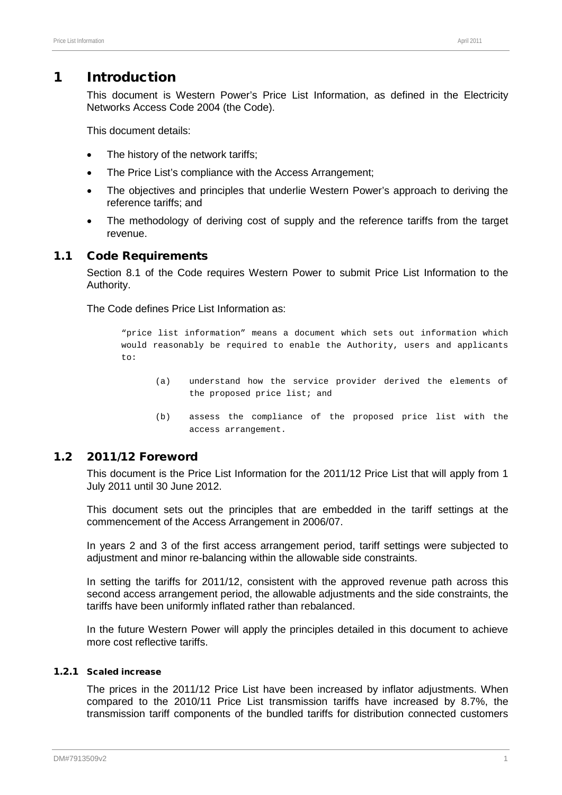# 1 Introduction

This document is Western Power's Price List Information, as defined in the Electricity Networks Access Code 2004 (the Code).

This document details:

- The history of the network tariffs;
- The Price List's compliance with the Access Arrangement;
- The objectives and principles that underlie Western Power's approach to deriving the reference tariffs; and
- The methodology of deriving cost of supply and the reference tariffs from the target revenue.

#### 1.1 Code Requirements

Section 8.1 of the Code requires Western Power to submit Price List Information to the Authority.

The Code defines Price List Information as:

"price list information" means a document which sets out information which would reasonably be required to enable the Authority, users and applicants to:

- (a) understand how the service provider derived the elements of the proposed price list; and
- (b) assess the compliance of the proposed price list with the access arrangement.

# 1.2 2011/12 Foreword

This document is the Price List Information for the 2011/12 Price List that will apply from 1 July 2011 until 30 June 2012.

This document sets out the principles that are embedded in the tariff settings at the commencement of the Access Arrangement in 2006/07.

In years 2 and 3 of the first access arrangement period, tariff settings were subjected to adjustment and minor re-balancing within the allowable side constraints.

In setting the tariffs for 2011/12, consistent with the approved revenue path across this second access arrangement period, the allowable adjustments and the side constraints, the tariffs have been uniformly inflated rather than rebalanced.

In the future Western Power will apply the principles detailed in this document to achieve more cost reflective tariffs.

#### <span id="page-5-0"></span>1.2.1 Scaled increase

The prices in the 2011/12 Price List have been increased by inflator adjustments. When compared to the 2010/11 Price List transmission tariffs have increased by 8.7%, the transmission tariff components of the bundled tariffs for distribution connected customers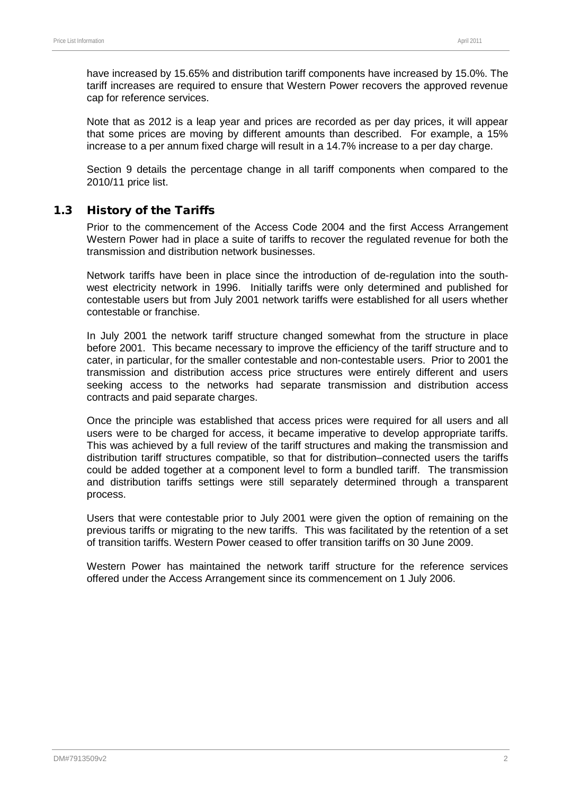have increased by 15.65% and distribution tariff components have increased by 15.0%. The tariff increases are required to ensure that Western Power recovers the approved revenue cap for reference services.

Note that as 2012 is a leap year and prices are recorded as per day prices, it will appear that some prices are moving by different amounts than described. For example, a 15% increase to a per annum fixed charge will result in a 14.7% increase to a per day charge.

Section [9](#page-66-0) details the percentage change in all tariff components when compared to the 2010/11 price list.

# 1.3 History of the Tariffs

Prior to the commencement of the Access Code 2004 and the first Access Arrangement Western Power had in place a suite of tariffs to recover the regulated revenue for both the transmission and distribution network businesses.

Network tariffs have been in place since the introduction of de-regulation into the southwest electricity network in 1996. Initially tariffs were only determined and published for contestable users but from July 2001 network tariffs were established for all users whether contestable or franchise.

In July 2001 the network tariff structure changed somewhat from the structure in place before 2001. This became necessary to improve the efficiency of the tariff structure and to cater, in particular, for the smaller contestable and non-contestable users. Prior to 2001 the transmission and distribution access price structures were entirely different and users seeking access to the networks had separate transmission and distribution access contracts and paid separate charges.

Once the principle was established that access prices were required for all users and all users were to be charged for access, it became imperative to develop appropriate tariffs. This was achieved by a full review of the tariff structures and making the transmission and distribution tariff structures compatible, so that for distribution–connected users the tariffs could be added together at a component level to form a bundled tariff. The transmission and distribution tariffs settings were still separately determined through a transparent process.

Users that were contestable prior to July 2001 were given the option of remaining on the previous tariffs or migrating to the new tariffs. This was facilitated by the retention of a set of transition tariffs. Western Power ceased to offer transition tariffs on 30 June 2009.

<span id="page-6-0"></span>Western Power has maintained the network tariff structure for the reference services offered under the Access Arrangement since its commencement on 1 July 2006.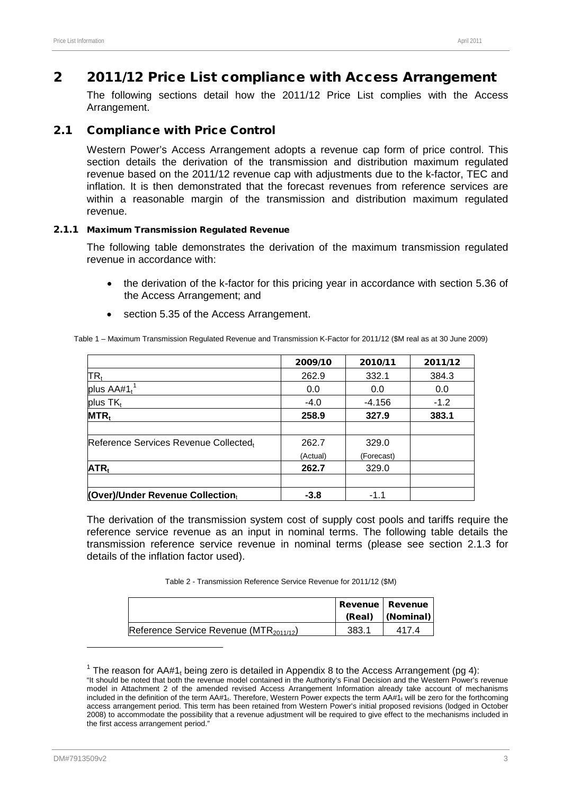# 2 2011/12 Price List compliance with Access Arrangement

The following sections detail how the 2011/12 Price List complies with the Access Arrangement.

# 2.1 Compliance with Price Control

Western Power's Access Arrangement adopts a revenue cap form of price control. This section details the derivation of the transmission and distribution maximum regulated revenue based on the 2011/12 revenue cap with adjustments due to the k-factor, TEC and inflation. It is then demonstrated that the forecast revenues from reference services are within a reasonable margin of the transmission and distribution maximum regulated revenue.

#### <span id="page-7-0"></span>2.1.1 Maximum Transmission Regulated Revenue

The following table demonstrates the derivation of the maximum transmission regulated revenue in accordance with:

- the derivation of the k-factor for this pricing year in accordance with section 5.36 of the Access Arrangement; and
- section 5.35 of the Access Arrangement.

Table 1 – Maximum Transmission Regulated Revenue and Transmission K-Factor for 2011/12 (\$M real as at 30 June 2009)

<span id="page-7-2"></span>

|                                           | 2009/10  | 2010/11    | 2011/12 |
|-------------------------------------------|----------|------------|---------|
| $\mathsf{TR}_\mathfrak{t}$                | 262.9    | 332.1      | 384.3   |
| plus $AA#1$ <sup>1</sup>                  | 0.0      | 0.0        | 0.0     |
| plus $TK_t$                               | $-4.0$   | -4.156     | $-1.2$  |
| $MTR_t$                                   | 258.9    | 327.9      | 383.1   |
|                                           |          |            |         |
| Reference Services Revenue Collected,     | 262.7    | 329.0      |         |
|                                           | (Actual) | (Forecast) |         |
| ATR <sub>t</sub>                          | 262.7    | 329.0      |         |
|                                           |          |            |         |
| <b>(Over)/Under Revenue Collectiontly</b> | $-3.8$   | $-1.1$     |         |

The derivation of the transmission system cost of supply cost pools and tariffs require the reference service revenue as an input in nominal terms. The following table details the transmission reference service revenue in nominal terms (please see section [2.1.3](#page-8-0) for details of the inflation factor used).

Table 2 - Transmission Reference Service Revenue for 2011/12 (\$M)

|                                                     |       | Revenue   Revenue<br>(Real) (Nominal) |
|-----------------------------------------------------|-------|---------------------------------------|
| Reference Service Revenue (MTR <sub>2011/12</sub> ) | 383.1 | 417.4                                 |

<span id="page-7-3"></span><sup>&</sup>lt;sup>1</sup> The reason for AA#1<sub>t</sub> being zero is detailed in Appendix 8 to the Access Arrangement (pg 4): "It should be noted that both the revenue model contained in the Authority's Final Decision and the Western Power's revenue model in Attachment 2 of the amended revised Access Arrangement Information already take account of mechanisms included in the definition of the term  $AA#1_t$ . Therefore, Western Power expects the term  $AA#1_t$  will be zero for the forthcoming access arrangement period. This term has been retained from Western Power's initial proposed revisions (lodged in October 2008) to accommodate the possibility that a revenue adjustment will be required to give effect to the mechanisms included in the first access arrangement period."

<span id="page-7-1"></span>-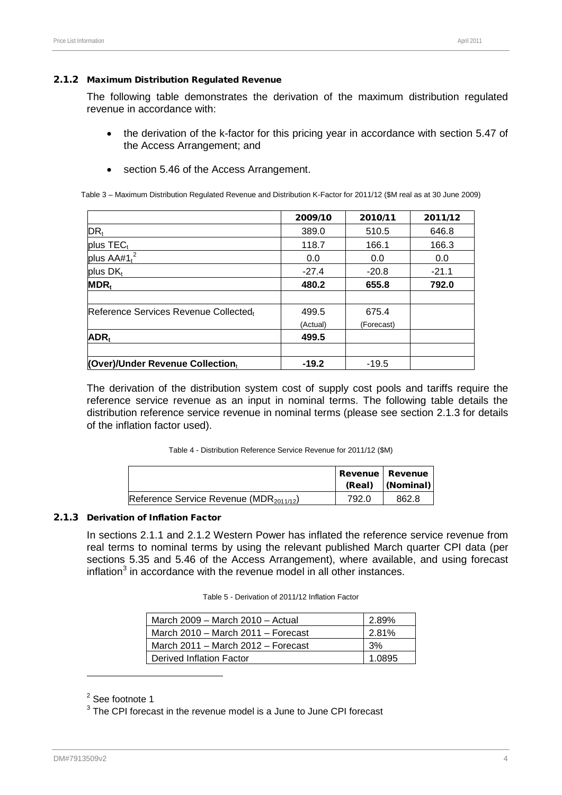#### 2.1.2 Maximum Distribution Regulated Revenue

The following table demonstrates the derivation of the maximum distribution regulated revenue in accordance with:

- the derivation of the k-factor for this pricing year in accordance with section 5.47 of the Access Arrangement; and
- section 5.46 of the Access Arrangement.

Table 3 – Maximum Distribution Regulated Revenue and Distribution K-Factor for 2011/12 (\$M real as at 30 June 2009)

|                                       | 2009/10  | 2010/11    | 2011/12 |
|---------------------------------------|----------|------------|---------|
| DR <sub>t</sub>                       | 389.0    | 510.5      | 646.8   |
| plus $TEC_t$                          | 118.7    | 166.1      | 166.3   |
| plus $AA#1t2$                         | 0.0      | 0.0        | 0.0     |
| plus $DK_t$                           | $-27.4$  | $-20.8$    | $-21.1$ |
| $MDR_t$                               | 480.2    | 655.8      | 792.0   |
| Reference Services Revenue Collectedt | 499.5    | 675.4      |         |
|                                       | (Actual) | (Forecast) |         |
| ADR <sub>t</sub>                      | 499.5    |            |         |
| (Over)/Under Revenue Collection,      | $-19.2$  | $-19.5$    |         |

The derivation of the distribution system cost of supply cost pools and tariffs require the reference service revenue as an input in nominal terms. The following table details the distribution reference service revenue in nominal terms (please see section [2.1.3](#page-8-0) for details of the inflation factor used).

| Table 4 - Distribution Reference Service Revenue for 2011/12 (\$M) |  |  |  |
|--------------------------------------------------------------------|--|--|--|
|--------------------------------------------------------------------|--|--|--|

|                                                     |       | <b>Revenue Revenue</b><br>(Real)  (Nominal) |
|-----------------------------------------------------|-------|---------------------------------------------|
| Reference Service Revenue (MDR <sub>2011/12</sub> ) | 792.0 | 862.8                                       |

#### <span id="page-8-0"></span>2.1.3 Derivation of Inflation Factor

In sections [2.1.1](#page-7-0) and [2.1.2](#page-7-1) Western Power has inflated the reference service revenue from real terms to nominal terms by using the relevant published March quarter CPI data (per sections 5.35 and 5.46 of the Access Arrangement), where available, and using forecast inflation $3$  in accordance with the revenue model in all other instances.

| Table 5 - Derivation of 2011/12 Inflation Factor |  |
|--------------------------------------------------|--|
|--------------------------------------------------|--|

| March $2009$ – March $2010$ – Actual | 2.89%  |
|--------------------------------------|--------|
| March 2010 – March 2011 – Forecast   | 281%   |
| March 2011 – March 2012 – Forecast   | 3%     |
| Derived Inflation Factor             | 1 0895 |

<sup>2</sup> See footnote [1](#page-7-2)

<span id="page-8-1"></span><sup>3</sup> The CPI forecast in the revenue model is a June to June CPI forecast

 $\overline{a}$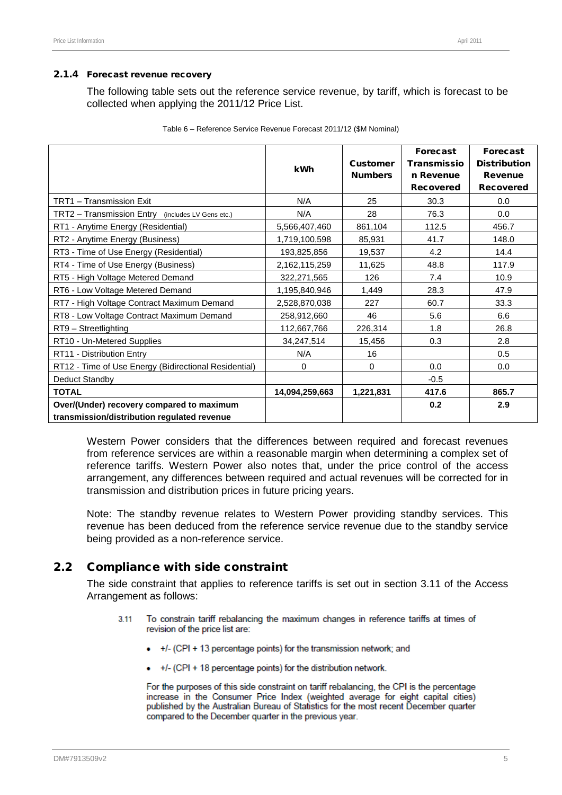#### 2.1.4 Forecast revenue recovery

The following table sets out the reference service revenue, by tariff, which is forecast to be collected when applying the 2011/12 Price List.

|                                                       |                |                 | <b>Forecast</b>    | Forecast            |
|-------------------------------------------------------|----------------|-----------------|--------------------|---------------------|
|                                                       | <b>kWh</b>     | <b>Customer</b> | <b>Transmissio</b> | <b>Distribution</b> |
|                                                       |                | <b>Numbers</b>  | n Revenue          | <b>Revenue</b>      |
|                                                       |                |                 | <b>Recovered</b>   | <b>Recovered</b>    |
| TRT1 - Transmission Exit                              | N/A            | 25              | 30.3               | 0.0                 |
| TRT2 - Transmission Entry (includes LV Gens etc.)     | N/A            | 28              | 76.3               | 0.0                 |
| RT1 - Anytime Energy (Residential)                    | 5,566,407,460  | 861,104         | 112.5              | 456.7               |
| RT2 - Anytime Energy (Business)                       | 1,719,100,598  | 85,931          | 41.7               | 148.0               |
| RT3 - Time of Use Energy (Residential)                | 193,825,856    | 19,537          | 4.2                | 14.4                |
| RT4 - Time of Use Energy (Business)                   | 2,162,115,259  | 11,625          | 48.8               | 117.9               |
| RT5 - High Voltage Metered Demand                     | 322,271,565    | 126             | 7.4                | 10.9                |
| RT6 - Low Voltage Metered Demand                      | 1,195,840,946  | 1,449           | 28.3               | 47.9                |
| RT7 - High Voltage Contract Maximum Demand            | 2,528,870,038  | 227             | 60.7               | 33.3                |
| RT8 - Low Voltage Contract Maximum Demand             | 258,912,660    | 46              | 5.6                | 6.6                 |
| RT9 - Streetlighting                                  | 112,667,766    | 226,314         | 1.8                | 26.8                |
| RT10 - Un-Metered Supplies                            | 34,247,514     | 15,456          | 0.3                | 2.8                 |
| RT11 - Distribution Entry                             | N/A            | 16              |                    | 0.5                 |
| RT12 - Time of Use Energy (Bidirectional Residential) | $\mathbf 0$    | $\mathbf 0$     | 0.0                | 0.0                 |
| Deduct Standby                                        |                |                 | $-0.5$             |                     |
| <b>TOTAL</b>                                          | 14,094,259,663 | 1,221,831       | 417.6              | 865.7               |
| Over/(Under) recovery compared to maximum             |                |                 | 0.2                | 2.9                 |
| transmission/distribution regulated revenue           |                |                 |                    |                     |

|  |  |  | Table 6 - Reference Service Revenue Forecast 2011/12 (\$M Nominal) |
|--|--|--|--------------------------------------------------------------------|
|--|--|--|--------------------------------------------------------------------|

Western Power considers that the differences between required and forecast revenues from reference services are within a reasonable margin when determining a complex set of reference tariffs. Western Power also notes that, under the price control of the access arrangement, any differences between required and actual revenues will be corrected for in transmission and distribution prices in future pricing years.

Note: The standby revenue relates to Western Power providing standby services. This revenue has been deduced from the reference service revenue due to the standby service being provided as a non-reference service.

# 2.2 Compliance with side constraint

The side constraint that applies to reference tariffs is set out in section 3.11 of the Access Arrangement as follows:

- $3.11$ To constrain tariff rebalancing the maximum changes in reference tariffs at times of revision of the price list are:
	- +/- (CPI + 13 percentage points) for the transmission network; and
	- $+/-$  (CPI + 18 percentage points) for the distribution network.

For the purposes of this side constraint on tariff rebalancing, the CPI is the percentage increase in the Consumer Price Index (weighted average for eight capital cities) published by the Australian Bureau of Statistics for the most recent December quarter compared to the December quarter in the previous year.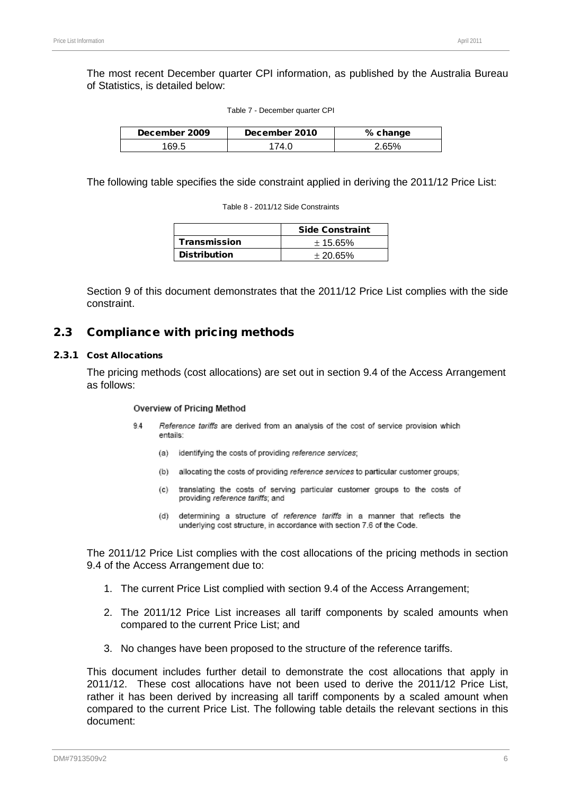The most recent December quarter CPI information, as published by the Australia Bureau of Statistics, is detailed below:

| Table 7 - December quarter CPI |  |
|--------------------------------|--|
|--------------------------------|--|

| December 2009 | December 2010 | % change |
|---------------|---------------|----------|
| 169.5         | 74 N          | 2 65%    |

The following table specifies the side constraint applied in deriving the 2011/12 Price List:

Table 8 - 2011/12 Side Constraints

|                     | <b>Side Constraint</b> |
|---------------------|------------------------|
| <b>Transmission</b> | ± 15.65%               |
| <b>Distribution</b> | ± 20.65%               |

Section [9](#page-66-0) of this document demonstrates that the 2011/12 Price List complies with the side constraint.

#### 2.3 Compliance with pricing methods

#### 2.3.1 Cost Allocations

The pricing methods (cost allocations) are set out in section 9.4 of the Access Arrangement as follows:

#### Overview of Pricing Method

- $94$ Reference tariffs are derived from an analysis of the cost of service provision which entails:
	- identifying the costs of providing reference services; (a)
	- allocating the costs of providing reference services to particular customer groups:  $(b)$
	- translating the costs of serving particular customer groups to the costs of  $(c)$ providing reference tariffs; and
	- $(d)$ determining a structure of reference tariffs in a manner that reflects the underlying cost structure, in accordance with section 7.6 of the Code.

The 2011/12 Price List complies with the cost allocations of the pricing methods in section 9.4 of the Access Arrangement due to:

- 1. The current Price List complied with section 9.4 of the Access Arrangement;
- 2. The 2011/12 Price List increases all tariff components by scaled amounts when compared to the current Price List; and
- 3. No changes have been proposed to the structure of the reference tariffs.

This document includes further detail to demonstrate the cost allocations that apply in 2011/12. These cost allocations have not been used to derive the 2011/12 Price List, rather it has been derived by increasing all tariff components by a scaled amount when compared to the current Price List. The following table details the relevant sections in this document: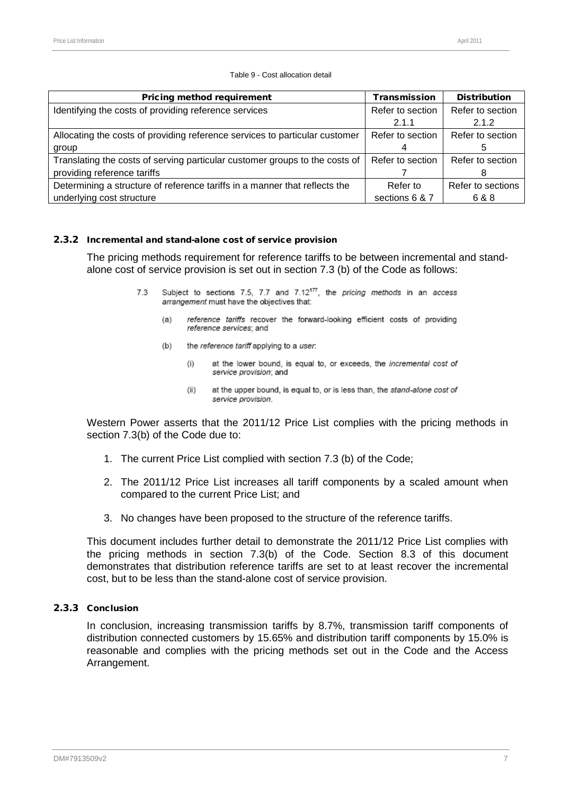|  |  | Table 9 - Cost allocation detail |
|--|--|----------------------------------|
|--|--|----------------------------------|

| <b>Pricing method requirement</b>                                           | <b>Transmission</b> | <b>Distribution</b> |  |
|-----------------------------------------------------------------------------|---------------------|---------------------|--|
| Identifying the costs of providing reference services                       | Refer to section    | Refer to section    |  |
|                                                                             | 2.1.1               | 2.1.2               |  |
| Allocating the costs of providing reference services to particular customer | Refer to section    | Refer to section    |  |
| group                                                                       |                     |                     |  |
| Translating the costs of serving particular customer groups to the costs of | Refer to section    | Refer to section    |  |
| providing reference tariffs                                                 |                     | 8                   |  |
| Determining a structure of reference tariffs in a manner that reflects the  | Refer to            | Refer to sections   |  |
| underlying cost structure                                                   | sections 6 & 7      | 6 & 8               |  |

#### 2.3.2 Incremental and stand-alone cost of service provision

The pricing methods requirement for reference tariffs to be between incremental and standalone cost of service provision is set out in section 7.3 (b) of the Code as follows:

- Subject to sections 7.5, 7.7 and 7.12<sup>177</sup>, the pricing methods in an access 73 arrangement must have the objectives that:
	- reference tariffs recover the forward-looking efficient costs of providing  $(a)$ reference services: and
	- $(b)$ the reference tariff applying to a user.
		- $(i)$ at the lower bound, is equal to, or exceeds, the incremental cost of service provision; and
		- $(ii)$ at the upper bound, is equal to, or is less than, the stand-alone cost of service provision.

Western Power asserts that the 2011/12 Price List complies with the pricing methods in section 7.3(b) of the Code due to:

- 1. The current Price List complied with section 7.3 (b) of the Code;
- 2. The 2011/12 Price List increases all tariff components by a scaled amount when compared to the current Price List; and
- 3. No changes have been proposed to the structure of the reference tariffs.

This document includes further detail to demonstrate the 2011/12 Price List complies with the pricing methods in section 7.3(b) of the Code. Section [8.3](#page-61-0) of this document demonstrates that distribution reference tariffs are set to at least recover the incremental cost, but to be less than the stand-alone cost of service provision.

# 2.3.3 Conclusion

In conclusion, increasing transmission tariffs by 8.7%, transmission tariff components of distribution connected customers by 15.65% and distribution tariff components by 15.0% is reasonable and complies with the pricing methods set out in the Code and the Access Arrangement.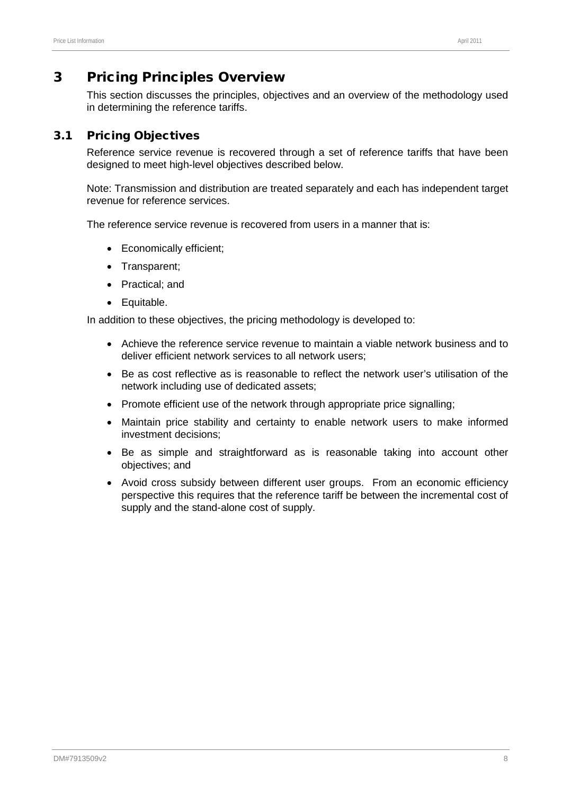# 3 Pricing Principles Overview

This section discusses the principles, objectives and an overview of the methodology used in determining the reference tariffs.

# 3.1 Pricing Objectives

Reference service revenue is recovered through a set of reference tariffs that have been designed to meet high-level objectives described below.

Note: Transmission and distribution are treated separately and each has independent target revenue for reference services.

The reference service revenue is recovered from users in a manner that is:

- Economically efficient;
- Transparent;
- Practical; and
- Equitable.

In addition to these objectives, the pricing methodology is developed to:

- Achieve the reference service revenue to maintain a viable network business and to deliver efficient network services to all network users;
- Be as cost reflective as is reasonable to reflect the network user's utilisation of the network including use of dedicated assets;
- Promote efficient use of the network through appropriate price signalling;
- Maintain price stability and certainty to enable network users to make informed investment decisions;
- Be as simple and straightforward as is reasonable taking into account other objectives; and
- Avoid cross subsidy between different user groups. From an economic efficiency perspective this requires that the reference tariff be between the incremental cost of supply and the stand-alone cost of supply.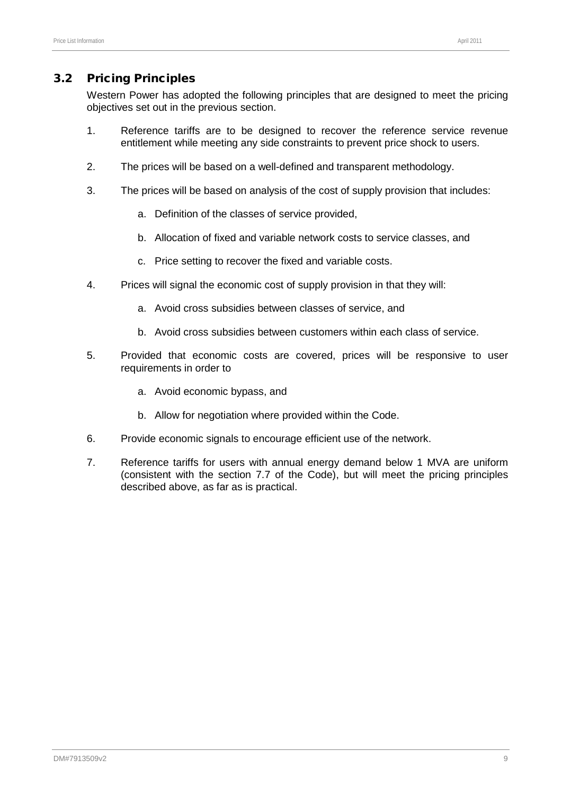# 3.2 Pricing Principles

Western Power has adopted the following principles that are designed to meet the pricing objectives set out in the previous section.

- 1. Reference tariffs are to be designed to recover the reference service revenue entitlement while meeting any side constraints to prevent price shock to users.
- 2. The prices will be based on a well-defined and transparent methodology.
- 3. The prices will be based on analysis of the cost of supply provision that includes:
	- a. Definition of the classes of service provided,
	- b. Allocation of fixed and variable network costs to service classes, and
	- c. Price setting to recover the fixed and variable costs.
- 4. Prices will signal the economic cost of supply provision in that they will:
	- a. Avoid cross subsidies between classes of service, and
	- b. Avoid cross subsidies between customers within each class of service.
- 5. Provided that economic costs are covered, prices will be responsive to user requirements in order to
	- a. Avoid economic bypass, and
	- b. Allow for negotiation where provided within the Code.
- 6. Provide economic signals to encourage efficient use of the network.
- 7. Reference tariffs for users with annual energy demand below 1 MVA are uniform (consistent with the section 7.7 of the Code), but will meet the pricing principles described above, as far as is practical.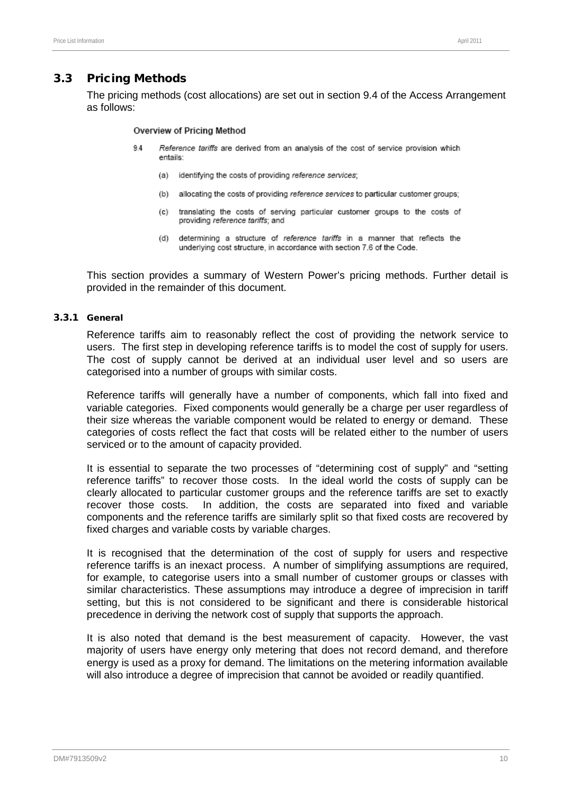# 3.3 Pricing Methods

The pricing methods (cost allocations) are set out in section 9.4 of the Access Arrangement as follows:

#### Overview of Pricing Method

- $9.4$ Reference tariffs are derived from an analysis of the cost of service provision which entails:
	- (a) identifying the costs of providing reference services;
	- (b) allocating the costs of providing reference services to particular customer groups:
	- $(c)$ translating the costs of serving particular customer groups to the costs of providing reference tariffs; and
	- $(d)$ determining a structure of reference tariffs in a manner that reflects the underlying cost structure, in accordance with section 7.6 of the Code.

This section provides a summary of Western Power's pricing methods. Further detail is provided in the remainder of this document.

#### 3.3.1 General

Reference tariffs aim to reasonably reflect the cost of providing the network service to users. The first step in developing reference tariffs is to model the cost of supply for users. The cost of supply cannot be derived at an individual user level and so users are categorised into a number of groups with similar costs.

Reference tariffs will generally have a number of components, which fall into fixed and variable categories. Fixed components would generally be a charge per user regardless of their size whereas the variable component would be related to energy or demand. These categories of costs reflect the fact that costs will be related either to the number of users serviced or to the amount of capacity provided.

It is essential to separate the two processes of "determining cost of supply" and "setting reference tariffs" to recover those costs. In the ideal world the costs of supply can be clearly allocated to particular customer groups and the reference tariffs are set to exactly recover those costs. In addition, the costs are separated into fixed and variable components and the reference tariffs are similarly split so that fixed costs are recovered by fixed charges and variable costs by variable charges.

It is recognised that the determination of the cost of supply for users and respective reference tariffs is an inexact process. A number of simplifying assumptions are required, for example, to categorise users into a small number of customer groups or classes with similar characteristics. These assumptions may introduce a degree of imprecision in tariff setting, but this is not considered to be significant and there is considerable historical precedence in deriving the network cost of supply that supports the approach.

It is also noted that demand is the best measurement of capacity. However, the vast majority of users have energy only metering that does not record demand, and therefore energy is used as a proxy for demand. The limitations on the metering information available will also introduce a degree of imprecision that cannot be avoided or readily quantified.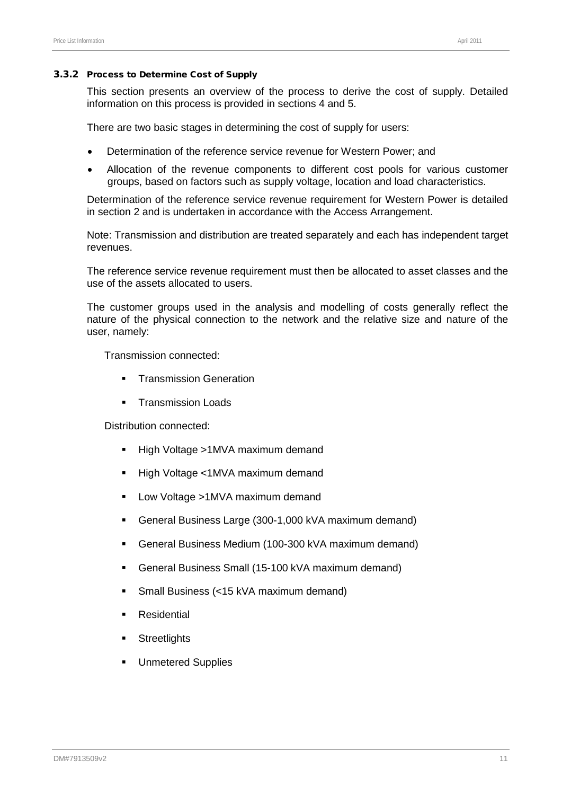#### 3.3.2 Process to Determine Cost of Supply

This section presents an overview of the process to derive the cost of supply. Detailed information on this process is provided in sections [4](#page-17-0) and [5.](#page-23-0)

There are two basic stages in determining the cost of supply for users:

- Determination of the reference service revenue for Western Power; and
- Allocation of the revenue components to different cost pools for various customer groups, based on factors such as supply voltage, location and load characteristics.

Determination of the reference service revenue requirement for Western Power is detailed in section [2](#page-6-0) and is undertaken in accordance with the Access Arrangement.

Note: Transmission and distribution are treated separately and each has independent target revenues.

The reference service revenue requirement must then be allocated to asset classes and the use of the assets allocated to users.

The customer groups used in the analysis and modelling of costs generally reflect the nature of the physical connection to the network and the relative size and nature of the user, namely:

Transmission connected:

- **F** Transmission Generation
- **Transmission Loads**

Distribution connected:

- High Voltage >1MVA maximum demand
- High Voltage <1MVA maximum demand
- **-** Low Voltage >1MVA maximum demand
- General Business Large (300-1,000 kVA maximum demand)
- General Business Medium (100-300 kVA maximum demand)
- General Business Small (15-100 kVA maximum demand)
- Small Business (<15 kVA maximum demand)
- **Residential**
- **Streetlights**
- **Unmetered Supplies**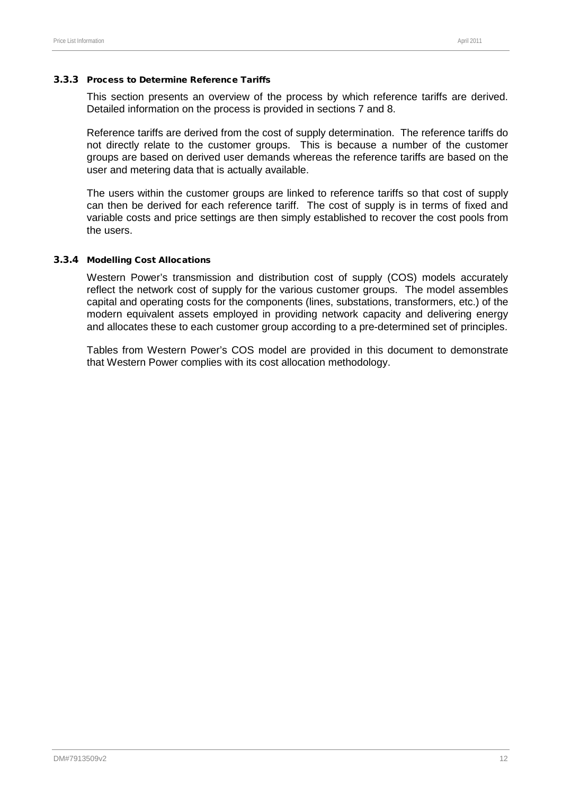#### 3.3.3 Process to Determine Reference Tariffs

This section presents an overview of the process by which reference tariffs are derived. Detailed information on the process is provided in sections [7](#page-38-0) and [8.](#page-50-0)

Reference tariffs are derived from the cost of supply determination. The reference tariffs do not directly relate to the customer groups. This is because a number of the customer groups are based on derived user demands whereas the reference tariffs are based on the user and metering data that is actually available.

The users within the customer groups are linked to reference tariffs so that cost of supply can then be derived for each reference tariff. The cost of supply is in terms of fixed and variable costs and price settings are then simply established to recover the cost pools from the users.

#### 3.3.4 Modelling Cost Allocations

Western Power's transmission and distribution cost of supply (COS) models accurately reflect the network cost of supply for the various customer groups. The model assembles capital and operating costs for the components (lines, substations, transformers, etc.) of the modern equivalent assets employed in providing network capacity and delivering energy and allocates these to each customer group according to a pre-determined set of principles.

Tables from Western Power's COS model are provided in this document to demonstrate that Western Power complies with its cost allocation methodology.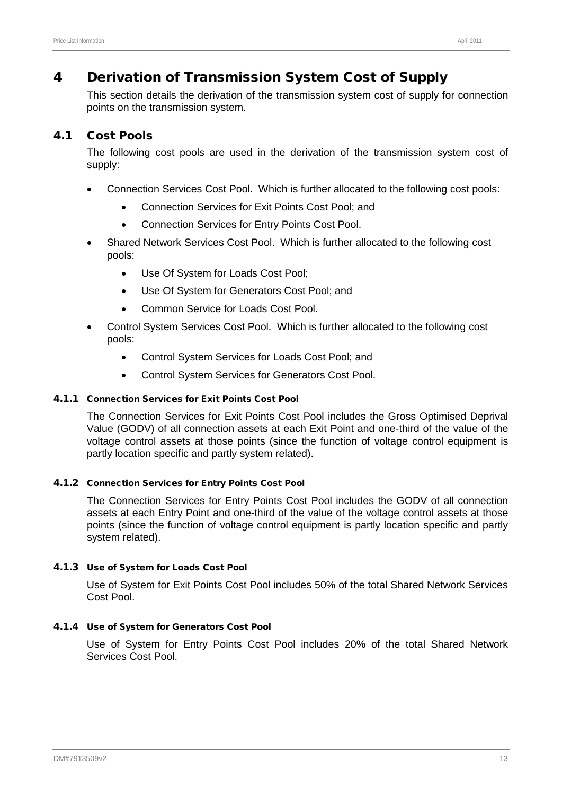# <span id="page-17-0"></span>4 Derivation of Transmission System Cost of Supply

This section details the derivation of the transmission system cost of supply for connection points on the transmission system.

# 4.1 Cost Pools

The following cost pools are used in the derivation of the transmission system cost of supply:

- Connection Services Cost Pool. Which is further allocated to the following cost pools:
	- Connection Services for Exit Points Cost Pool; and
	- Connection Services for Entry Points Cost Pool.
- Shared Network Services Cost Pool. Which is further allocated to the following cost pools:
	- Use Of System for Loads Cost Pool;
	- Use Of System for Generators Cost Pool; and
	- Common Service for Loads Cost Pool.
- Control System Services Cost Pool. Which is further allocated to the following cost pools:
	- Control System Services for Loads Cost Pool; and
	- Control System Services for Generators Cost Pool.

### 4.1.1 Connection Services for Exit Points Cost Pool

The Connection Services for Exit Points Cost Pool includes the Gross Optimised Deprival Value (GODV) of all connection assets at each Exit Point and one-third of the value of the voltage control assets at those points (since the function of voltage control equipment is partly location specific and partly system related).

# 4.1.2 Connection Services for Entry Points Cost Pool

The Connection Services for Entry Points Cost Pool includes the GODV of all connection assets at each Entry Point and one-third of the value of the voltage control assets at those points (since the function of voltage control equipment is partly location specific and partly system related).

# 4.1.3 Use of System for Loads Cost Pool

Use of System for Exit Points Cost Pool includes 50% of the total Shared Network Services Cost Pool.

# 4.1.4 Use of System for Generators Cost Pool

Use of System for Entry Points Cost Pool includes 20% of the total Shared Network Services Cost Pool.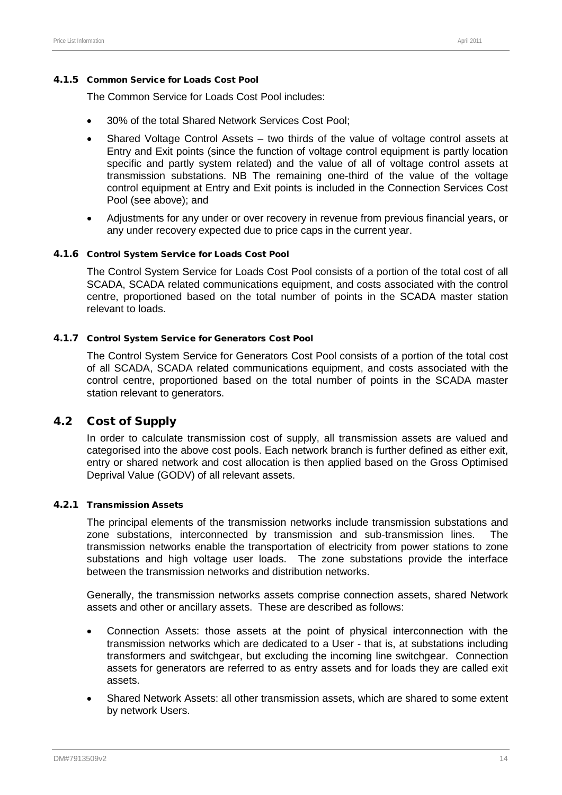#### 4.1.5 Common Service for Loads Cost Pool

The Common Service for Loads Cost Pool includes:

- 30% of the total Shared Network Services Cost Pool;
- Shared Voltage Control Assets two thirds of the value of voltage control assets at Entry and Exit points (since the function of voltage control equipment is partly location specific and partly system related) and the value of all of voltage control assets at transmission substations. NB The remaining one-third of the value of the voltage control equipment at Entry and Exit points is included in the Connection Services Cost Pool (see above); and
- Adjustments for any under or over recovery in revenue from previous financial years, or any under recovery expected due to price caps in the current year.

#### 4.1.6 Control System Service for Loads Cost Pool

The Control System Service for Loads Cost Pool consists of a portion of the total cost of all SCADA, SCADA related communications equipment, and costs associated with the control centre, proportioned based on the total number of points in the SCADA master station relevant to loads.

#### 4.1.7 Control System Service for Generators Cost Pool

The Control System Service for Generators Cost Pool consists of a portion of the total cost of all SCADA, SCADA related communications equipment, and costs associated with the control centre, proportioned based on the total number of points in the SCADA master station relevant to generators.

# 4.2 Cost of Supply

In order to calculate transmission cost of supply, all transmission assets are valued and categorised into the above cost pools. Each network branch is further defined as either exit, entry or shared network and cost allocation is then applied based on the Gross Optimised Deprival Value (GODV) of all relevant assets.

#### 4.2.1 Transmission Assets

The principal elements of the transmission networks include transmission substations and zone substations, interconnected by transmission and sub-transmission lines. The transmission networks enable the transportation of electricity from power stations to zone substations and high voltage user loads. The zone substations provide the interface between the transmission networks and distribution networks.

Generally, the transmission networks assets comprise connection assets, shared Network assets and other or ancillary assets. These are described as follows:

- Connection Assets: those assets at the point of physical interconnection with the transmission networks which are dedicated to a User - that is, at substations including transformers and switchgear, but excluding the incoming line switchgear. Connection assets for generators are referred to as entry assets and for loads they are called exit assets.
- Shared Network Assets: all other transmission assets, which are shared to some extent by network Users.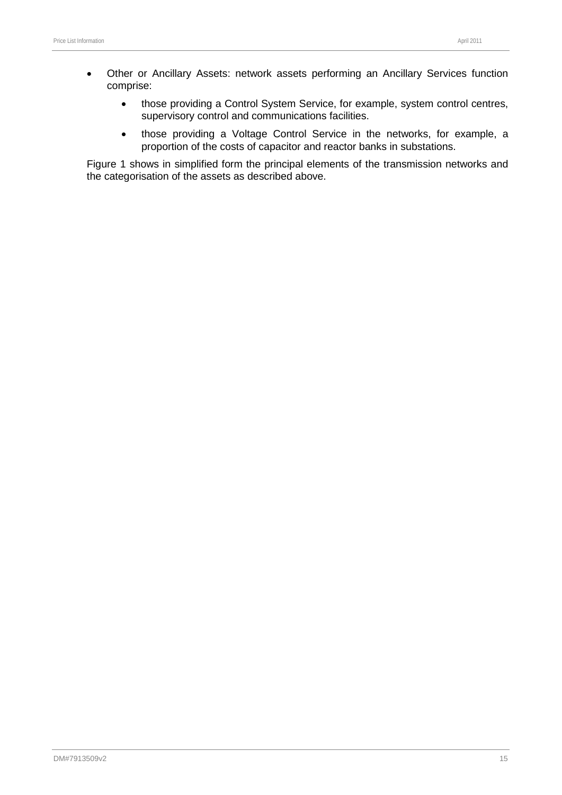- Other or Ancillary Assets: network assets performing an Ancillary Services function comprise:
	- those providing a Control System Service, for example, system control centres, supervisory control and communications facilities.
	- those providing a Voltage Control Service in the networks, for example, a proportion of the costs of capacitor and reactor banks in substations.

[Figure 1](#page-20-0) shows in simplified form the principal elements of the transmission networks and the categorisation of the assets as described above.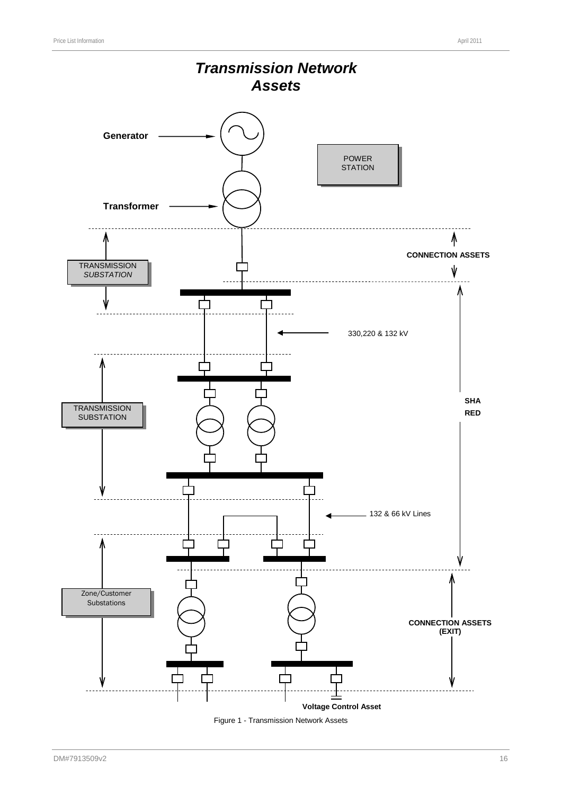

<span id="page-20-0"></span>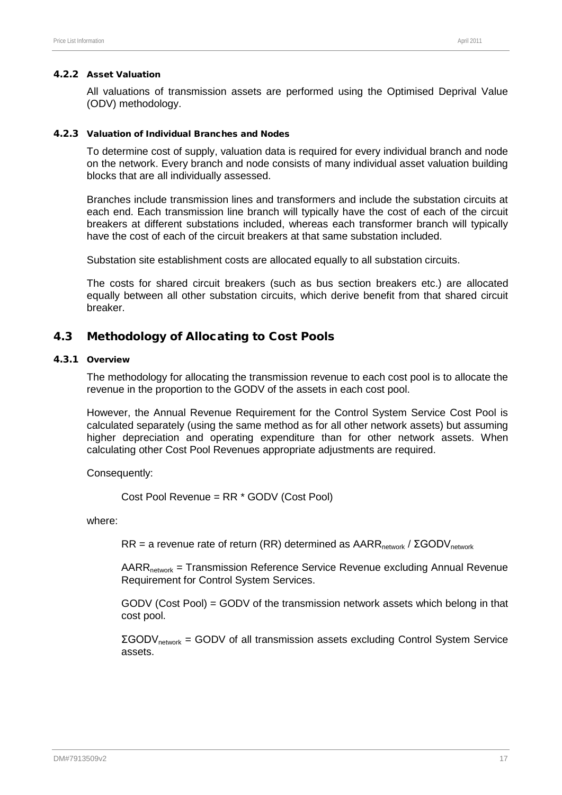#### 4.2.2 Asset Valuation

All valuations of transmission assets are performed using the Optimised Deprival Value (ODV) methodology.

#### 4.2.3 Valuation of Individual Branches and Nodes

To determine cost of supply, valuation data is required for every individual branch and node on the network. Every branch and node consists of many individual asset valuation building blocks that are all individually assessed.

Branches include transmission lines and transformers and include the substation circuits at each end. Each transmission line branch will typically have the cost of each of the circuit breakers at different substations included, whereas each transformer branch will typically have the cost of each of the circuit breakers at that same substation included.

Substation site establishment costs are allocated equally to all substation circuits.

The costs for shared circuit breakers (such as bus section breakers etc.) are allocated equally between all other substation circuits, which derive benefit from that shared circuit breaker.

# 4.3 Methodology of Allocating to Cost Pools

# 4.3.1 Overview

The methodology for allocating the transmission revenue to each cost pool is to allocate the revenue in the proportion to the GODV of the assets in each cost pool.

However, the Annual Revenue Requirement for the Control System Service Cost Pool is calculated separately (using the same method as for all other network assets) but assuming higher depreciation and operating expenditure than for other network assets. When calculating other Cost Pool Revenues appropriate adjustments are required.

Consequently:

Cost Pool Revenue = RR \* GODV (Cost Pool)

where:

RR = a revenue rate of return (RR) determined as  $AARR_{network} / \Sigma GODV_{network}$ 

 $AARR<sub>network</sub>$  = Transmission Reference Service Revenue excluding Annual Revenue Requirement for Control System Services.

GODV (Cost Pool) = GODV of the transmission network assets which belong in that cost pool.

 $ΣGODV<sub>network</sub> = GODV$  of all transmission assets excluding Control System Service assets.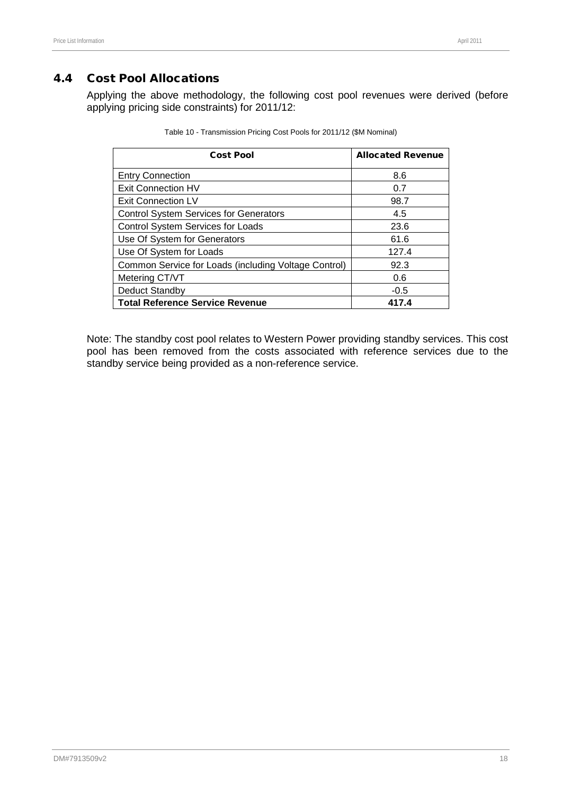# 4.4 Cost Pool Allocations

Applying the above methodology, the following cost pool revenues were derived (before applying pricing side constraints) for 2011/12:

| <b>Cost Pool</b>                                     | <b>Allocated Revenue</b> |
|------------------------------------------------------|--------------------------|
| <b>Entry Connection</b>                              | 8.6                      |
| <b>Exit Connection HV</b>                            | 0.7                      |
| Exit Connection LV                                   | 98.7                     |
| <b>Control System Services for Generators</b>        | 4.5                      |
| <b>Control System Services for Loads</b>             | 23.6                     |
| Use Of System for Generators                         | 61.6                     |
| Use Of System for Loads                              | 127.4                    |
| Common Service for Loads (including Voltage Control) | 92.3                     |
| Metering CT/VT                                       | 0.6                      |
| Deduct Standby                                       | $-0.5$                   |
| <b>Total Reference Service Revenue</b>               | 417.4                    |

| Table 10 - Transmission Pricing Cost Pools for 2011/12 (\$M Nominal) |  |  |  |
|----------------------------------------------------------------------|--|--|--|
|----------------------------------------------------------------------|--|--|--|

Note: The standby cost pool relates to Western Power providing standby services. This cost pool has been removed from the costs associated with reference services due to the standby service being provided as a non-reference service.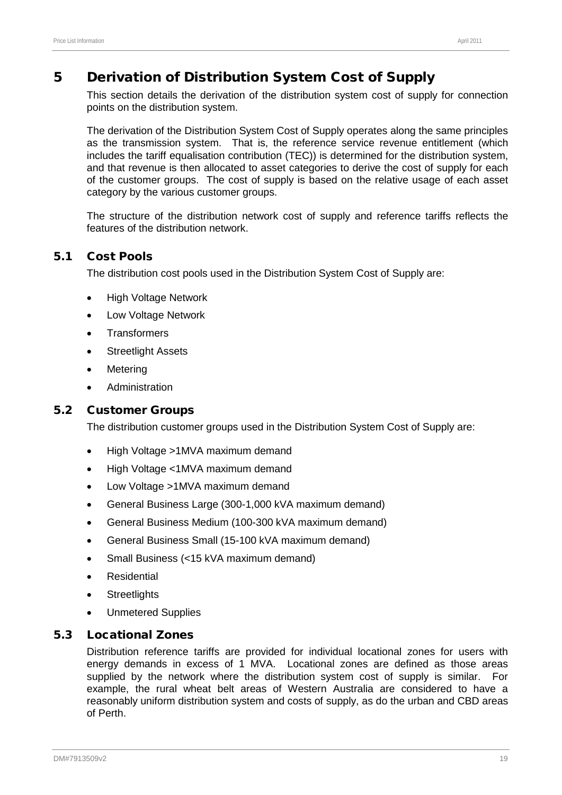# <span id="page-23-0"></span>5 Derivation of Distribution System Cost of Supply

This section details the derivation of the distribution system cost of supply for connection points on the distribution system.

The derivation of the Distribution System Cost of Supply operates along the same principles as the transmission system. That is, the reference service revenue entitlement (which includes the tariff equalisation contribution (TEC)) is determined for the distribution system, and that revenue is then allocated to asset categories to derive the cost of supply for each of the customer groups. The cost of supply is based on the relative usage of each asset category by the various customer groups.

The structure of the distribution network cost of supply and reference tariffs reflects the features of the distribution network.

# 5.1 Cost Pools

The distribution cost pools used in the Distribution System Cost of Supply are:

- **High Voltage Network**
- Low Voltage Network
- **Transformers**
- **Streetlight Assets**
- **Metering**
- Administration

# 5.2 Customer Groups

The distribution customer groups used in the Distribution System Cost of Supply are:

- High Voltage >1MVA maximum demand
- High Voltage <1MVA maximum demand
- Low Voltage >1MVA maximum demand
- General Business Large (300-1,000 kVA maximum demand)
- General Business Medium (100-300 kVA maximum demand)
- General Business Small (15-100 kVA maximum demand)
- Small Business (<15 kVA maximum demand)
- **Residential**
- **Streetlights**
- Unmetered Supplies

# 5.3 Locational Zones

Distribution reference tariffs are provided for individual locational zones for users with energy demands in excess of 1 MVA. Locational zones are defined as those areas supplied by the network where the distribution system cost of supply is similar. For example, the rural wheat belt areas of Western Australia are considered to have a reasonably uniform distribution system and costs of supply, as do the urban and CBD areas of Perth.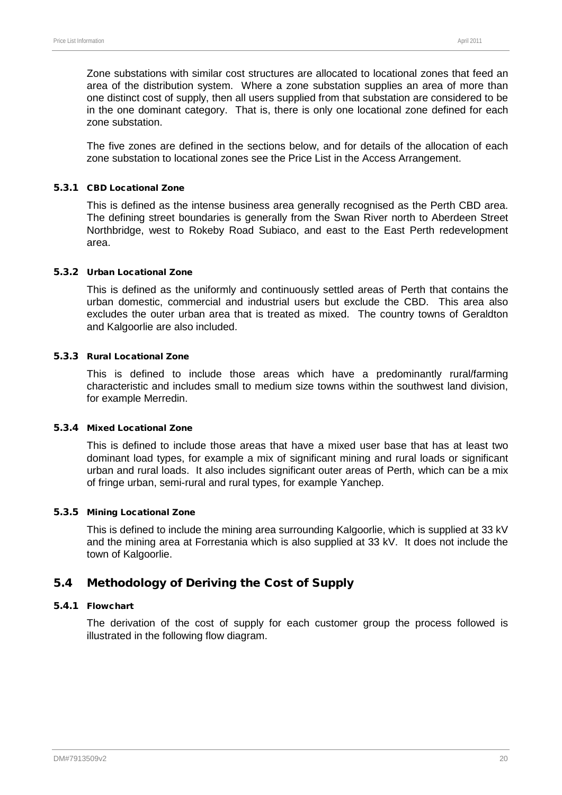Zone substations with similar cost structures are allocated to locational zones that feed an area of the distribution system. Where a zone substation supplies an area of more than one distinct cost of supply, then all users supplied from that substation are considered to be in the one dominant category. That is, there is only one locational zone defined for each zone substation.

The five zones are defined in the sections below, and for details of the allocation of each zone substation to locational zones see the Price List in the Access Arrangement.

#### 5.3.1 CBD Locational Zone

This is defined as the intense business area generally recognised as the Perth CBD area. The defining street boundaries is generally from the Swan River north to Aberdeen Street Northbridge, west to Rokeby Road Subiaco, and east to the East Perth redevelopment area.

#### 5.3.2 Urban Locational Zone

This is defined as the uniformly and continuously settled areas of Perth that contains the urban domestic, commercial and industrial users but exclude the CBD. This area also excludes the outer urban area that is treated as mixed. The country towns of Geraldton and Kalgoorlie are also included.

#### 5.3.3 Rural Locational Zone

This is defined to include those areas which have a predominantly rural/farming characteristic and includes small to medium size towns within the southwest land division, for example Merredin.

#### 5.3.4 Mixed Locational Zone

This is defined to include those areas that have a mixed user base that has at least two dominant load types, for example a mix of significant mining and rural loads or significant urban and rural loads. It also includes significant outer areas of Perth, which can be a mix of fringe urban, semi-rural and rural types, for example Yanchep.

#### 5.3.5 Mining Locational Zone

This is defined to include the mining area surrounding Kalgoorlie, which is supplied at 33 kV and the mining area at Forrestania which is also supplied at 33 kV. It does not include the town of Kalgoorlie.

# 5.4 Methodology of Deriving the Cost of Supply

#### 5.4.1 Flowchart

The derivation of the cost of supply for each customer group the process followed is illustrated in the following flow diagram.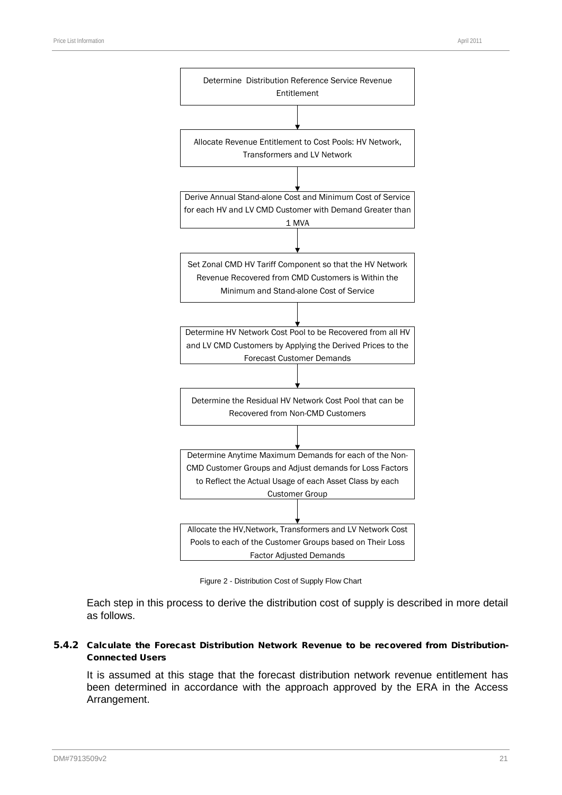

Figure 2 - Distribution Cost of Supply Flow Chart

Each step in this process to derive the distribution cost of supply is described in more detail as follows.

#### 5.4.2 Calculate the Forecast Distribution Network Revenue to be recovered from Distribution-Connected Users

It is assumed at this stage that the forecast distribution network revenue entitlement has been determined in accordance with the approach approved by the ERA in the Access Arrangement.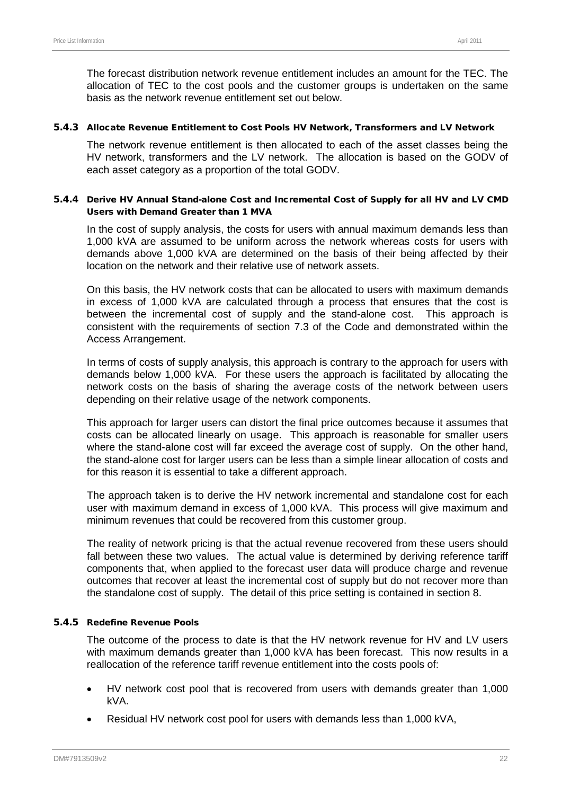The forecast distribution network revenue entitlement includes an amount for the TEC. The allocation of TEC to the cost pools and the customer groups is undertaken on the same basis as the network revenue entitlement set out below.

#### 5.4.3 Allocate Revenue Entitlement to Cost Pools HV Network, Transformers and LV Network

The network revenue entitlement is then allocated to each of the asset classes being the HV network, transformers and the LV network. The allocation is based on the GODV of each asset category as a proportion of the total GODV.

#### 5.4.4 Derive HV Annual Stand-alone Cost and Incremental Cost of Supply for all HV and LV CMD Users with Demand Greater than 1 MVA

In the cost of supply analysis, the costs for users with annual maximum demands less than 1,000 kVA are assumed to be uniform across the network whereas costs for users with demands above 1,000 kVA are determined on the basis of their being affected by their location on the network and their relative use of network assets.

On this basis, the HV network costs that can be allocated to users with maximum demands in excess of 1,000 kVA are calculated through a process that ensures that the cost is between the incremental cost of supply and the stand-alone cost. This approach is consistent with the requirements of section 7.3 of the Code and demonstrated within the Access Arrangement.

In terms of costs of supply analysis, this approach is contrary to the approach for users with demands below 1,000 kVA. For these users the approach is facilitated by allocating the network costs on the basis of sharing the average costs of the network between users depending on their relative usage of the network components.

This approach for larger users can distort the final price outcomes because it assumes that costs can be allocated linearly on usage. This approach is reasonable for smaller users where the stand-alone cost will far exceed the average cost of supply. On the other hand, the stand-alone cost for larger users can be less than a simple linear allocation of costs and for this reason it is essential to take a different approach.

The approach taken is to derive the HV network incremental and standalone cost for each user with maximum demand in excess of 1,000 kVA. This process will give maximum and minimum revenues that could be recovered from this customer group.

The reality of network pricing is that the actual revenue recovered from these users should fall between these two values. The actual value is determined by deriving reference tariff components that, when applied to the forecast user data will produce charge and revenue outcomes that recover at least the incremental cost of supply but do not recover more than the standalone cost of supply. The detail of this price setting is contained in section [8.](#page-50-0)

#### 5.4.5 Redefine Revenue Pools

The outcome of the process to date is that the HV network revenue for HV and LV users with maximum demands greater than 1,000 kVA has been forecast. This now results in a reallocation of the reference tariff revenue entitlement into the costs pools of:

- HV network cost pool that is recovered from users with demands greater than 1,000 kVA.
- Residual HV network cost pool for users with demands less than 1,000 kVA,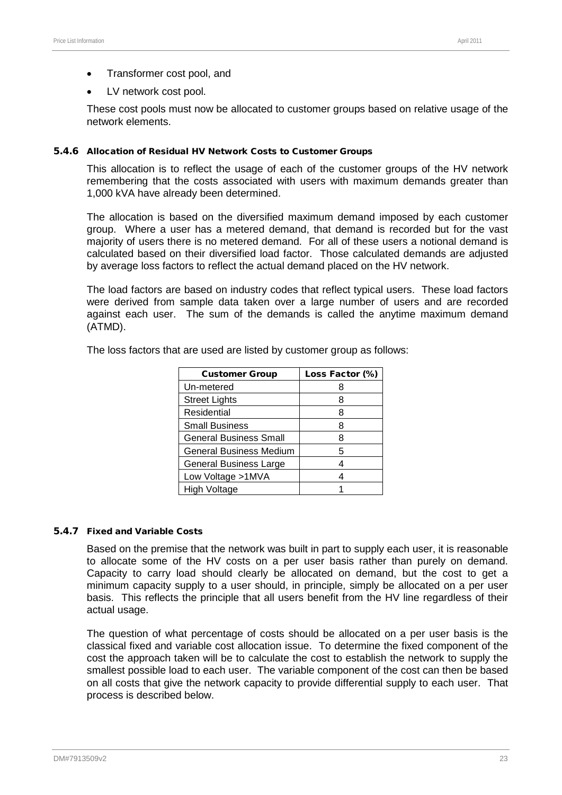- Transformer cost pool, and
- LV network cost pool.

These cost pools must now be allocated to customer groups based on relative usage of the network elements.

#### 5.4.6 Allocation of Residual HV Network Costs to Customer Groups

This allocation is to reflect the usage of each of the customer groups of the HV network remembering that the costs associated with users with maximum demands greater than 1,000 kVA have already been determined.

The allocation is based on the diversified maximum demand imposed by each customer group. Where a user has a metered demand, that demand is recorded but for the vast majority of users there is no metered demand. For all of these users a notional demand is calculated based on their diversified load factor. Those calculated demands are adjusted by average loss factors to reflect the actual demand placed on the HV network.

The load factors are based on industry codes that reflect typical users. These load factors were derived from sample data taken over a large number of users and are recorded against each user. The sum of the demands is called the anytime maximum demand (ATMD).

| <b>Customer Group</b>          | Loss Factor (%) |
|--------------------------------|-----------------|
| Un-metered                     |                 |
| <b>Street Lights</b>           |                 |
| Residential                    | 8               |
| <b>Small Business</b>          | 8               |
| <b>General Business Small</b>  |                 |
| <b>General Business Medium</b> | 5               |
| <b>General Business Large</b>  |                 |
| Low Voltage >1MVA              |                 |
| High Voltage                   |                 |

The loss factors that are used are listed by customer group as follows:

#### 5.4.7 Fixed and Variable Costs

Based on the premise that the network was built in part to supply each user, it is reasonable to allocate some of the HV costs on a per user basis rather than purely on demand. Capacity to carry load should clearly be allocated on demand, but the cost to get a minimum capacity supply to a user should, in principle, simply be allocated on a per user basis. This reflects the principle that all users benefit from the HV line regardless of their actual usage.

The question of what percentage of costs should be allocated on a per user basis is the classical fixed and variable cost allocation issue. To determine the fixed component of the cost the approach taken will be to calculate the cost to establish the network to supply the smallest possible load to each user. The variable component of the cost can then be based on all costs that give the network capacity to provide differential supply to each user. That process is described below.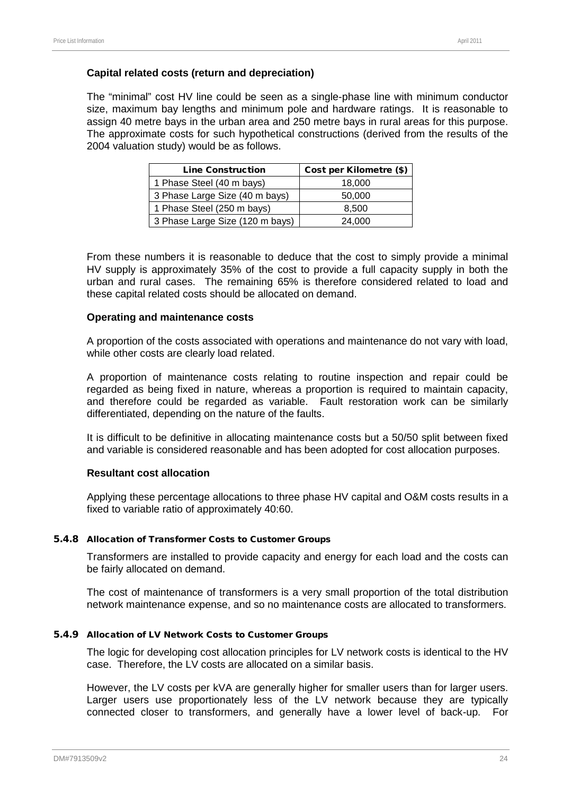#### **Capital related costs (return and depreciation)**

The "minimal" cost HV line could be seen as a single-phase line with minimum conductor size, maximum bay lengths and minimum pole and hardware ratings. It is reasonable to assign 40 metre bays in the urban area and 250 metre bays in rural areas for this purpose. The approximate costs for such hypothetical constructions (derived from the results of the 2004 valuation study) would be as follows.

| <b>Line Construction</b>        | Cost per Kilometre (\$) |
|---------------------------------|-------------------------|
| 1 Phase Steel (40 m bays)       | 18,000                  |
| 3 Phase Large Size (40 m bays)  | 50,000                  |
| 1 Phase Steel (250 m bays)      | 8,500                   |
| 3 Phase Large Size (120 m bays) | 24.000                  |

From these numbers it is reasonable to deduce that the cost to simply provide a minimal HV supply is approximately 35% of the cost to provide a full capacity supply in both the urban and rural cases. The remaining 65% is therefore considered related to load and these capital related costs should be allocated on demand.

#### **Operating and maintenance costs**

A proportion of the costs associated with operations and maintenance do not vary with load, while other costs are clearly load related.

A proportion of maintenance costs relating to routine inspection and repair could be regarded as being fixed in nature, whereas a proportion is required to maintain capacity, and therefore could be regarded as variable. Fault restoration work can be similarly differentiated, depending on the nature of the faults.

It is difficult to be definitive in allocating maintenance costs but a 50/50 split between fixed and variable is considered reasonable and has been adopted for cost allocation purposes.

#### **Resultant cost allocation**

Applying these percentage allocations to three phase HV capital and O&M costs results in a fixed to variable ratio of approximately 40:60.

#### 5.4.8 Allocation of Transformer Costs to Customer Groups

Transformers are installed to provide capacity and energy for each load and the costs can be fairly allocated on demand.

The cost of maintenance of transformers is a very small proportion of the total distribution network maintenance expense, and so no maintenance costs are allocated to transformers.

#### 5.4.9 Allocation of LV Network Costs to Customer Groups

The logic for developing cost allocation principles for LV network costs is identical to the HV case. Therefore, the LV costs are allocated on a similar basis.

However, the LV costs per kVA are generally higher for smaller users than for larger users. Larger users use proportionately less of the LV network because they are typically connected closer to transformers, and generally have a lower level of back-up. For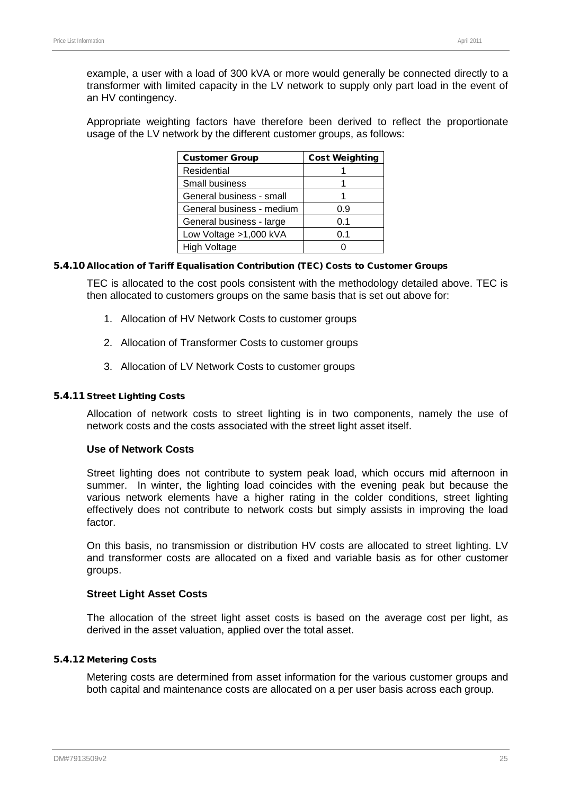example, a user with a load of 300 kVA or more would generally be connected directly to a transformer with limited capacity in the LV network to supply only part load in the event of an HV contingency.

Appropriate weighting factors have therefore been derived to reflect the proportionate usage of the LV network by the different customer groups, as follows:

| <b>Customer Group</b>     | <b>Cost Weighting</b> |
|---------------------------|-----------------------|
| Residential               |                       |
| <b>Small business</b>     |                       |
| General business - small  |                       |
| General business - medium | 0.9                   |
| General business - large  | 0.1                   |
| Low Voltage >1,000 kVA    | 0.1                   |
| High Voltage              |                       |

#### 5.4.10 Allocation of Tariff Equalisation Contribution (TEC) Costs to Customer Groups

TEC is allocated to the cost pools consistent with the methodology detailed above. TEC is then allocated to customers groups on the same basis that is set out above for:

- 1. Allocation of HV Network Costs to customer groups
- 2. Allocation of Transformer Costs to customer groups
- 3. Allocation of LV Network Costs to customer groups

#### 5.4.11 Street Lighting Costs

Allocation of network costs to street lighting is in two components, namely the use of network costs and the costs associated with the street light asset itself.

#### **Use of Network Costs**

Street lighting does not contribute to system peak load, which occurs mid afternoon in summer. In winter, the lighting load coincides with the evening peak but because the various network elements have a higher rating in the colder conditions, street lighting effectively does not contribute to network costs but simply assists in improving the load factor.

On this basis, no transmission or distribution HV costs are allocated to street lighting. LV and transformer costs are allocated on a fixed and variable basis as for other customer groups.

#### **Street Light Asset Costs**

The allocation of the street light asset costs is based on the average cost per light, as derived in the asset valuation, applied over the total asset.

#### 5.4.12 Metering Costs

Metering costs are determined from asset information for the various customer groups and both capital and maintenance costs are allocated on a per user basis across each group.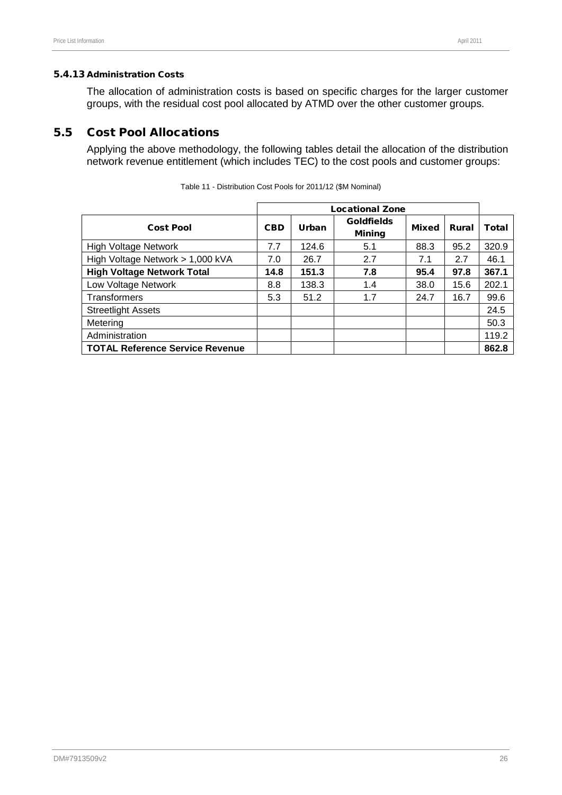#### 5.4.13 Administration Costs

The allocation of administration costs is based on specific charges for the larger customer groups, with the residual cost pool allocated by ATMD over the other customer groups.

# 5.5 Cost Pool Allocations

Applying the above methodology, the following tables detail the allocation of the distribution network revenue entitlement (which includes TEC) to the cost pools and customer groups:

|                                        | <b>Locational Zone</b> |              |                                    |              |       |       |
|----------------------------------------|------------------------|--------------|------------------------------------|--------------|-------|-------|
| <b>Cost Pool</b>                       | <b>CBD</b>             | <b>Urban</b> | <b>Goldfields</b><br><b>Mining</b> | <b>Mixed</b> | Rural | Total |
| <b>High Voltage Network</b>            | 7.7                    | 124.6        | 5.1                                | 88.3         | 95.2  | 320.9 |
| High Voltage Network > 1,000 kVA       | 7.0                    | 26.7         | 2.7                                | 7.1          | 2.7   | 46.1  |
| <b>High Voltage Network Total</b>      | 14.8                   | 151.3        | 7.8                                | 95.4         | 97.8  | 367.1 |
| Low Voltage Network                    | 8.8                    | 138.3        | 1.4                                | 38.0         | 15.6  | 202.1 |
| <b>Transformers</b>                    | 5.3                    | 51.2         | 1.7                                | 24.7         | 16.7  | 99.6  |
| <b>Streetlight Assets</b>              |                        |              |                                    |              |       | 24.5  |
| Metering                               |                        |              |                                    |              |       | 50.3  |
| Administration                         |                        |              |                                    |              |       | 119.2 |
| <b>TOTAL Reference Service Revenue</b> |                        |              |                                    |              |       | 862.8 |

Table 11 - Distribution Cost Pools for 2011/12 (\$M Nominal)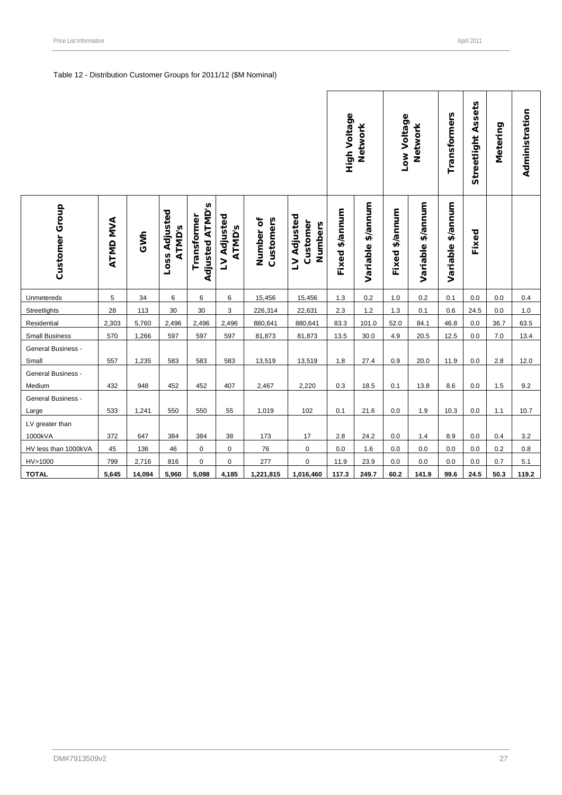#### Table 12 - Distribution Customer Groups for 2011/12 (\$M Nominal)

|                              |          |        |                                |                                       |                       |                        |                                    | High Voltage<br>Network |                   | Low Voltage<br>Network |                   | <b>Transformers</b> | <b>Streetlight Assets</b> | Metering | Administration |
|------------------------------|----------|--------|--------------------------------|---------------------------------------|-----------------------|------------------------|------------------------------------|-------------------------|-------------------|------------------------|-------------------|---------------------|---------------------------|----------|----------------|
| Customer Group               | ATMD MVA | GWh    | Loss Adjusted<br><b>ATMD's</b> | <b>Adjusted ATMD's</b><br>Transformer | LV Adjusted<br>ATMD's | Customers<br>Number of | LV Adjusted<br>Customer<br>Numbers | Fixed \$/annum          | Variable \$/annum | \$/annum<br>Fixed      | Variable \$/annum | Variable \$/annum   | Fixed                     |          |                |
| Unmetereds                   | 5        | 34     | 6                              | 6                                     | 6                     | 15,456                 | 15,456                             | 1.3                     | 0.2               | $1.0$                  | 0.2               | 0.1                 | 0.0                       | 0.0      | 0.4            |
| Streetlights                 | 28       | 113    | 30                             | 30                                    | 3                     | 226,314                | 22,631                             | 2.3                     | 1.2               | 1.3                    | 0.1               | 0.6                 | 24.5                      | 0.0      | 1.0            |
| Residential                  | 2,303    | 5,760  | 2,496                          | 2,496                                 | 2,496                 | 880,641                | 880,641                            | 83.3                    | 101.0             | 52.0                   | 84.1              | 46.8                | 0.0                       | 36.7     | 63.5           |
| <b>Small Business</b>        | 570      | 1,266  | 597                            | 597                                   | 597                   | 81,873                 | 81,873                             | 13.5                    | 30.0              | 4.9                    | 20.5              | 12.5                | 0.0                       | 7.0      | 13.4           |
| General Business -<br>Small  | 557      | 1,235  | 583                            | 583                                   | 583                   | 13,519                 | 13,519                             | 1.8                     | 27.4              | 0.9                    | 20.0              | 11.9                | 0.0                       | 2.8      | 12.0           |
| General Business -<br>Medium | 432      | 948    | 452                            | 452                                   | 407                   | 2,467                  | 2,220                              | 0.3                     | 18.5              | 0.1                    | 13.8              | 8.6                 | 0.0                       | 1.5      | 9.2            |
| General Business -<br>Large  | 533      | 1,241  | 550                            | 550                                   | 55                    | 1,019                  | 102                                | 0.1                     | 21.6              | 0.0                    | 1.9               | 10.3                | 0.0                       | 1.1      | 10.7           |
| LV greater than<br>1000kVA   | 372      | 647    | 384                            | 384                                   | 38                    | 173                    | 17                                 | 2.8                     | 24.2              | 0.0                    | 1.4               | 8.9                 | 0.0                       | 0.4      | 3.2            |
| HV less than 1000kVA         | 45       | 136    | 46                             | 0                                     | 0                     | 76                     | $\pmb{0}$                          | 0.0                     | 1.6               | 0.0                    | 0.0               | 0.0                 | 0.0                       | 0.2      | 0.8            |
| HV>1000                      | 799      | 2,716  | 816                            | 0                                     | $\mathbf 0$           | 277                    | 0                                  | 11.9                    | 23.9              | 0.0                    | 0.0               | 0.0                 | 0.0                       | 0.7      | 5.1            |
| <b>TOTAL</b>                 | 5,645    | 14,094 | 5,960                          | 5,098                                 | 4,185                 | 1,221,815              | 1,016,460                          | 117.3                   | 249.7             | 60.2                   | 141.9             | 99.6                | 24.5                      | 50.3     | 119.2          |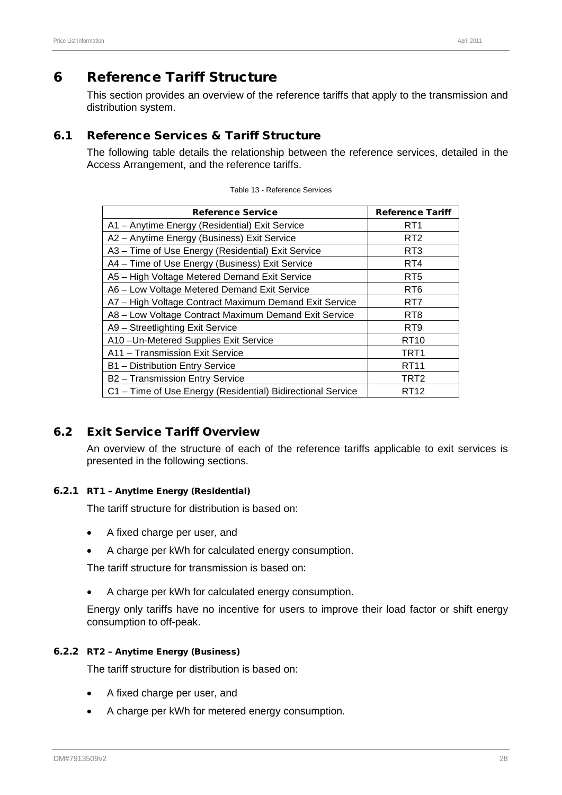# <span id="page-32-0"></span>6 Reference Tariff Structure

This section provides an overview of the reference tariffs that apply to the transmission and distribution system.

# 6.1 Reference Services & Tariff Structure

The following table details the relationship between the reference services, detailed in the Access Arrangement, and the reference tariffs.

| <b>Reference Service</b>                                    | <b>Reference Tariff</b> |  |  |  |
|-------------------------------------------------------------|-------------------------|--|--|--|
| A1 - Anytime Energy (Residential) Exit Service              | RT1                     |  |  |  |
| A2 - Anytime Energy (Business) Exit Service                 | RT <sub>2</sub>         |  |  |  |
| A3 - Time of Use Energy (Residential) Exit Service          | RT <sub>3</sub>         |  |  |  |
| A4 - Time of Use Energy (Business) Exit Service             | RT4                     |  |  |  |
| A5 - High Voltage Metered Demand Exit Service               | RT5                     |  |  |  |
| A6 - Low Voltage Metered Demand Exit Service                | RT <sub>6</sub>         |  |  |  |
| A7 - High Voltage Contract Maximum Demand Exit Service      | RT7                     |  |  |  |
| A8 - Low Voltage Contract Maximum Demand Exit Service       | RT <sub>8</sub>         |  |  |  |
| A9 - Streetlighting Exit Service                            | RT <sub>9</sub>         |  |  |  |
| A10-Un-Metered Supplies Exit Service                        | RT <sub>10</sub>        |  |  |  |
| A11 - Transmission Exit Service                             | TRT1                    |  |  |  |
| B1 - Distribution Entry Service                             | <b>RT11</b>             |  |  |  |
| B2 - Transmission Entry Service                             | TRT <sub>2</sub>        |  |  |  |
| C1 - Time of Use Energy (Residential) Bidirectional Service | RT12                    |  |  |  |

# 6.2 Exit Service Tariff Overview

An overview of the structure of each of the reference tariffs applicable to exit services is presented in the following sections.

#### 6.2.1 RT1 – Anytime Energy (Residential)

The tariff structure for distribution is based on:

- A fixed charge per user, and
- A charge per kWh for calculated energy consumption.

The tariff structure for transmission is based on:

• A charge per kWh for calculated energy consumption.

Energy only tariffs have no incentive for users to improve their load factor or shift energy consumption to off-peak.

#### 6.2.2 RT2 – Anytime Energy (Business)

The tariff structure for distribution is based on:

- A fixed charge per user, and
- A charge per kWh for metered energy consumption.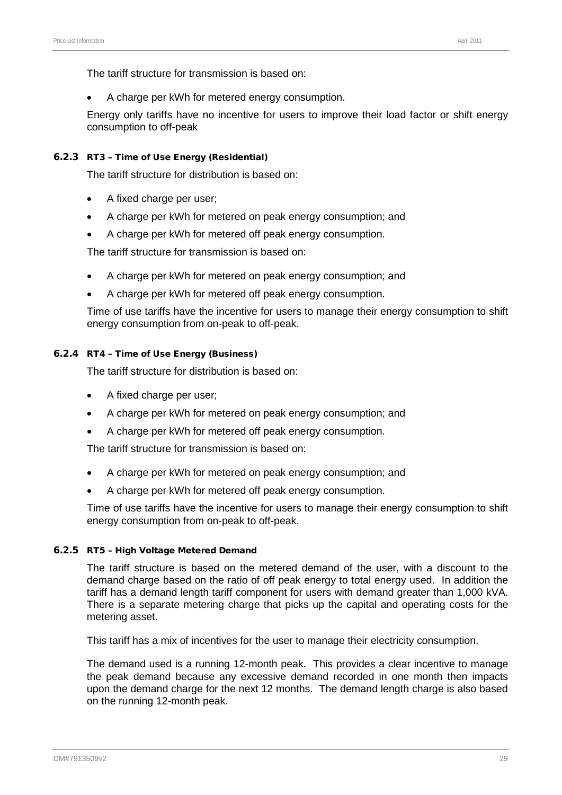The tariff structure for transmission is based on:

• A charge per kWh for metered energy consumption.

Energy only tariffs have no incentive for users to improve their load factor or shift energy consumption to off-peak

#### 6.2.3 RT3 – Time of Use Energy (Residential)

The tariff structure for distribution is based on:

- A fixed charge per user;
- A charge per kWh for metered on peak energy consumption; and
- A charge per kWh for metered off peak energy consumption.

The tariff structure for transmission is based on:

- A charge per kWh for metered on peak energy consumption; and
- A charge per kWh for metered off peak energy consumption.

Time of use tariffs have the incentive for users to manage their energy consumption to shift energy consumption from on-peak to off-peak.

#### 6.2.4 RT4 – Time of Use Energy (Business)

The tariff structure for distribution is based on:

- A fixed charge per user:
- A charge per kWh for metered on peak energy consumption; and
- A charge per kWh for metered off peak energy consumption.

The tariff structure for transmission is based on:

- A charge per kWh for metered on peak energy consumption; and
- A charge per kWh for metered off peak energy consumption.

Time of use tariffs have the incentive for users to manage their energy consumption to shift energy consumption from on-peak to off-peak.

#### 6.2.5 RT5 – High Voltage Metered Demand

The tariff structure is based on the metered demand of the user, with a discount to the demand charge based on the ratio of off peak energy to total energy used. In addition the tariff has a demand length tariff component for users with demand greater than 1,000 kVA. There is a separate metering charge that picks up the capital and operating costs for the metering asset.

This tariff has a mix of incentives for the user to manage their electricity consumption.

The demand used is a running 12-month peak. This provides a clear incentive to manage the peak demand because any excessive demand recorded in one month then impacts upon the demand charge for the next 12 months. The demand length charge is also based on the running 12-month peak.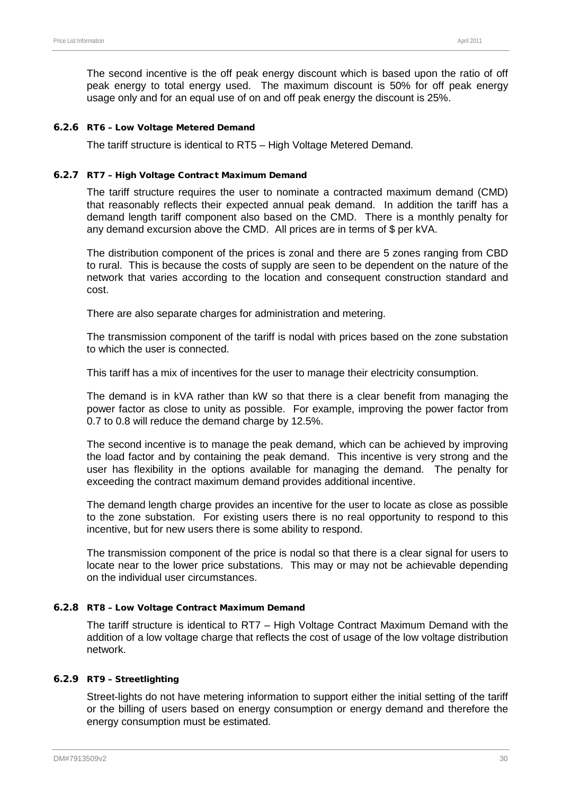The second incentive is the off peak energy discount which is based upon the ratio of off peak energy to total energy used. The maximum discount is 50% for off peak energy usage only and for an equal use of on and off peak energy the discount is 25%.

#### 6.2.6 RT6 – Low Voltage Metered Demand

The tariff structure is identical to RT5 – High Voltage Metered Demand.

#### 6.2.7 RT7 – High Voltage Contract Maximum Demand

The tariff structure requires the user to nominate a contracted maximum demand (CMD) that reasonably reflects their expected annual peak demand. In addition the tariff has a demand length tariff component also based on the CMD. There is a monthly penalty for any demand excursion above the CMD. All prices are in terms of \$ per kVA.

The distribution component of the prices is zonal and there are 5 zones ranging from CBD to rural. This is because the costs of supply are seen to be dependent on the nature of the network that varies according to the location and consequent construction standard and cost.

There are also separate charges for administration and metering.

The transmission component of the tariff is nodal with prices based on the zone substation to which the user is connected.

This tariff has a mix of incentives for the user to manage their electricity consumption.

The demand is in kVA rather than kW so that there is a clear benefit from managing the power factor as close to unity as possible. For example, improving the power factor from 0.7 to 0.8 will reduce the demand charge by 12.5%.

The second incentive is to manage the peak demand, which can be achieved by improving the load factor and by containing the peak demand. This incentive is very strong and the user has flexibility in the options available for managing the demand. The penalty for exceeding the contract maximum demand provides additional incentive.

The demand length charge provides an incentive for the user to locate as close as possible to the zone substation. For existing users there is no real opportunity to respond to this incentive, but for new users there is some ability to respond.

The transmission component of the price is nodal so that there is a clear signal for users to locate near to the lower price substations. This may or may not be achievable depending on the individual user circumstances.

#### 6.2.8 RT8 – Low Voltage Contract Maximum Demand

The tariff structure is identical to RT7 – High Voltage Contract Maximum Demand with the addition of a low voltage charge that reflects the cost of usage of the low voltage distribution network.

#### 6.2.9 RT9 – Streetlighting

Street-lights do not have metering information to support either the initial setting of the tariff or the billing of users based on energy consumption or energy demand and therefore the energy consumption must be estimated.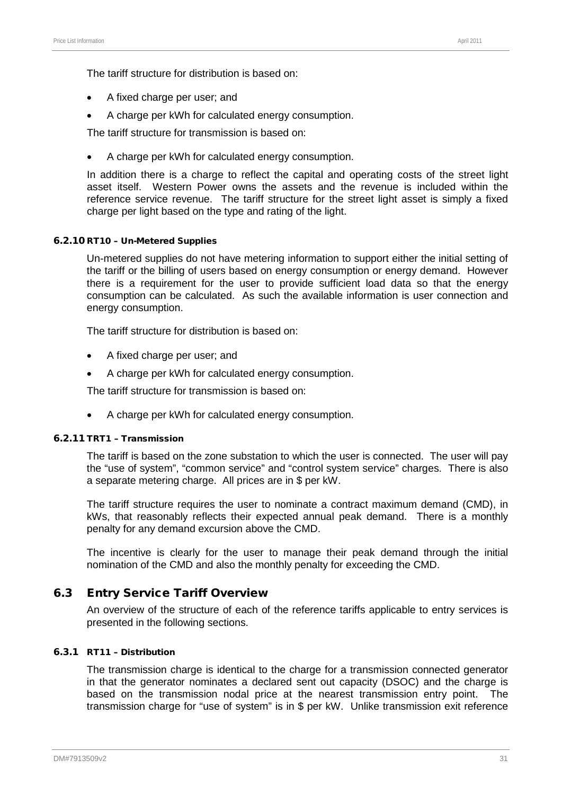The tariff structure for distribution is based on:

- A fixed charge per user; and
- A charge per kWh for calculated energy consumption.

The tariff structure for transmission is based on:

• A charge per kWh for calculated energy consumption.

In addition there is a charge to reflect the capital and operating costs of the street light asset itself. Western Power owns the assets and the revenue is included within the reference service revenue. The tariff structure for the street light asset is simply a fixed charge per light based on the type and rating of the light.

#### 6.2.10 RT10 – Un-Metered Supplies

Un-metered supplies do not have metering information to support either the initial setting of the tariff or the billing of users based on energy consumption or energy demand. However there is a requirement for the user to provide sufficient load data so that the energy consumption can be calculated. As such the available information is user connection and energy consumption.

The tariff structure for distribution is based on:

- A fixed charge per user; and
- A charge per kWh for calculated energy consumption.

The tariff structure for transmission is based on:

• A charge per kWh for calculated energy consumption.

#### 6.2.11 TRT1 – Transmission

The tariff is based on the zone substation to which the user is connected. The user will pay the "use of system", "common service" and "control system service" charges. There is also a separate metering charge. All prices are in \$ per kW.

The tariff structure requires the user to nominate a contract maximum demand (CMD), in kWs, that reasonably reflects their expected annual peak demand. There is a monthly penalty for any demand excursion above the CMD.

The incentive is clearly for the user to manage their peak demand through the initial nomination of the CMD and also the monthly penalty for exceeding the CMD.

#### 6.3 Entry Service Tariff Overview

An overview of the structure of each of the reference tariffs applicable to entry services is presented in the following sections.

#### 6.3.1 RT11 – Distribution

The transmission charge is identical to the charge for a transmission connected generator in that the generator nominates a declared sent out capacity (DSOC) and the charge is based on the transmission nodal price at the nearest transmission entry point. The transmission charge for "use of system" is in \$ per kW. Unlike transmission exit reference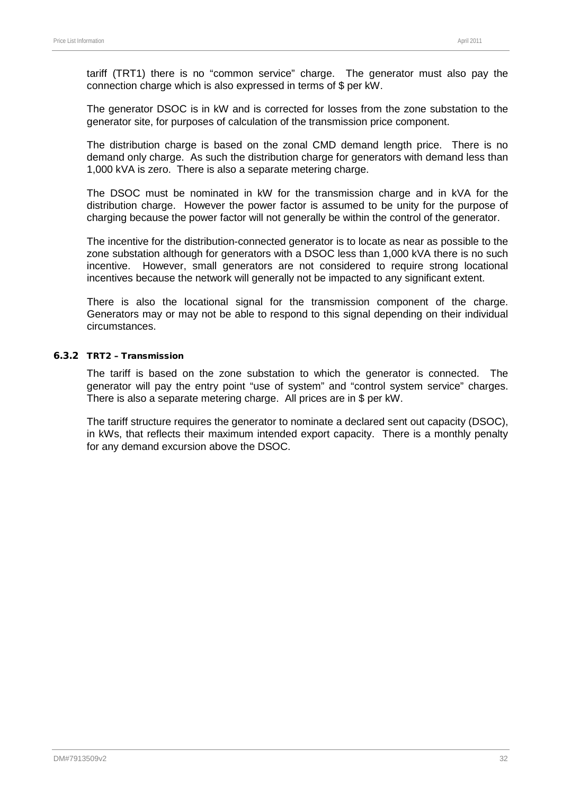tariff (TRT1) there is no "common service" charge. The generator must also pay the connection charge which is also expressed in terms of \$ per kW.

The generator DSOC is in kW and is corrected for losses from the zone substation to the generator site, for purposes of calculation of the transmission price component.

The distribution charge is based on the zonal CMD demand length price. There is no demand only charge. As such the distribution charge for generators with demand less than 1,000 kVA is zero. There is also a separate metering charge.

The DSOC must be nominated in kW for the transmission charge and in kVA for the distribution charge. However the power factor is assumed to be unity for the purpose of charging because the power factor will not generally be within the control of the generator.

The incentive for the distribution-connected generator is to locate as near as possible to the zone substation although for generators with a DSOC less than 1,000 kVA there is no such incentive. However, small generators are not considered to require strong locational incentives because the network will generally not be impacted to any significant extent.

There is also the locational signal for the transmission component of the charge. Generators may or may not be able to respond to this signal depending on their individual circumstances.

#### 6.3.2 TRT2 – Transmission

The tariff is based on the zone substation to which the generator is connected. The generator will pay the entry point "use of system" and "control system service" charges. There is also a separate metering charge. All prices are in \$ per kW.

The tariff structure requires the generator to nominate a declared sent out capacity (DSOC), in kWs, that reflects their maximum intended export capacity. There is a monthly penalty for any demand excursion above the DSOC.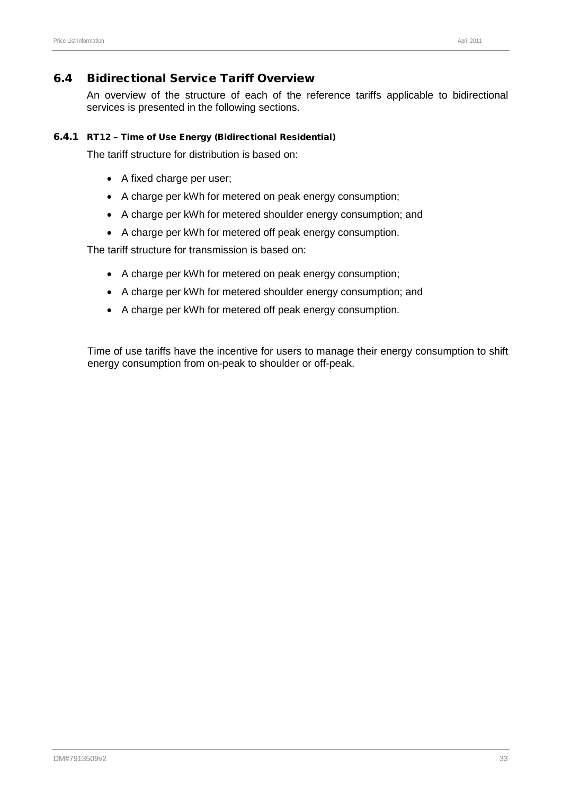## 6.4 Bidirectional Service Tariff Overview

An overview of the structure of each of the reference tariffs applicable to bidirectional services is presented in the following sections.

#### 6.4.1 RT12 – Time of Use Energy (Bidirectional Residential)

The tariff structure for distribution is based on:

- A fixed charge per user;
- A charge per kWh for metered on peak energy consumption;
- A charge per kWh for metered shoulder energy consumption; and
- A charge per kWh for metered off peak energy consumption.

The tariff structure for transmission is based on:

- A charge per kWh for metered on peak energy consumption;
- A charge per kWh for metered shoulder energy consumption; and
- A charge per kWh for metered off peak energy consumption.

Time of use tariffs have the incentive for users to manage their energy consumption to shift energy consumption from on-peak to shoulder or off-peak.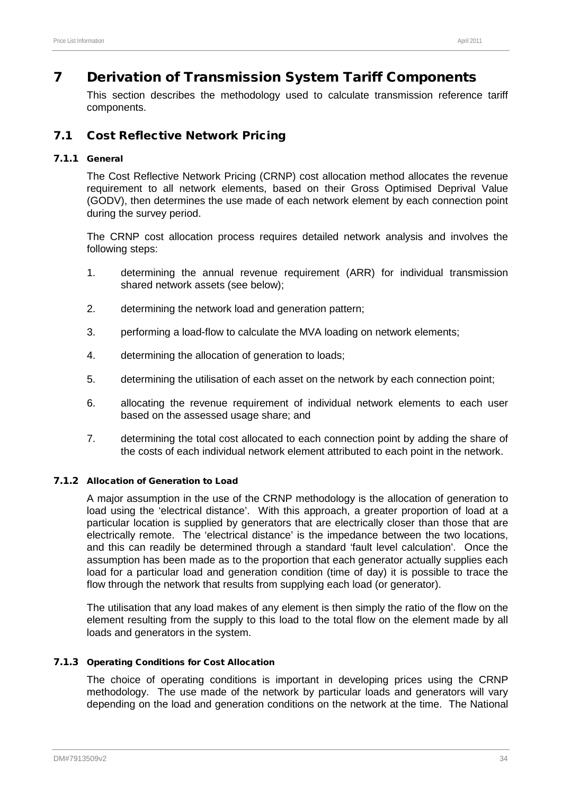# 7 Derivation of Transmission System Tariff Components

This section describes the methodology used to calculate transmission reference tariff components.

## 7.1 Cost Reflective Network Pricing

### 7.1.1 General

The Cost Reflective Network Pricing (CRNP) cost allocation method allocates the revenue requirement to all network elements, based on their Gross Optimised Deprival Value (GODV), then determines the use made of each network element by each connection point during the survey period.

The CRNP cost allocation process requires detailed network analysis and involves the following steps:

- 1. determining the annual revenue requirement (ARR) for individual transmission shared network assets (see below);
- 2. determining the network load and generation pattern;
- 3. performing a load-flow to calculate the MVA loading on network elements;
- 4. determining the allocation of generation to loads;
- 5. determining the utilisation of each asset on the network by each connection point;
- 6. allocating the revenue requirement of individual network elements to each user based on the assessed usage share; and
- 7. determining the total cost allocated to each connection point by adding the share of the costs of each individual network element attributed to each point in the network.

### 7.1.2 Allocation of Generation to Load

A major assumption in the use of the CRNP methodology is the allocation of generation to load using the 'electrical distance'. With this approach, a greater proportion of load at a particular location is supplied by generators that are electrically closer than those that are electrically remote. The 'electrical distance' is the impedance between the two locations, and this can readily be determined through a standard 'fault level calculation'. Once the assumption has been made as to the proportion that each generator actually supplies each load for a particular load and generation condition (time of day) it is possible to trace the flow through the network that results from supplying each load (or generator).

The utilisation that any load makes of any element is then simply the ratio of the flow on the element resulting from the supply to this load to the total flow on the element made by all loads and generators in the system.

#### 7.1.3 Operating Conditions for Cost Allocation

The choice of operating conditions is important in developing prices using the CRNP methodology. The use made of the network by particular loads and generators will vary depending on the load and generation conditions on the network at the time. The National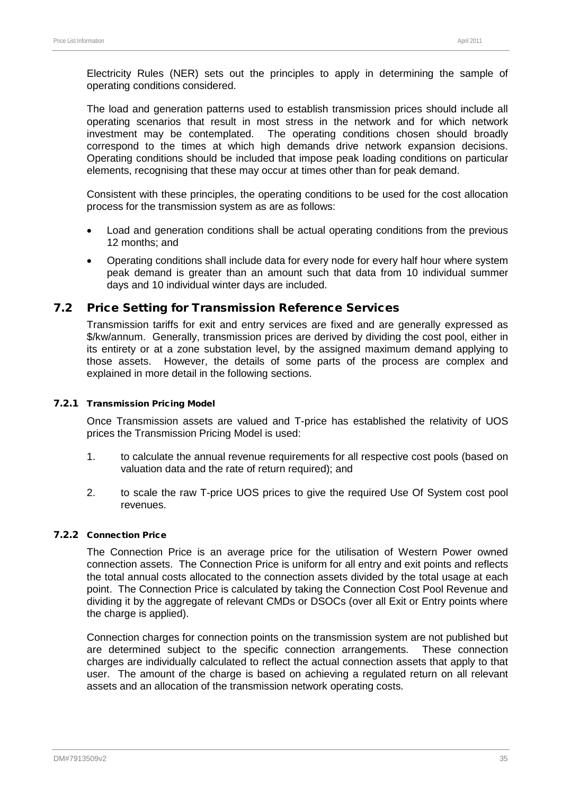Electricity Rules (NER) sets out the principles to apply in determining the sample of operating conditions considered.

The load and generation patterns used to establish transmission prices should include all operating scenarios that result in most stress in the network and for which network investment may be contemplated. The operating conditions chosen should broadly correspond to the times at which high demands drive network expansion decisions. Operating conditions should be included that impose peak loading conditions on particular elements, recognising that these may occur at times other than for peak demand.

Consistent with these principles, the operating conditions to be used for the cost allocation process for the transmission system as are as follows:

- Load and generation conditions shall be actual operating conditions from the previous 12 months; and
- Operating conditions shall include data for every node for every half hour where system peak demand is greater than an amount such that data from 10 individual summer days and 10 individual winter days are included.

## 7.2 Price Setting for Transmission Reference Services

Transmission tariffs for exit and entry services are fixed and are generally expressed as \$/kw/annum. Generally, transmission prices are derived by dividing the cost pool, either in its entirety or at a zone substation level, by the assigned maximum demand applying to those assets. However, the details of some parts of the process are complex and explained in more detail in the following sections.

#### 7.2.1 Transmission Pricing Model

Once Transmission assets are valued and T-price has established the relativity of UOS prices the Transmission Pricing Model is used:

- 1. to calculate the annual revenue requirements for all respective cost pools (based on valuation data and the rate of return required); and
- 2. to scale the raw T-price UOS prices to give the required Use Of System cost pool revenues.

### 7.2.2 Connection Price

The Connection Price is an average price for the utilisation of Western Power owned connection assets. The Connection Price is uniform for all entry and exit points and reflects the total annual costs allocated to the connection assets divided by the total usage at each point. The Connection Price is calculated by taking the Connection Cost Pool Revenue and dividing it by the aggregate of relevant CMDs or DSOCs (over all Exit or Entry points where the charge is applied).

Connection charges for connection points on the transmission system are not published but are determined subject to the specific connection arrangements. These connection charges are individually calculated to reflect the actual connection assets that apply to that user. The amount of the charge is based on achieving a regulated return on all relevant assets and an allocation of the transmission network operating costs.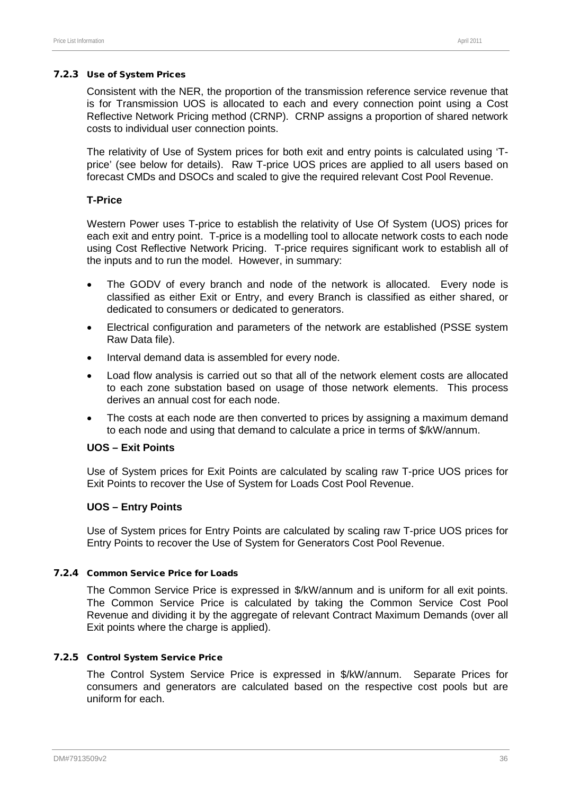#### 7.2.3 Use of System Prices

Consistent with the NER, the proportion of the transmission reference service revenue that is for Transmission UOS is allocated to each and every connection point using a Cost Reflective Network Pricing method (CRNP). CRNP assigns a proportion of shared network costs to individual user connection points.

The relativity of Use of System prices for both exit and entry points is calculated using 'Tprice' (see below for details). Raw T-price UOS prices are applied to all users based on forecast CMDs and DSOCs and scaled to give the required relevant Cost Pool Revenue.

#### **T-Price**

Western Power uses T-price to establish the relativity of Use Of System (UOS) prices for each exit and entry point. T-price is a modelling tool to allocate network costs to each node using Cost Reflective Network Pricing. T-price requires significant work to establish all of the inputs and to run the model. However, in summary:

- The GODV of every branch and node of the network is allocated. Every node is classified as either Exit or Entry, and every Branch is classified as either shared, or dedicated to consumers or dedicated to generators.
- Electrical configuration and parameters of the network are established (PSSE system Raw Data file).
- Interval demand data is assembled for every node.
- Load flow analysis is carried out so that all of the network element costs are allocated to each zone substation based on usage of those network elements. This process derives an annual cost for each node.
- The costs at each node are then converted to prices by assigning a maximum demand to each node and using that demand to calculate a price in terms of \$/kW/annum.

#### **UOS – Exit Points**

Use of System prices for Exit Points are calculated by scaling raw T-price UOS prices for Exit Points to recover the Use of System for Loads Cost Pool Revenue.

#### **UOS – Entry Points**

Use of System prices for Entry Points are calculated by scaling raw T-price UOS prices for Entry Points to recover the Use of System for Generators Cost Pool Revenue.

#### 7.2.4 Common Service Price for Loads

The Common Service Price is expressed in \$/kW/annum and is uniform for all exit points. The Common Service Price is calculated by taking the Common Service Cost Pool Revenue and dividing it by the aggregate of relevant Contract Maximum Demands (over all Exit points where the charge is applied).

#### 7.2.5 Control System Service Price

The Control System Service Price is expressed in \$/kW/annum. Separate Prices for consumers and generators are calculated based on the respective cost pools but are uniform for each.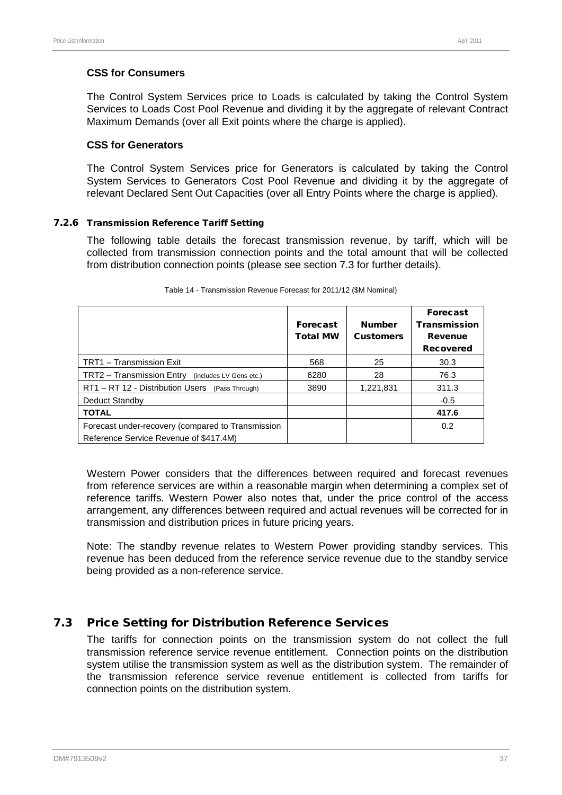### **CSS for Consumers**

The Control System Services price to Loads is calculated by taking the Control System Services to Loads Cost Pool Revenue and dividing it by the aggregate of relevant Contract Maximum Demands (over all Exit points where the charge is applied).

#### **CSS for Generators**

The Control System Services price for Generators is calculated by taking the Control System Services to Generators Cost Pool Revenue and dividing it by the aggregate of relevant Declared Sent Out Capacities (over all Entry Points where the charge is applied).

### 7.2.6 Transmission Reference Tariff Setting

The following table details the forecast transmission revenue, by tariff, which will be collected from transmission connection points and the total amount that will be collected from distribution connection points (please see section [7.3](#page-41-0) for further details).

|                                                      | <b>Forecast</b><br><b>Total MW</b> | <b>Number</b><br><b>Customers</b> | <b>Forecast</b><br><b>Transmission</b><br><b>Revenue</b><br><b>Recovered</b> |
|------------------------------------------------------|------------------------------------|-----------------------------------|------------------------------------------------------------------------------|
| TRT1 - Transmission Exit                             | 568                                | 25                                | 30.3                                                                         |
| TRT2 - Transmission Entry<br>(includes LV Gens etc.) | 6280                               | 28                                | 76.3                                                                         |
| RT1 - RT 12 - Distribution Users<br>(Pass Through)   | 3890                               | 1,221,831                         | 311.3                                                                        |
| Deduct Standby                                       |                                    |                                   | $-0.5$                                                                       |
| <b>TOTAL</b>                                         |                                    |                                   | 417.6                                                                        |
| Forecast under-recovery (compared to Transmission    |                                    |                                   | 0.2                                                                          |
| Reference Service Revenue of \$417.4M)               |                                    |                                   |                                                                              |

#### Table 14 - Transmission Revenue Forecast for 2011/12 (\$M Nominal)

Western Power considers that the differences between required and forecast revenues from reference services are within a reasonable margin when determining a complex set of reference tariffs. Western Power also notes that, under the price control of the access arrangement, any differences between required and actual revenues will be corrected for in transmission and distribution prices in future pricing years.

Note: The standby revenue relates to Western Power providing standby services. This revenue has been deduced from the reference service revenue due to the standby service being provided as a non-reference service.

## <span id="page-41-0"></span>7.3 Price Setting for Distribution Reference Services

The tariffs for connection points on the transmission system do not collect the full transmission reference service revenue entitlement. Connection points on the distribution system utilise the transmission system as well as the distribution system. The remainder of the transmission reference service revenue entitlement is collected from tariffs for connection points on the distribution system.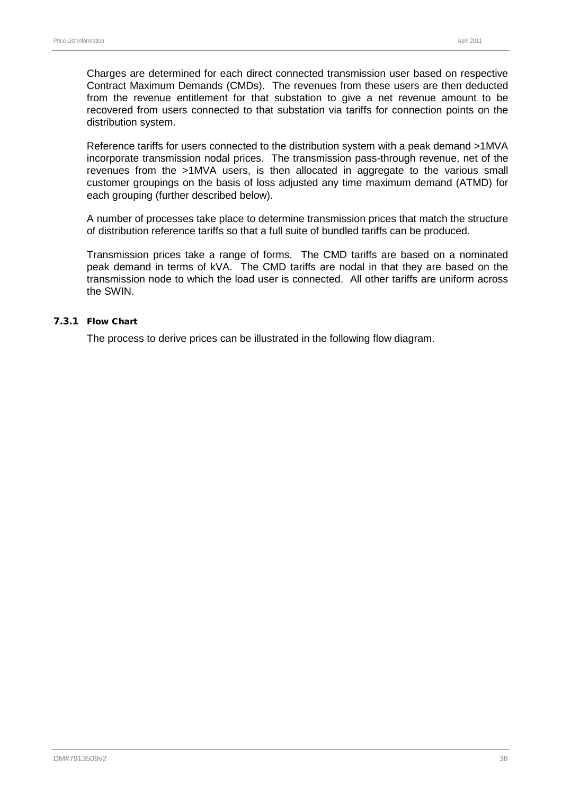Charges are determined for each direct connected transmission user based on respective Contract Maximum Demands (CMDs). The revenues from these users are then deducted from the revenue entitlement for that substation to give a net revenue amount to be recovered from users connected to that substation via tariffs for connection points on the distribution system.

Reference tariffs for users connected to the distribution system with a peak demand >1MVA incorporate transmission nodal prices. The transmission pass-through revenue, net of the revenues from the >1MVA users, is then allocated in aggregate to the various small customer groupings on the basis of loss adjusted any time maximum demand (ATMD) for each grouping (further described below).

A number of processes take place to determine transmission prices that match the structure of distribution reference tariffs so that a full suite of bundled tariffs can be produced.

Transmission prices take a range of forms. The CMD tariffs are based on a nominated peak demand in terms of kVA. The CMD tariffs are nodal in that they are based on the transmission node to which the load user is connected. All other tariffs are uniform across the SWIN.

#### 7.3.1 Flow Chart

The process to derive prices can be illustrated in the following flow diagram.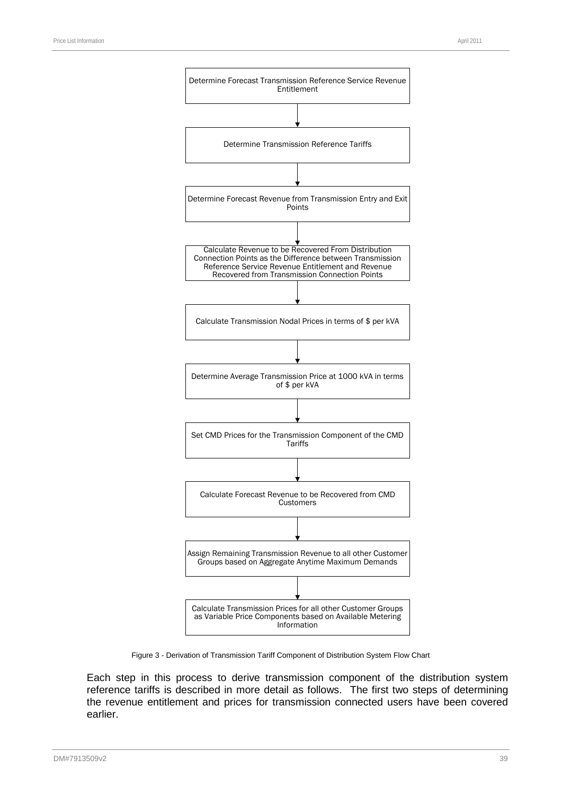

Figure 3 - Derivation of Transmission Tariff Component of Distribution System Flow Chart

Each step in this process to derive transmission component of the distribution system reference tariffs is described in more detail as follows. The first two steps of determining the revenue entitlement and prices for transmission connected users have been covered earlier.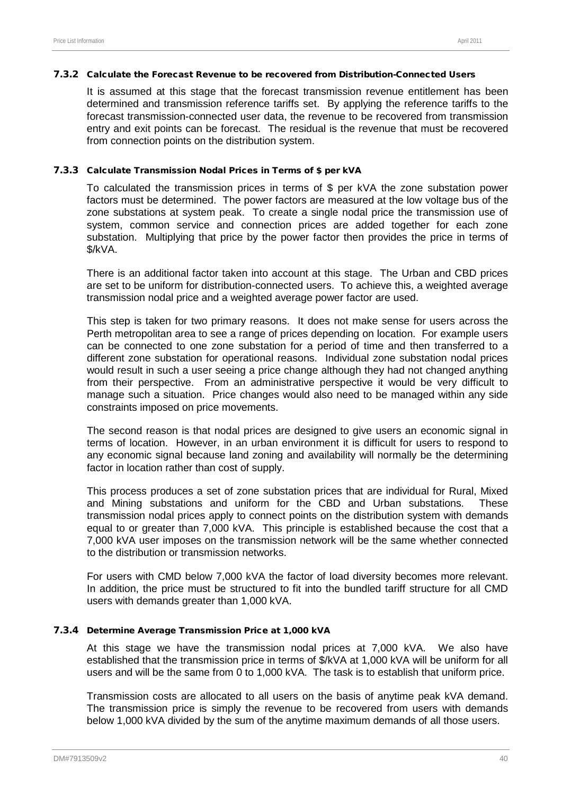#### 7.3.2 Calculate the Forecast Revenue to be recovered from Distribution-Connected Users

It is assumed at this stage that the forecast transmission revenue entitlement has been determined and transmission reference tariffs set. By applying the reference tariffs to the forecast transmission-connected user data, the revenue to be recovered from transmission entry and exit points can be forecast. The residual is the revenue that must be recovered from connection points on the distribution system.

#### 7.3.3 Calculate Transmission Nodal Prices in Terms of \$ per kVA

To calculated the transmission prices in terms of \$ per kVA the zone substation power factors must be determined. The power factors are measured at the low voltage bus of the zone substations at system peak. To create a single nodal price the transmission use of system, common service and connection prices are added together for each zone substation. Multiplying that price by the power factor then provides the price in terms of \$/kVA.

There is an additional factor taken into account at this stage. The Urban and CBD prices are set to be uniform for distribution-connected users. To achieve this, a weighted average transmission nodal price and a weighted average power factor are used.

This step is taken for two primary reasons. It does not make sense for users across the Perth metropolitan area to see a range of prices depending on location. For example users can be connected to one zone substation for a period of time and then transferred to a different zone substation for operational reasons. Individual zone substation nodal prices would result in such a user seeing a price change although they had not changed anything from their perspective. From an administrative perspective it would be very difficult to manage such a situation. Price changes would also need to be managed within any side constraints imposed on price movements.

The second reason is that nodal prices are designed to give users an economic signal in terms of location. However, in an urban environment it is difficult for users to respond to any economic signal because land zoning and availability will normally be the determining factor in location rather than cost of supply.

This process produces a set of zone substation prices that are individual for Rural, Mixed and Mining substations and uniform for the CBD and Urban substations. These transmission nodal prices apply to connect points on the distribution system with demands equal to or greater than 7,000 kVA. This principle is established because the cost that a 7,000 kVA user imposes on the transmission network will be the same whether connected to the distribution or transmission networks.

For users with CMD below 7,000 kVA the factor of load diversity becomes more relevant. In addition, the price must be structured to fit into the bundled tariff structure for all CMD users with demands greater than 1,000 kVA.

#### 7.3.4 Determine Average Transmission Price at 1,000 kVA

At this stage we have the transmission nodal prices at 7,000 kVA. We also have established that the transmission price in terms of \$/kVA at 1,000 kVA will be uniform for all users and will be the same from 0 to 1,000 kVA. The task is to establish that uniform price.

Transmission costs are allocated to all users on the basis of anytime peak kVA demand. The transmission price is simply the revenue to be recovered from users with demands below 1,000 kVA divided by the sum of the anytime maximum demands of all those users.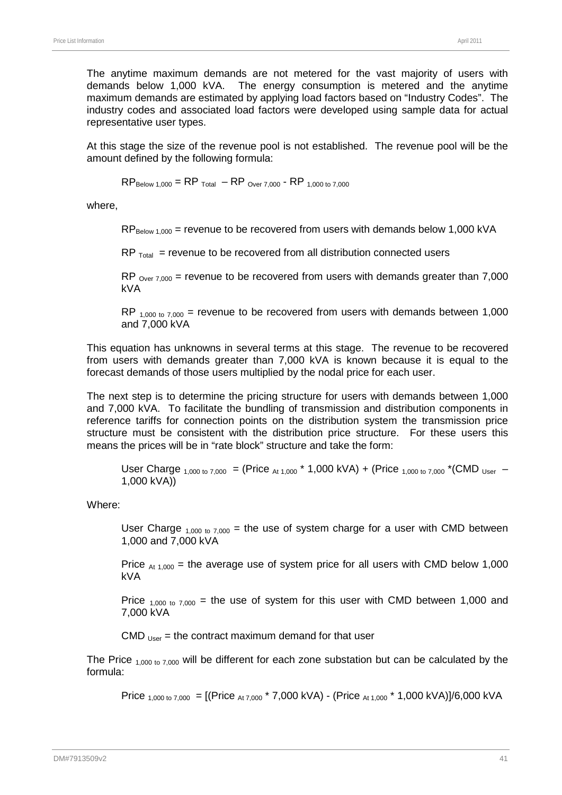The anytime maximum demands are not metered for the vast majority of users with demands below 1,000 kVA. The energy consumption is metered and the anytime maximum demands are estimated by applying load factors based on "Industry Codes". The industry codes and associated load factors were developed using sample data for actual representative user types.

At this stage the size of the revenue pool is not established. The revenue pool will be the amount defined by the following formula:

 $RP_{\text{Below 1,000}} = RP_{\text{Total}} - RP_{\text{Over 7,000}} \cdot RP_{\text{1,000 to 7,000}}$ 

where,

 $RP_{\text{Below }1.000}$  = revenue to be recovered from users with demands below 1,000 kVA

 $RP$ <sub>Total</sub> = revenue to be recovered from all distribution connected users

 $RP_{\text{Over } 7,000}$  = revenue to be recovered from users with demands greater than 7,000 kVA

RP  $_{1,000 \text{ to } 7,000}$  = revenue to be recovered from users with demands between 1,000 and 7,000 kVA

This equation has unknowns in several terms at this stage. The revenue to be recovered from users with demands greater than 7,000 kVA is known because it is equal to the forecast demands of those users multiplied by the nodal price for each user.

The next step is to determine the pricing structure for users with demands between 1,000 and 7,000 kVA. To facilitate the bundling of transmission and distribution components in reference tariffs for connection points on the distribution system the transmission price structure must be consistent with the distribution price structure. For these users this means the prices will be in "rate block" structure and take the form:

User Charge  $_{1,000 \text{ to } 7,000}$  = (Price  $_{\text{At } 1,000}$  \* 1,000 kVA) + (Price  $_{1,000 \text{ to } 7,000}$  \*(CMD  $_{\text{User}}$  – 1,000 kVA))

Where:

User Charge  $_{1,000 \text{ to } 7,000}$  = the use of system charge for a user with CMD between 1,000 and 7,000 kVA

Price  $_{4,1,000}$  = the average use of system price for all users with CMD below 1,000 kVA

Price  $_{1,000 \text{ to } 7,000}$  = the use of system for this user with CMD between 1,000 and 7,000 kVA

CMD  $_{Use}$  = the contract maximum demand for that user

The Price  $_{1,000 \text{ to } 7,000}$  will be different for each zone substation but can be calculated by the formula:

Price  $_{1,000 \text{ to } 7,000}$  = [(Price  $_{At 7,000}$  \* 7,000 kVA) - (Price  $_{At 1,000}$  \* 1,000 kVA)]/6,000 kVA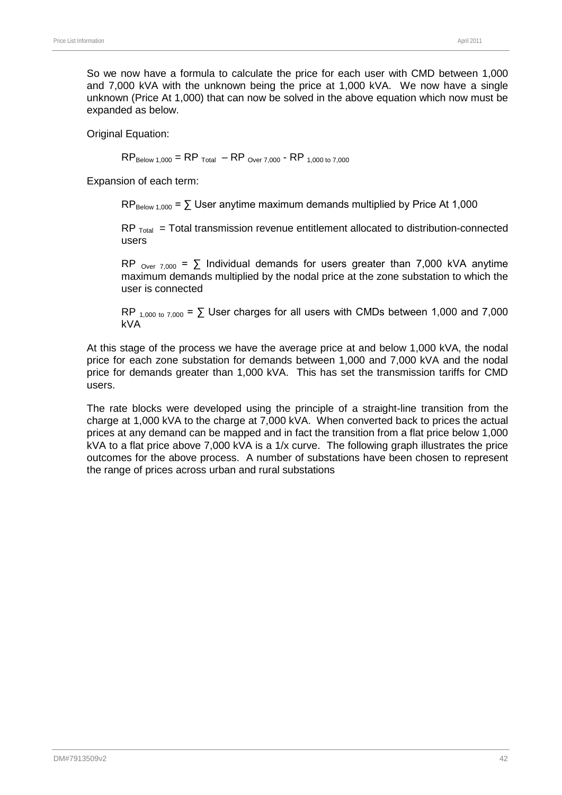So we now have a formula to calculate the price for each user with CMD between 1,000 and 7,000 kVA with the unknown being the price at 1,000 kVA. We now have a single unknown (Price At 1,000) that can now be solved in the above equation which now must be expanded as below.

Original Equation:

 $RP_{\text{Below 1,000}} = RP_{\text{Total}} - RP_{\text{Over 7,000}} \cdot RP_{\text{1,000 to 7,000}}$ 

Expansion of each term:

 $RP_{\text{Below }1.000} = \sum \text{User anytime maximum demands multiplied by Price At } 1.000$ 

 $RP$ <sub>Total</sub> = Total transmission revenue entitlement allocated to distribution-connected users

RP  $_{\text{Over } 7,000}$  =  $\sum$  Individual demands for users greater than 7,000 kVA anytime maximum demands multiplied by the nodal price at the zone substation to which the user is connected

RP  $_{1,000 \text{ to } 7,000}$  =  $\Sigma$  User charges for all users with CMDs between 1,000 and 7,000 kVA

At this stage of the process we have the average price at and below 1,000 kVA, the nodal price for each zone substation for demands between 1,000 and 7,000 kVA and the nodal price for demands greater than 1,000 kVA. This has set the transmission tariffs for CMD users.

The rate blocks were developed using the principle of a straight-line transition from the charge at 1,000 kVA to the charge at 7,000 kVA. When converted back to prices the actual prices at any demand can be mapped and in fact the transition from a flat price below 1,000 kVA to a flat price above 7,000 kVA is a 1/x curve. The following graph illustrates the price outcomes for the above process. A number of substations have been chosen to represent the range of prices across urban and rural substations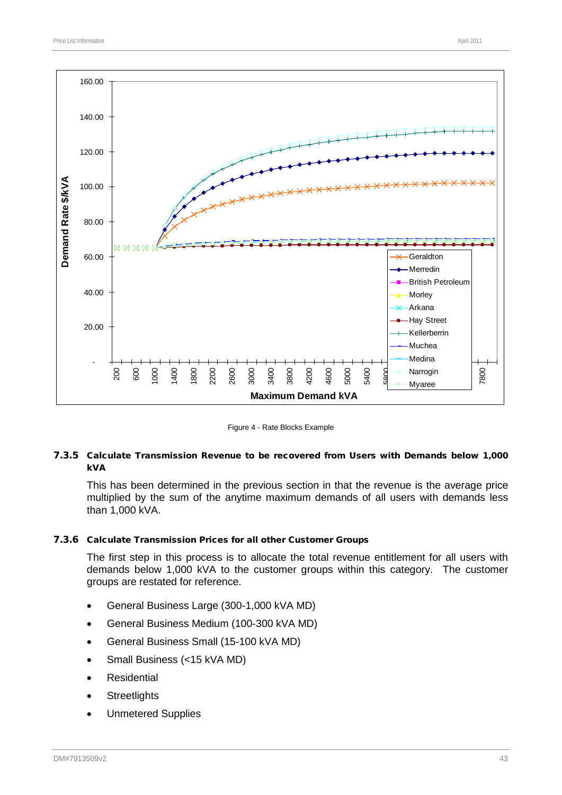

Figure 4 - Rate Blocks Example

#### 7.3.5 Calculate Transmission Revenue to be recovered from Users with Demands below 1,000 kVA

This has been determined in the previous section in that the revenue is the average price multiplied by the sum of the anytime maximum demands of all users with demands less than 1,000 kVA.

#### 7.3.6 Calculate Transmission Prices for all other Customer Groups

The first step in this process is to allocate the total revenue entitlement for all users with demands below 1,000 kVA to the customer groups within this category. The customer groups are restated for reference.

- General Business Large (300-1,000 kVA MD)
- General Business Medium (100-300 kVA MD)
- General Business Small (15-100 kVA MD)
- Small Business (<15 kVA MD)
- **Residential**
- **Streetlights**
- Unmetered Supplies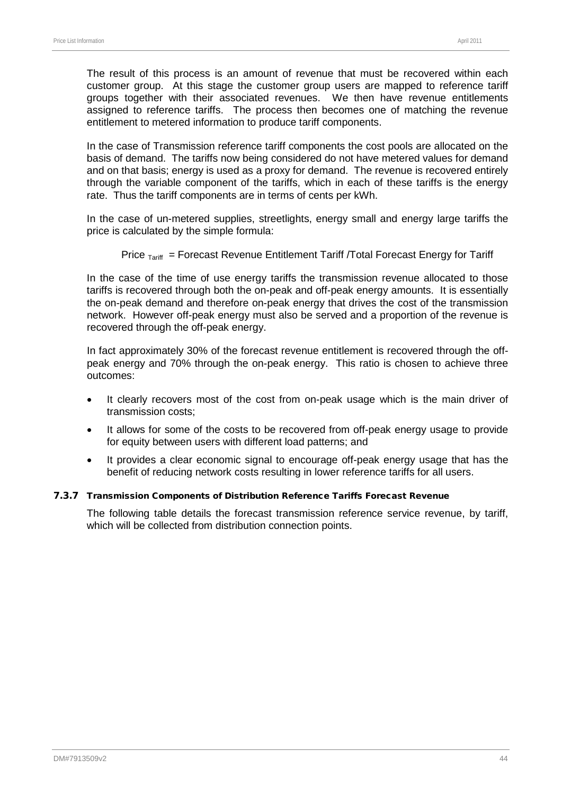The result of this process is an amount of revenue that must be recovered within each customer group. At this stage the customer group users are mapped to reference tariff groups together with their associated revenues. We then have revenue entitlements assigned to reference tariffs. The process then becomes one of matching the revenue entitlement to metered information to produce tariff components.

In the case of Transmission reference tariff components the cost pools are allocated on the basis of demand. The tariffs now being considered do not have metered values for demand and on that basis; energy is used as a proxy for demand. The revenue is recovered entirely through the variable component of the tariffs, which in each of these tariffs is the energy rate. Thus the tariff components are in terms of cents per kWh.

In the case of un-metered supplies, streetlights, energy small and energy large tariffs the price is calculated by the simple formula:

Price  $T_{\text{drift}}$  = Forecast Revenue Entitlement Tariff /Total Forecast Energy for Tariff

In the case of the time of use energy tariffs the transmission revenue allocated to those tariffs is recovered through both the on-peak and off-peak energy amounts. It is essentially the on-peak demand and therefore on-peak energy that drives the cost of the transmission network. However off-peak energy must also be served and a proportion of the revenue is recovered through the off-peak energy.

In fact approximately 30% of the forecast revenue entitlement is recovered through the offpeak energy and 70% through the on-peak energy. This ratio is chosen to achieve three outcomes:

- It clearly recovers most of the cost from on-peak usage which is the main driver of transmission costs;
- It allows for some of the costs to be recovered from off-peak energy usage to provide for equity between users with different load patterns; and
- It provides a clear economic signal to encourage off-peak energy usage that has the benefit of reducing network costs resulting in lower reference tariffs for all users.

#### 7.3.7 Transmission Components of Distribution Reference Tariffs Forecast Revenue

The following table details the forecast transmission reference service revenue, by tariff, which will be collected from distribution connection points.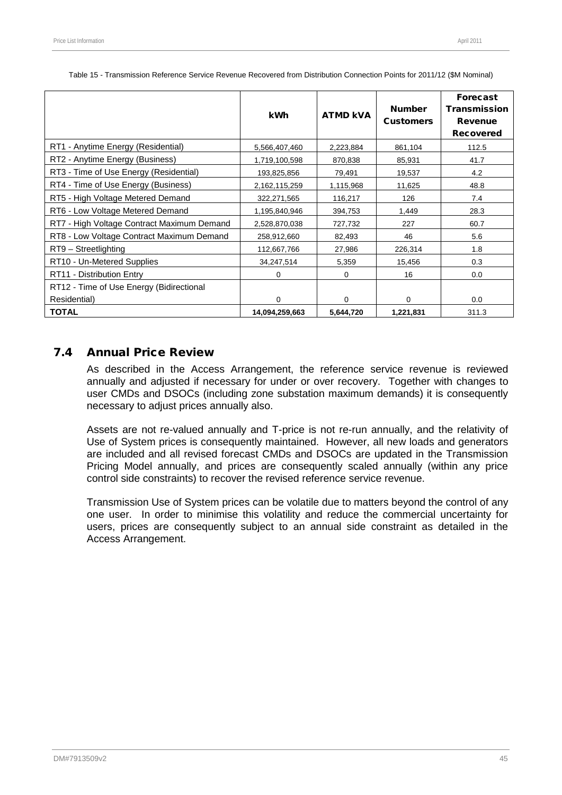|                                            | <b>kWh</b>     | <b>ATMD KVA</b> | <b>Number</b><br><b>Customers</b> | <b>Forecast</b><br><b>Transmission</b><br>Revenue<br><b>Recovered</b> |
|--------------------------------------------|----------------|-----------------|-----------------------------------|-----------------------------------------------------------------------|
| RT1 - Anytime Energy (Residential)         | 5,566,407,460  | 2,223,884       | 861,104                           | 112.5                                                                 |
| RT2 - Anytime Energy (Business)            | 1,719,100,598  | 870,838         | 85,931                            | 41.7                                                                  |
| RT3 - Time of Use Energy (Residential)     | 193,825,856    | 79,491          | 19,537                            | 4.2                                                                   |
| RT4 - Time of Use Energy (Business)        | 2,162,115,259  | 1,115,968       | 11,625                            | 48.8                                                                  |
| RT5 - High Voltage Metered Demand          | 322,271,565    | 116,217         | 126                               | 7.4                                                                   |
| RT6 - Low Voltage Metered Demand           | 1,195,840,946  | 394,753         | 1,449                             | 28.3                                                                  |
| RT7 - High Voltage Contract Maximum Demand | 2,528,870,038  | 727,732         | 227                               | 60.7                                                                  |
| RT8 - Low Voltage Contract Maximum Demand  | 258,912,660    | 82,493          | 46                                | 5.6                                                                   |
| RT9 - Streetlighting                       | 112,667,766    | 27,986          | 226,314                           | 1.8                                                                   |
| RT10 - Un-Metered Supplies                 | 34,247,514     | 5,359           | 15,456                            | 0.3                                                                   |
| RT11 - Distribution Entry                  | $\Omega$       | 0               | 16                                | 0.0                                                                   |
| RT12 - Time of Use Energy (Bidirectional   |                |                 |                                   |                                                                       |
| Residential)                               | $\Omega$       | 0               | 0                                 | 0.0                                                                   |
| <b>TOTAL</b>                               | 14,094,259,663 | 5,644,720       | 1,221,831                         | 311.3                                                                 |

Table 15 - Transmission Reference Service Revenue Recovered from Distribution Connection Points for 2011/12 (\$M Nominal)

### 7.4 Annual Price Review

As described in the Access Arrangement, the reference service revenue is reviewed annually and adjusted if necessary for under or over recovery. Together with changes to user CMDs and DSOCs (including zone substation maximum demands) it is consequently necessary to adjust prices annually also.

Assets are not re-valued annually and T-price is not re-run annually, and the relativity of Use of System prices is consequently maintained. However, all new loads and generators are included and all revised forecast CMDs and DSOCs are updated in the Transmission Pricing Model annually, and prices are consequently scaled annually (within any price control side constraints) to recover the revised reference service revenue.

Transmission Use of System prices can be volatile due to matters beyond the control of any one user. In order to minimise this volatility and reduce the commercial uncertainty for users, prices are consequently subject to an annual side constraint as detailed in the Access Arrangement.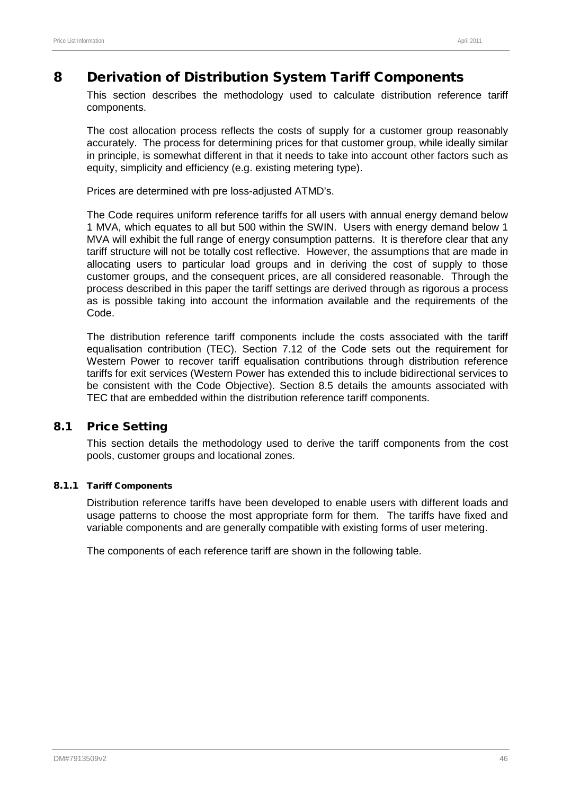# 8 Derivation of Distribution System Tariff Components

This section describes the methodology used to calculate distribution reference tariff components.

The cost allocation process reflects the costs of supply for a customer group reasonably accurately. The process for determining prices for that customer group, while ideally similar in principle, is somewhat different in that it needs to take into account other factors such as equity, simplicity and efficiency (e.g. existing metering type).

Prices are determined with pre loss-adjusted ATMD's.

The Code requires uniform reference tariffs for all users with annual energy demand below 1 MVA, which equates to all but 500 within the SWIN. Users with energy demand below 1 MVA will exhibit the full range of energy consumption patterns. It is therefore clear that any tariff structure will not be totally cost reflective. However, the assumptions that are made in allocating users to particular load groups and in deriving the cost of supply to those customer groups, and the consequent prices, are all considered reasonable. Through the process described in this paper the tariff settings are derived through as rigorous a process as is possible taking into account the information available and the requirements of the Code.

The distribution reference tariff components include the costs associated with the tariff equalisation contribution (TEC). Section 7.12 of the Code sets out the requirement for Western Power to recover tariff equalisation contributions through distribution reference tariffs for exit services (Western Power has extended this to include bidirectional services to be consistent with the Code Objective). Section [8.5](#page-62-0) details the amounts associated with TEC that are embedded within the distribution reference tariff components.

### 8.1 Price Setting

This section details the methodology used to derive the tariff components from the cost pools, customer groups and locational zones.

#### 8.1.1 Tariff Components

Distribution reference tariffs have been developed to enable users with different loads and usage patterns to choose the most appropriate form for them. The tariffs have fixed and variable components and are generally compatible with existing forms of user metering.

The components of each reference tariff are shown in the following table.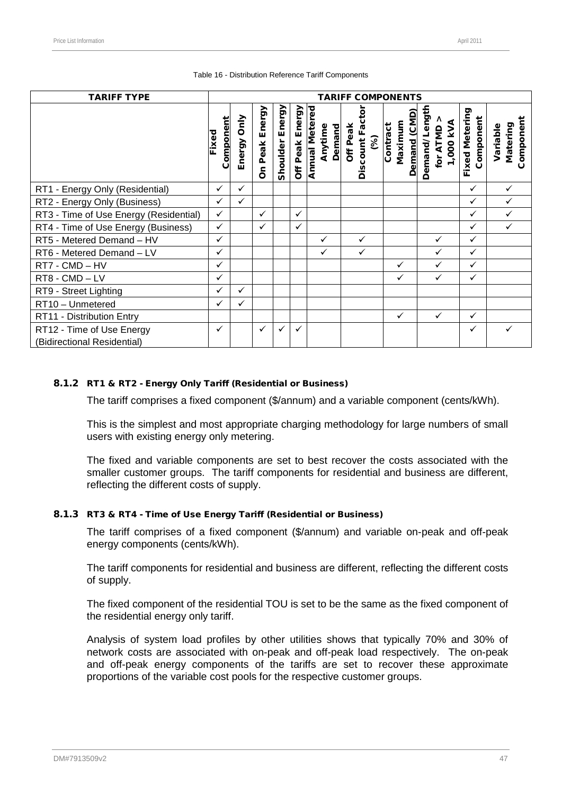| <b>TARIFF TYPE</b>                                       |                    |                |                     |                    |                 |                                            | <b>TARIFF COMPONENTS</b>             |                                     |                                        |                             |                                   |
|----------------------------------------------------------|--------------------|----------------|---------------------|--------------------|-----------------|--------------------------------------------|--------------------------------------|-------------------------------------|----------------------------------------|-----------------------------|-----------------------------------|
|                                                          | Component<br>Fixed | Only<br>Energy | Energy<br>Peak<br>δ | Energy<br>Shoulder | Off Peak Energy | <b>Annual Metered</b><br>Anytime<br>Demand | ۰<br>Discount Fac<br>Off Peak<br>(%) | Demand (CMD)<br>Maximum<br>Contract | Demand/Length<br>1,000 KVA<br>for ATMD | Fixed Metering<br>Component | Component<br>Matering<br>Variable |
| RT1 - Energy Only (Residential)                          | ✓                  | $\checkmark$   |                     |                    |                 |                                            |                                      |                                     |                                        | ✓                           | ✓                                 |
| RT2 - Energy Only (Business)                             | ✓                  | $\checkmark$   |                     |                    |                 |                                            |                                      |                                     |                                        | $\checkmark$                |                                   |
| RT3 - Time of Use Energy (Residential)                   | $\checkmark$       |                | $\checkmark$        |                    | $\checkmark$    |                                            |                                      |                                     |                                        | $\checkmark$                | $\checkmark$                      |
| RT4 - Time of Use Energy (Business)                      | $\checkmark$       |                | $\checkmark$        |                    | $\checkmark$    |                                            |                                      |                                     |                                        | $\checkmark$                | $\checkmark$                      |
| RT5 - Metered Demand - HV                                | ✓                  |                |                     |                    |                 | ✓                                          | ✓                                    |                                     |                                        | ✓                           |                                   |
| RT6 - Metered Demand - LV                                | ✓                  |                |                     |                    |                 | $\checkmark$                               | $\checkmark$                         |                                     |                                        | $\checkmark$                |                                   |
| RT7 - CMD - HV                                           | ✓                  |                |                     |                    |                 |                                            |                                      | ✓                                   |                                        | ✓                           |                                   |
| RT8 - CMD - LV                                           | ✓                  |                |                     |                    |                 |                                            |                                      | ✓                                   |                                        | ✓                           |                                   |
| RT9 - Street Lighting                                    | $\checkmark$       | ✓              |                     |                    |                 |                                            |                                      |                                     |                                        |                             |                                   |
| RT10 - Unmetered                                         | $\checkmark$       | ✓              |                     |                    |                 |                                            |                                      |                                     |                                        |                             |                                   |
| RT11 - Distribution Entry                                |                    |                |                     |                    |                 |                                            |                                      | ✓                                   | $\checkmark$                           | ✓                           |                                   |
| RT12 - Time of Use Energy<br>(Bidirectional Residential) | ✓                  |                | ✓                   |                    | ✓               |                                            |                                      |                                     |                                        | ✓                           |                                   |

#### Table 16 - Distribution Reference Tariff Components

#### 8.1.2 RT1 & RT2 - Energy Only Tariff (Residential or Business)

The tariff comprises a fixed component (\$/annum) and a variable component (cents/kWh).

This is the simplest and most appropriate charging methodology for large numbers of small users with existing energy only metering.

The fixed and variable components are set to best recover the costs associated with the smaller customer groups. The tariff components for residential and business are different, reflecting the different costs of supply.

#### 8.1.3 RT3 & RT4 - Time of Use Energy Tariff (Residential or Business)

The tariff comprises of a fixed component (\$/annum) and variable on-peak and off-peak energy components (cents/kWh).

The tariff components for residential and business are different, reflecting the different costs of supply.

The fixed component of the residential TOU is set to be the same as the fixed component of the residential energy only tariff.

Analysis of system load profiles by other utilities shows that typically 70% and 30% of network costs are associated with on-peak and off-peak load respectively. The on-peak and off-peak energy components of the tariffs are set to recover these approximate proportions of the variable cost pools for the respective customer groups.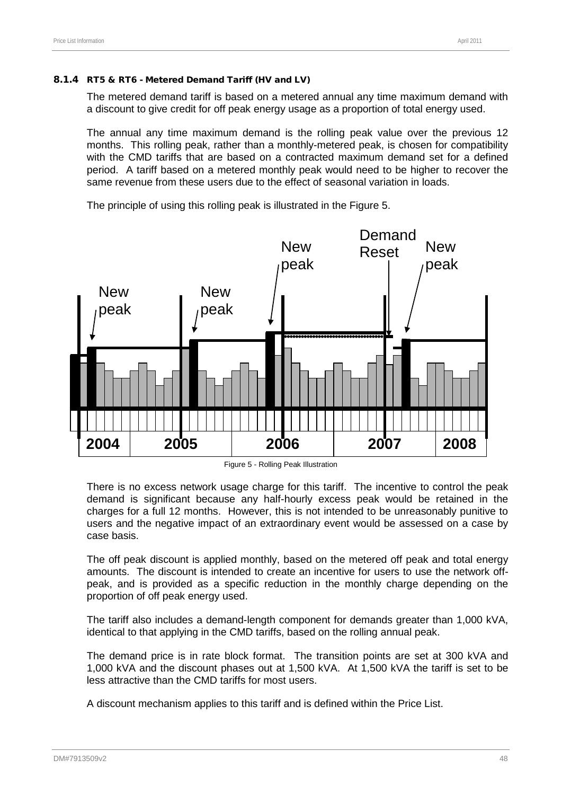#### 8.1.4 RT5 & RT6 - Metered Demand Tariff (HV and LV)

The metered demand tariff is based on a metered annual any time maximum demand with a discount to give credit for off peak energy usage as a proportion of total energy used.

The annual any time maximum demand is the rolling peak value over the previous 12 months. This rolling peak, rather than a monthly-metered peak, is chosen for compatibility with the CMD tariffs that are based on a contracted maximum demand set for a defined period. A tariff based on a metered monthly peak would need to be higher to recover the same revenue from these users due to the effect of seasonal variation in loads.



The principle of using this rolling peak is illustrated in the [Figure 5.](#page-52-0)

There is no excess network usage charge for this tariff. The incentive to control the peak demand is significant because any half-hourly excess peak would be retained in the charges for a full 12 months. However, this is not intended to be unreasonably punitive to users and the negative impact of an extraordinary event would be assessed on a case by case basis.

The off peak discount is applied monthly, based on the metered off peak and total energy amounts. The discount is intended to create an incentive for users to use the network offpeak, and is provided as a specific reduction in the monthly charge depending on the proportion of off peak energy used.

The tariff also includes a demand-length component for demands greater than 1,000 kVA, identical to that applying in the CMD tariffs, based on the rolling annual peak.

The demand price is in rate block format. The transition points are set at 300 kVA and 1,000 kVA and the discount phases out at 1,500 kVA. At 1,500 kVA the tariff is set to be less attractive than the CMD tariffs for most users.

A discount mechanism applies to this tariff and is defined within the Price List.

<span id="page-52-0"></span>Figure 5 - Rolling Peak Illustration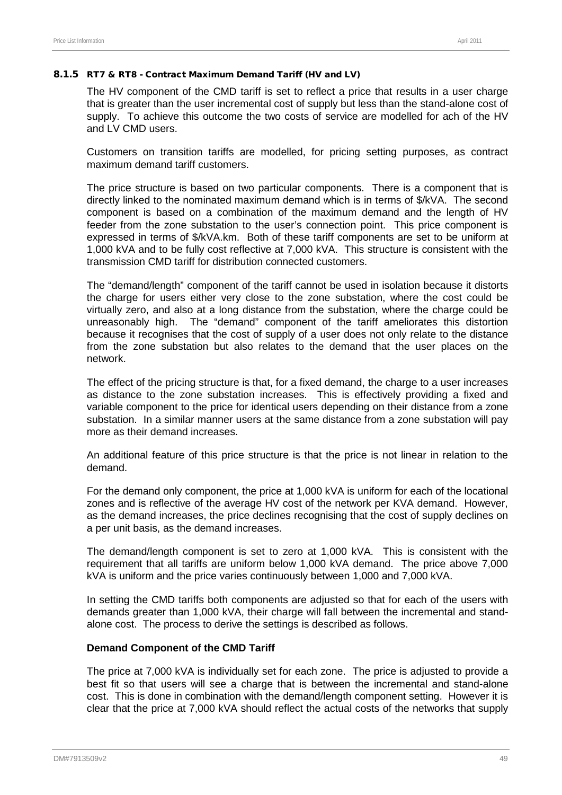#### 8.1.5 RT7 & RT8 - Contract Maximum Demand Tariff (HV and LV)

The HV component of the CMD tariff is set to reflect a price that results in a user charge that is greater than the user incremental cost of supply but less than the stand-alone cost of supply. To achieve this outcome the two costs of service are modelled for ach of the HV and LV CMD users.

Customers on transition tariffs are modelled, for pricing setting purposes, as contract maximum demand tariff customers.

The price structure is based on two particular components. There is a component that is directly linked to the nominated maximum demand which is in terms of \$/kVA. The second component is based on a combination of the maximum demand and the length of HV feeder from the zone substation to the user's connection point. This price component is expressed in terms of \$/kVA.km. Both of these tariff components are set to be uniform at 1,000 kVA and to be fully cost reflective at 7,000 kVA. This structure is consistent with the transmission CMD tariff for distribution connected customers.

The "demand/length" component of the tariff cannot be used in isolation because it distorts the charge for users either very close to the zone substation, where the cost could be virtually zero, and also at a long distance from the substation, where the charge could be unreasonably high. The "demand" component of the tariff ameliorates this distortion because it recognises that the cost of supply of a user does not only relate to the distance from the zone substation but also relates to the demand that the user places on the network.

The effect of the pricing structure is that, for a fixed demand, the charge to a user increases as distance to the zone substation increases. This is effectively providing a fixed and variable component to the price for identical users depending on their distance from a zone substation. In a similar manner users at the same distance from a zone substation will pay more as their demand increases.

An additional feature of this price structure is that the price is not linear in relation to the demand.

For the demand only component, the price at 1,000 kVA is uniform for each of the locational zones and is reflective of the average HV cost of the network per KVA demand. However, as the demand increases, the price declines recognising that the cost of supply declines on a per unit basis, as the demand increases.

The demand/length component is set to zero at 1,000 kVA. This is consistent with the requirement that all tariffs are uniform below 1,000 kVA demand. The price above 7,000 kVA is uniform and the price varies continuously between 1,000 and 7,000 kVA.

In setting the CMD tariffs both components are adjusted so that for each of the users with demands greater than 1,000 kVA, their charge will fall between the incremental and standalone cost. The process to derive the settings is described as follows.

#### **Demand Component of the CMD Tariff**

The price at 7,000 kVA is individually set for each zone. The price is adjusted to provide a best fit so that users will see a charge that is between the incremental and stand-alone cost. This is done in combination with the demand/length component setting. However it is clear that the price at 7,000 kVA should reflect the actual costs of the networks that supply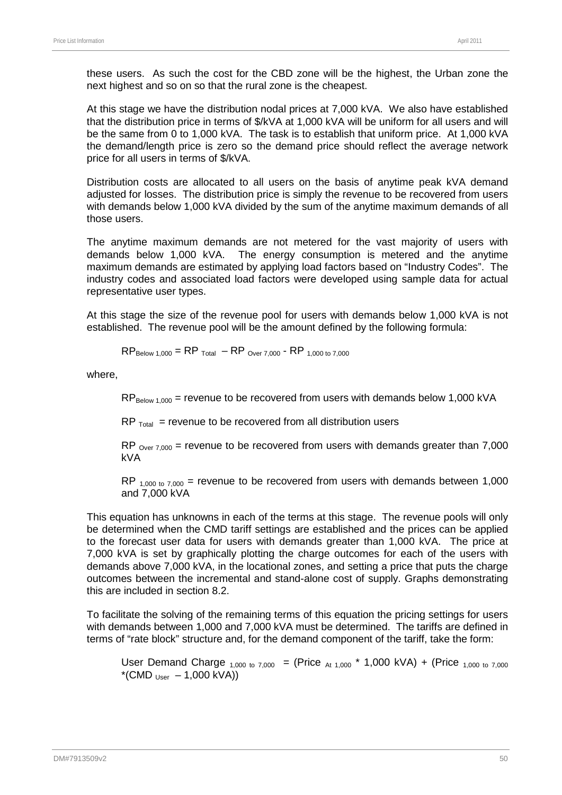these users. As such the cost for the CBD zone will be the highest, the Urban zone the next highest and so on so that the rural zone is the cheapest.

At this stage we have the distribution nodal prices at 7,000 kVA. We also have established that the distribution price in terms of \$/kVA at 1,000 kVA will be uniform for all users and will be the same from 0 to 1,000 kVA. The task is to establish that uniform price. At 1,000 kVA the demand/length price is zero so the demand price should reflect the average network price for all users in terms of \$/kVA.

Distribution costs are allocated to all users on the basis of anytime peak kVA demand adjusted for losses. The distribution price is simply the revenue to be recovered from users with demands below 1,000 kVA divided by the sum of the anytime maximum demands of all those users.

The anytime maximum demands are not metered for the vast majority of users with demands below 1,000 kVA. The energy consumption is metered and the anytime maximum demands are estimated by applying load factors based on "Industry Codes". The industry codes and associated load factors were developed using sample data for actual representative user types.

At this stage the size of the revenue pool for users with demands below 1,000 kVA is not established. The revenue pool will be the amount defined by the following formula:

$$
RP_{\text{Below 1,000}} = RP_{\text{Total}} - RP_{\text{Over 7,000}} \cdot RP_{\text{ 1,000 to 7,000}}
$$

where,

 $RP_{\text{Below 1,000}}$  = revenue to be recovered from users with demands below 1,000 kVA

 $RP$ <sub>Total</sub> = revenue to be recovered from all distribution users

RP  $_{\text{Over } 7,000}$  = revenue to be recovered from users with demands greater than 7,000 kVA

RP  $_{1,000 \text{ to } 7,000}$  = revenue to be recovered from users with demands between 1,000 and 7,000 kVA

This equation has unknowns in each of the terms at this stage. The revenue pools will only be determined when the CMD tariff settings are established and the prices can be applied to the forecast user data for users with demands greater than 1,000 kVA. The price at 7,000 kVA is set by graphically plotting the charge outcomes for each of the users with demands above 7,000 kVA, in the locational zones, and setting a price that puts the charge outcomes between the incremental and stand-alone cost of supply. Graphs demonstrating this are included in section [8.2.](#page-57-0)

To facilitate the solving of the remaining terms of this equation the pricing settings for users with demands between 1,000 and 7,000 kVA must be determined. The tariffs are defined in terms of "rate block" structure and, for the demand component of the tariff, take the form:

User Demand Charge  $_{1,000 \text{ to } 7,000}$  = (Price  $_{At 1,000}$  \* 1,000 kVA) + (Price  $_{1,000 \text{ to } 7,000}$  $*(CMD_{User} - 1,000 kVA))$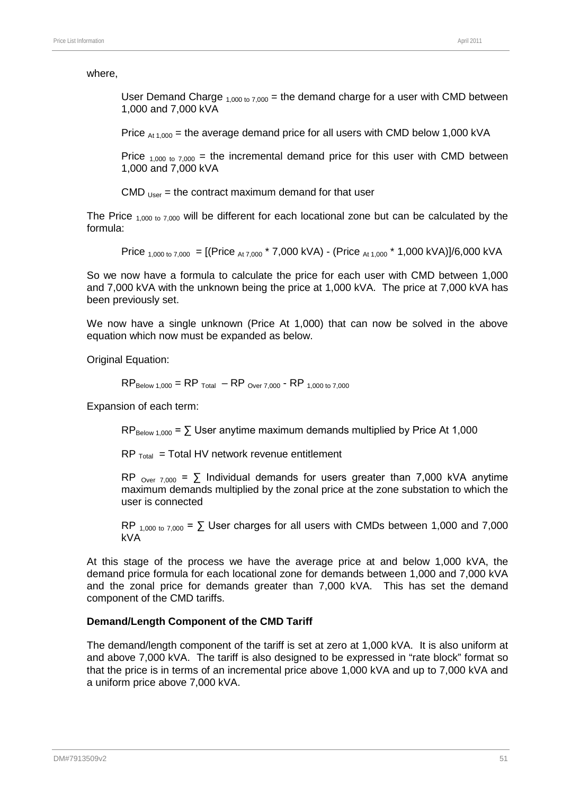#### where,

User Demand Charge  $_{1,000 \text{ to } 7,000}$  = the demand charge for a user with CMD between 1,000 and 7,000 kVA

Price  $_{At 1,000}$  = the average demand price for all users with CMD below 1,000 kVA

Price  $_{1,000 \text{ to } 7,000}$  = the incremental demand price for this user with CMD between 1,000 and 7,000 kVA

CMD  $_{Use}$  = the contract maximum demand for that user

The Price  $_{1,000 \text{ to } 7,000}$  will be different for each locational zone but can be calculated by the formula:

Price  $_{1,000 \text{ to } 7,000}$  = [(Price  $_{At 7,000}$  \* 7,000 kVA) - (Price  $_{At 1,000}$  \* 1,000 kVA)]/6,000 kVA

So we now have a formula to calculate the price for each user with CMD between 1,000 and 7,000 kVA with the unknown being the price at 1,000 kVA. The price at 7,000 kVA has been previously set.

We now have a single unknown (Price At 1,000) that can now be solved in the above equation which now must be expanded as below.

Original Equation:

 $RP_{\text{Below 1,000}} = RP_{\text{Total}} - RP_{\text{Over 7,000}}$  - RP 1,000 to 7,000

Expansion of each term:

 $RP_{\text{Below }1.000} = \sum \text{User anytime maximum demands multiplied by Price At } 1.000$ 

 $RP_{\text{Total}}$  = Total HV network revenue entitlement

RP  $_{\text{Over } 7.000}$  =  $\sum$  Individual demands for users greater than 7,000 kVA anytime maximum demands multiplied by the zonal price at the zone substation to which the user is connected

RP  $_{1,000 \text{ to } 7,000}$  =  $\Sigma$  User charges for all users with CMDs between 1,000 and 7,000 kVA

At this stage of the process we have the average price at and below 1,000 kVA, the demand price formula for each locational zone for demands between 1,000 and 7,000 kVA and the zonal price for demands greater than 7,000 kVA. This has set the demand component of the CMD tariffs.

#### **Demand/Length Component of the CMD Tariff**

The demand/length component of the tariff is set at zero at 1,000 kVA. It is also uniform at and above 7,000 kVA. The tariff is also designed to be expressed in "rate block" format so that the price is in terms of an incremental price above 1,000 kVA and up to 7,000 kVA and a uniform price above 7,000 kVA.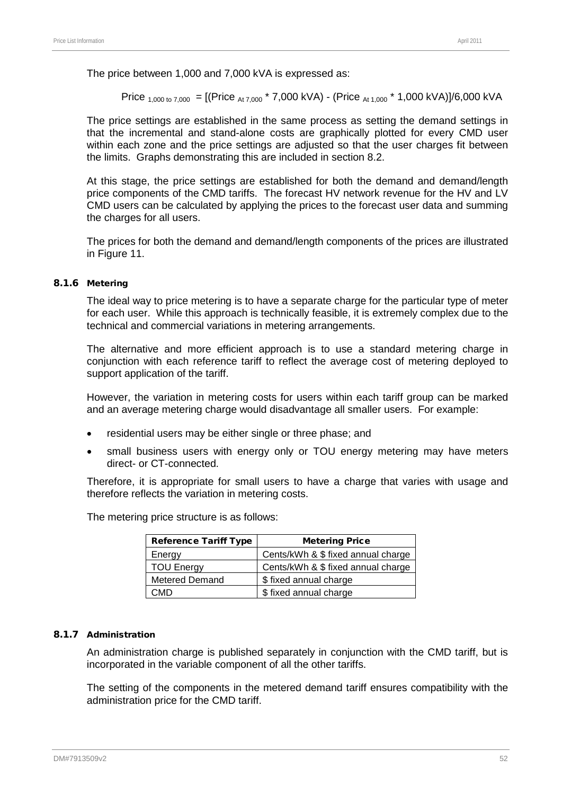The price between 1,000 and 7,000 kVA is expressed as:

Price  $_{1,000 \text{ to } 7,000}$  = [(Price  $_{At 7,000}$  \* 7,000 kVA) - (Price  $_{At 1.000}$  \* 1,000 kVA)]/6,000 kVA

The price settings are established in the same process as setting the demand settings in that the incremental and stand-alone costs are graphically plotted for every CMD user within each zone and the price settings are adjusted so that the user charges fit between the limits. Graphs demonstrating this are included in section [8.2.](#page-57-0)

At this stage, the price settings are established for both the demand and demand/length price components of the CMD tariffs. The forecast HV network revenue for the HV and LV CMD users can be calculated by applying the prices to the forecast user data and summing the charges for all users.

The prices for both the demand and demand/length components of the prices are illustrated in [Figure 11.](#page-60-0)

#### 8.1.6 Metering

The ideal way to price metering is to have a separate charge for the particular type of meter for each user. While this approach is technically feasible, it is extremely complex due to the technical and commercial variations in metering arrangements.

The alternative and more efficient approach is to use a standard metering charge in conjunction with each reference tariff to reflect the average cost of metering deployed to support application of the tariff.

However, the variation in metering costs for users within each tariff group can be marked and an average metering charge would disadvantage all smaller users. For example:

- residential users may be either single or three phase; and
- small business users with energy only or TOU energy metering may have meters direct- or CT-connected.

Therefore, it is appropriate for small users to have a charge that varies with usage and therefore reflects the variation in metering costs.

The metering price structure is as follows:

| <b>Reference Tariff Type</b> | <b>Metering Price</b>              |
|------------------------------|------------------------------------|
| Energy                       | Cents/kWh & \$ fixed annual charge |
| <b>TOU Energy</b>            | Cents/kWh & \$ fixed annual charge |
| <b>Metered Demand</b>        | \$ fixed annual charge             |
| ΩMD                          | \$ fixed annual charge             |

#### 8.1.7 Administration

An administration charge is published separately in conjunction with the CMD tariff, but is incorporated in the variable component of all the other tariffs.

The setting of the components in the metered demand tariff ensures compatibility with the administration price for the CMD tariff.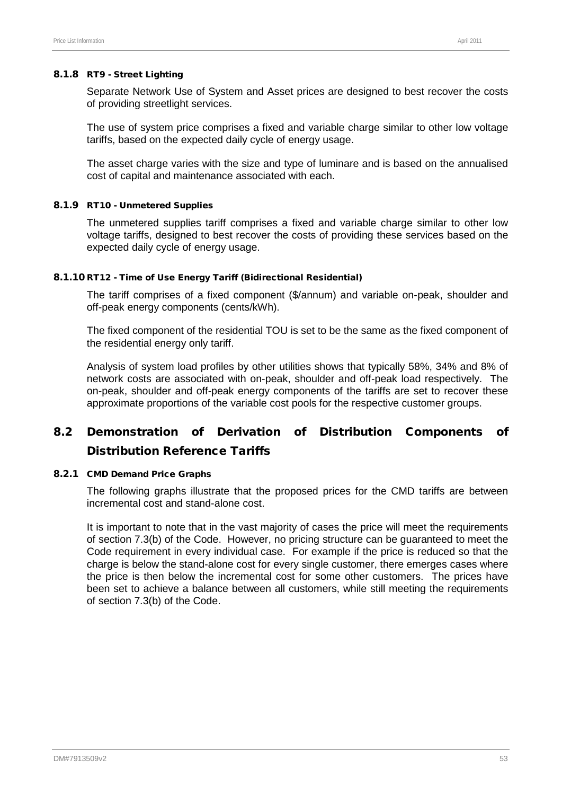#### 8.1.8 RT9 - Street Lighting

Separate Network Use of System and Asset prices are designed to best recover the costs of providing streetlight services.

The use of system price comprises a fixed and variable charge similar to other low voltage tariffs, based on the expected daily cycle of energy usage.

The asset charge varies with the size and type of luminare and is based on the annualised cost of capital and maintenance associated with each.

#### 8.1.9 RT10 - Unmetered Supplies

The unmetered supplies tariff comprises a fixed and variable charge similar to other low voltage tariffs, designed to best recover the costs of providing these services based on the expected daily cycle of energy usage.

#### 8.1.10 RT12 - Time of Use Energy Tariff (Bidirectional Residential)

The tariff comprises of a fixed component (\$/annum) and variable on-peak, shoulder and off-peak energy components (cents/kWh).

The fixed component of the residential TOU is set to be the same as the fixed component of the residential energy only tariff.

Analysis of system load profiles by other utilities shows that typically 58%, 34% and 8% of network costs are associated with on-peak, shoulder and off-peak load respectively. The on-peak, shoulder and off-peak energy components of the tariffs are set to recover these approximate proportions of the variable cost pools for the respective customer groups.

# <span id="page-57-0"></span>8.2 Demonstration of Derivation of Distribution Components of Distribution Reference Tariffs

#### 8.2.1 CMD Demand Price Graphs

The following graphs illustrate that the proposed prices for the CMD tariffs are between incremental cost and stand-alone cost.

It is important to note that in the vast majority of cases the price will meet the requirements of section 7.3(b) of the Code. However, no pricing structure can be guaranteed to meet the Code requirement in every individual case. For example if the price is reduced so that the charge is below the stand-alone cost for every single customer, there emerges cases where the price is then below the incremental cost for some other customers. The prices have been set to achieve a balance between all customers, while still meeting the requirements of section 7.3(b) of the Code.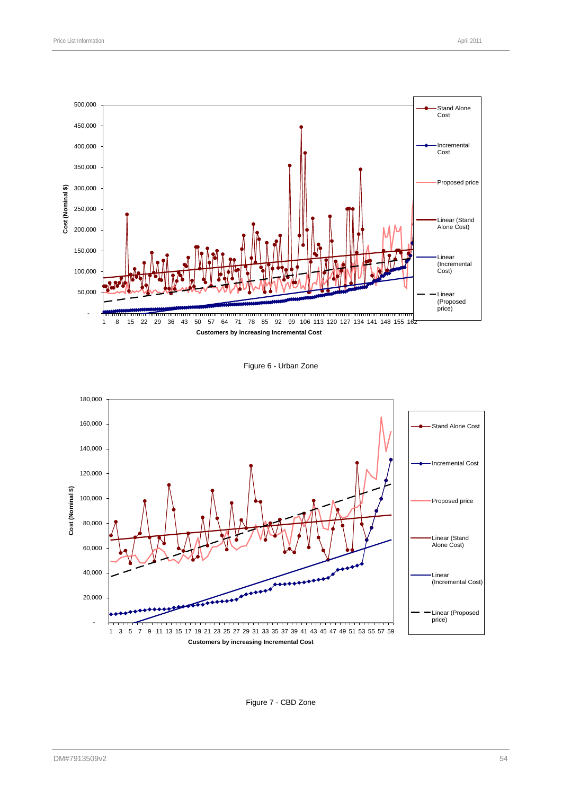



#### **Customers by increasing Incremental Cost**

#### Figure 6 - Urban Zone



#### Figure 7 - CBD Zone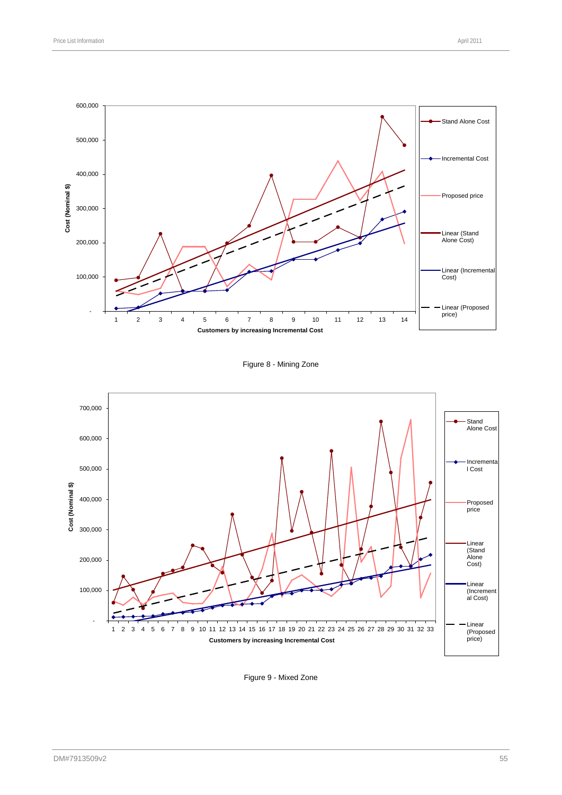

Figure 8 - Mining Zone



Figure 9 - Mixed Zone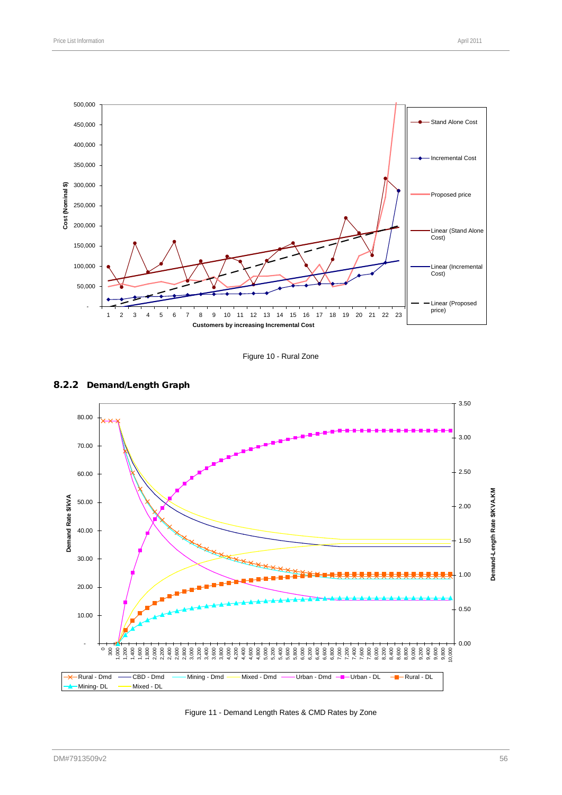Figure 10 - Rural Zone



<span id="page-60-0"></span>Figure 11 - Demand Length Rates & CMD Rates by Zone



#### 8.2.2 Demand/Length Graph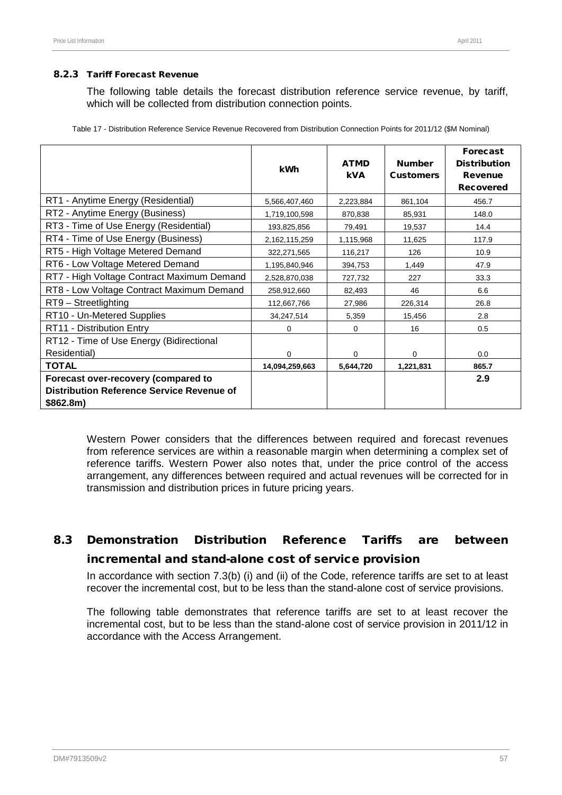#### 8.2.3 Tariff Forecast Revenue

The following table details the forecast distribution reference service revenue, by tariff, which will be collected from distribution connection points.

|                                                                                                      | kWh            | <b>ATMD</b><br><b>kVA</b> | <b>Number</b><br><b>Customers</b> | <b>Forecast</b><br><b>Distribution</b><br><b>Revenue</b><br><b>Recovered</b> |
|------------------------------------------------------------------------------------------------------|----------------|---------------------------|-----------------------------------|------------------------------------------------------------------------------|
| RT1 - Anytime Energy (Residential)                                                                   | 5,566,407,460  | 2,223,884                 | 861,104                           | 456.7                                                                        |
| RT2 - Anytime Energy (Business)                                                                      | 1,719,100,598  | 870,838                   | 85,931                            | 148.0                                                                        |
| RT3 - Time of Use Energy (Residential)                                                               | 193,825,856    | 79,491                    | 19,537                            | 14.4                                                                         |
| RT4 - Time of Use Energy (Business)                                                                  | 2,162,115,259  | 1,115,968                 | 11,625                            | 117.9                                                                        |
| RT5 - High Voltage Metered Demand                                                                    | 322,271,565    | 116,217                   | 126                               | 10.9                                                                         |
| RT6 - Low Voltage Metered Demand                                                                     | 1,195,840,946  | 394,753                   | 1,449                             | 47.9                                                                         |
| RT7 - High Voltage Contract Maximum Demand                                                           | 2,528,870,038  | 727,732                   | 227                               | 33.3                                                                         |
| RT8 - Low Voltage Contract Maximum Demand                                                            | 258,912,660    | 82,493                    | 46                                | 6.6                                                                          |
| RT9 - Streetlighting                                                                                 | 112,667,766    | 27,986                    | 226,314                           | 26.8                                                                         |
| RT10 - Un-Metered Supplies                                                                           | 34,247,514     | 5,359                     | 15,456                            | 2.8                                                                          |
| RT11 - Distribution Entry                                                                            | 0              | $\mathbf 0$               | 16                                | 0.5                                                                          |
| RT12 - Time of Use Energy (Bidirectional                                                             |                |                           |                                   |                                                                              |
| Residential)                                                                                         | $\Omega$       | 0                         | 0                                 | 0.0                                                                          |
| <b>TOTAL</b>                                                                                         | 14,094,259,663 | 5,644,720                 | 1,221,831                         | 865.7                                                                        |
| Forecast over-recovery (compared to<br><b>Distribution Reference Service Revenue of</b><br>\$862.8m) |                |                           |                                   | 2.9                                                                          |

Table 17 - Distribution Reference Service Revenue Recovered from Distribution Connection Points for 2011/12 (\$M Nominal)

Western Power considers that the differences between required and forecast revenues from reference services are within a reasonable margin when determining a complex set of reference tariffs. Western Power also notes that, under the price control of the access arrangement, any differences between required and actual revenues will be corrected for in transmission and distribution prices in future pricing years.

# <span id="page-61-0"></span>8.3 Demonstration Distribution Reference Tariffs are between incremental and stand-alone cost of service provision

In accordance with section 7.3(b) (i) and (ii) of the Code, reference tariffs are set to at least recover the incremental cost, but to be less than the stand-alone cost of service provisions.

The following table demonstrates that reference tariffs are set to at least recover the incremental cost, but to be less than the stand-alone cost of service provision in 2011/12 in accordance with the Access Arrangement.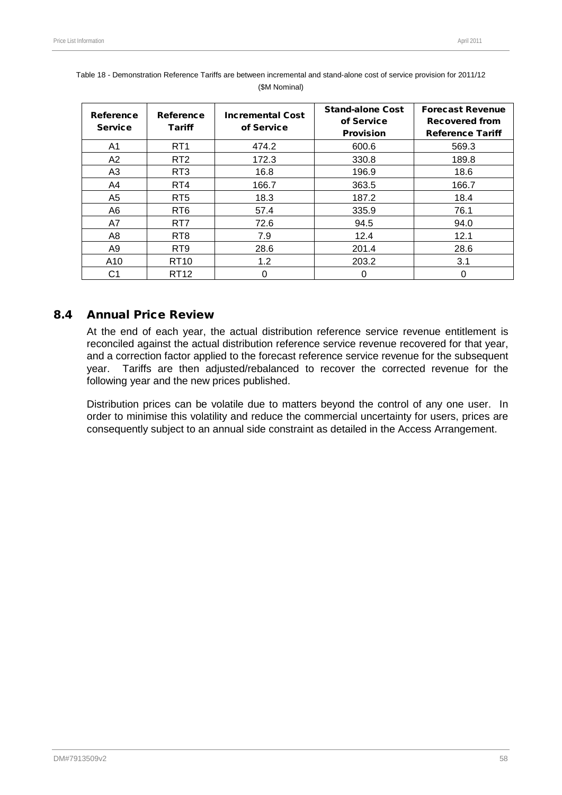| Reference<br><b>Service</b> | Reference<br><b>Tariff</b> | <b>Incremental Cost</b><br>of Service | <b>Stand-alone Cost</b><br>of Service<br><b>Provision</b> | <b>Forecast Revenue</b><br><b>Recovered from</b><br><b>Reference Tariff</b> |
|-----------------------------|----------------------------|---------------------------------------|-----------------------------------------------------------|-----------------------------------------------------------------------------|
| A1                          | RT <sub>1</sub>            | 474.2                                 | 600.6                                                     | 569.3                                                                       |
| A2                          | RT <sub>2</sub>            | 172.3                                 | 330.8                                                     | 189.8                                                                       |
| A <sub>3</sub>              | RT <sub>3</sub>            | 16.8                                  | 196.9                                                     | 18.6                                                                        |
| A4                          | RT4                        | 166.7                                 | 363.5                                                     | 166.7                                                                       |
| A5                          | RT <sub>5</sub>            | 18.3                                  | 187.2                                                     | 18.4                                                                        |
| A6                          | RT <sub>6</sub>            | 57.4                                  | 335.9                                                     | 76.1                                                                        |
| A7                          | RT7                        | 72.6                                  | 94.5                                                      | 94.0                                                                        |
| A8                          | RT <sub>8</sub>            | 7.9                                   | 12.4                                                      | 12.1                                                                        |
| A9                          | RT <sub>9</sub>            | 28.6                                  | 201.4                                                     | 28.6                                                                        |
| A10                         | <b>RT10</b>                | 1.2                                   | 203.2                                                     | 3.1                                                                         |
| C1                          | RT <sub>12</sub>           |                                       | 0                                                         | 0                                                                           |

|  | Table 18 - Demonstration Reference Tariffs are between incremental and stand-alone cost of service provision for 2011/12 |  |  |
|--|--------------------------------------------------------------------------------------------------------------------------|--|--|
|  | (\$M Nominal)                                                                                                            |  |  |

## 8.4 Annual Price Review

At the end of each year, the actual distribution reference service revenue entitlement is reconciled against the actual distribution reference service revenue recovered for that year, and a correction factor applied to the forecast reference service revenue for the subsequent year. Tariffs are then adjusted/rebalanced to recover the corrected revenue for the following year and the new prices published.

<span id="page-62-0"></span>Distribution prices can be volatile due to matters beyond the control of any one user. In order to minimise this volatility and reduce the commercial uncertainty for users, prices are consequently subject to an annual side constraint as detailed in the Access Arrangement.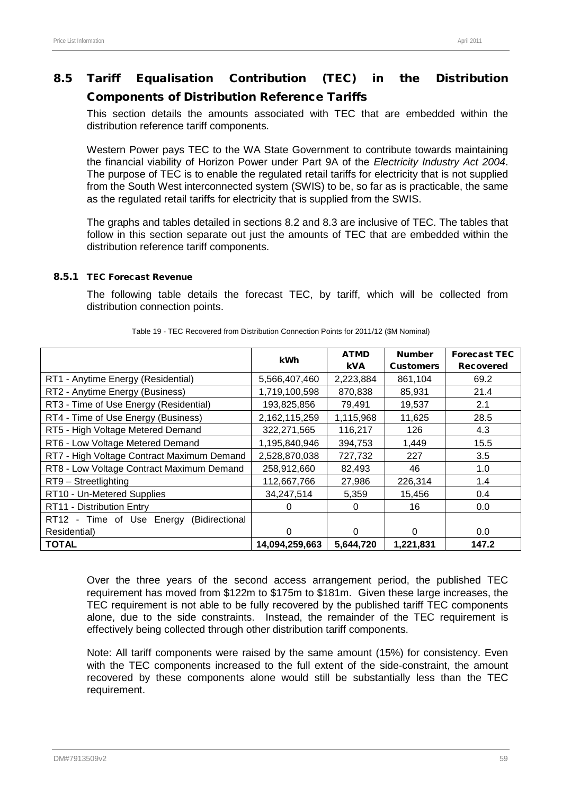# 8.5 Tariff Equalisation Contribution (TEC) in the Distribution Components of Distribution Reference Tariffs

This section details the amounts associated with TEC that are embedded within the distribution reference tariff components.

Western Power pays TEC to the WA State Government to contribute towards maintaining the financial viability of Horizon Power under Part 9A of the *Electricity Industry Act 2004*. The purpose of TEC is to enable the regulated retail tariffs for electricity that is not supplied from the South West interconnected system (SWIS) to be, so far as is practicable, the same as the regulated retail tariffs for electricity that is supplied from the SWIS.

The graphs and tables detailed in sections [8.2](#page-57-0) and [8.3](#page-61-0) are inclusive of TEC. The tables that follow in this section separate out just the amounts of TEC that are embedded within the distribution reference tariff components.

### 8.5.1 TEC Forecast Revenue

The following table details the forecast TEC, by tariff, which will be collected from distribution connection points.

|                                             | kWh            | <b>ATMD</b> | <b>Number</b>    | <b>Forecast TEC</b> |
|---------------------------------------------|----------------|-------------|------------------|---------------------|
|                                             |                | <b>kVA</b>  | <b>Customers</b> | <b>Recovered</b>    |
| RT1 - Anytime Energy (Residential)          | 5,566,407,460  | 2,223,884   | 861,104          | 69.2                |
| RT2 - Anytime Energy (Business)             | 1,719,100,598  | 870,838     | 85,931           | 21.4                |
| RT3 - Time of Use Energy (Residential)      | 193,825,856    | 79,491      | 19,537           | 2.1                 |
| RT4 - Time of Use Energy (Business)         | 2,162,115,259  | 1,115,968   | 11,625           | 28.5                |
| RT5 - High Voltage Metered Demand           | 322,271,565    | 116,217     | 126              | 4.3                 |
| RT6 - Low Voltage Metered Demand            | 1,195,840,946  | 394,753     | 1,449            | 15.5                |
| RT7 - High Voltage Contract Maximum Demand  | 2,528,870,038  | 727,732     | 227              | 3.5                 |
| RT8 - Low Voltage Contract Maximum Demand   | 258,912,660    | 82,493      | 46               | 1.0                 |
| RT9 - Streetlighting                        | 112,667,766    | 27,986      | 226,314          | 1.4                 |
| RT10 - Un-Metered Supplies                  | 34,247,514     | 5,359       | 15,456           | 0.4                 |
| RT11 - Distribution Entry                   | $\Omega$       | 0           | 16               | 0.0                 |
| RT12 - Time of Use Energy<br>(Bidirectional |                |             |                  |                     |
| Residential)                                | $\Omega$       | $\Omega$    | $\Omega$         | 0.0                 |
| <b>TOTAL</b>                                | 14,094,259,663 | 5,644,720   | 1,221,831        | 147.2               |

Table 19 - TEC Recovered from Distribution Connection Points for 2011/12 (\$M Nominal)

Over the three years of the second access arrangement period, the published TEC requirement has moved from \$122m to \$175m to \$181m. Given these large increases, the TEC requirement is not able to be fully recovered by the published tariff TEC components alone, due to the side constraints. Instead, the remainder of the TEC requirement is effectively being collected through other distribution tariff components.

Note: All tariff components were raised by the same amount (15%) for consistency. Even with the TEC components increased to the full extent of the side-constraint, the amount recovered by these components alone would still be substantially less than the TEC requirement.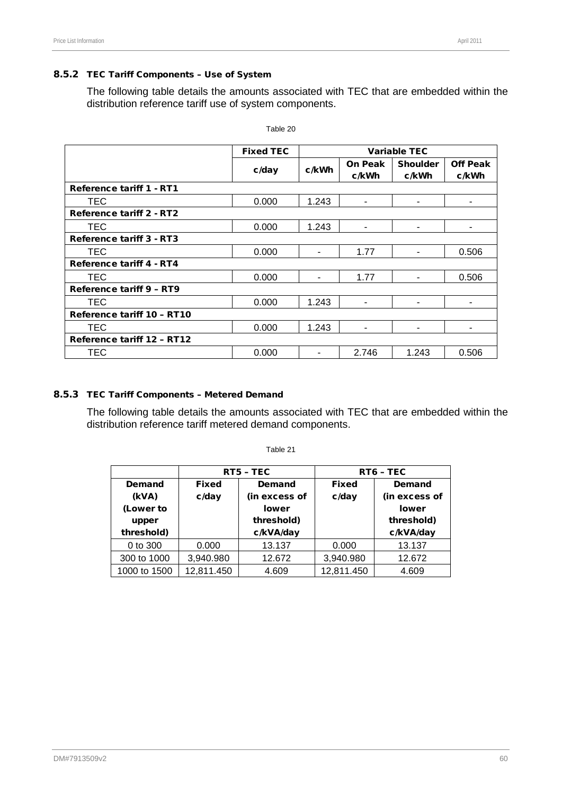#### 8.5.2 TEC Tariff Components – Use of System

The following table details the amounts associated with TEC that are embedded within the distribution reference tariff use of system components.

|                                 | <b>Fixed TEC</b> | <b>Variable TEC</b> |                |                 |                 |  |
|---------------------------------|------------------|---------------------|----------------|-----------------|-----------------|--|
|                                 |                  | c/kWh               | <b>On Peak</b> | <b>Shoulder</b> | <b>Off Peak</b> |  |
|                                 | c/day            |                     | c/kWh          | c/kWh           | c/kWh           |  |
| <b>Reference tariff 1 - RT1</b> |                  |                     |                |                 |                 |  |
| TEC.                            | 0.000            | 1.243               |                |                 |                 |  |
| <b>Reference tariff 2 - RT2</b> |                  |                     |                |                 |                 |  |
| TEC                             | 0.000            | 1.243               | ۰              | ۰               | ۰               |  |
| Reference tariff 3 - RT3        |                  |                     |                |                 |                 |  |
| TEC.                            | 0.000            |                     | 1.77           |                 | 0.506           |  |
| <b>Reference tariff 4 - RT4</b> |                  |                     |                |                 |                 |  |
| TEC                             | 0.000            |                     | 1.77           |                 | 0.506           |  |
| Reference tariff 9 - RT9        |                  |                     |                |                 |                 |  |
| <b>TEC</b>                      | 0.000            | 1.243               |                |                 |                 |  |
| Reference tariff 10 - RT10      |                  |                     |                |                 |                 |  |
| TEC                             | 0.000            | 1.243               |                |                 |                 |  |
| Reference tariff 12 - RT12      |                  |                     |                |                 |                 |  |
| TEC                             | 0.000            |                     | 2.746          | 1.243           | 0.506           |  |

Table 20

#### 8.5.3 TEC Tariff Components – Metered Demand

The following table details the amounts associated with TEC that are embedded within the distribution reference tariff metered demand components.

|              |              | RT5 - TEC     | RT6 - TEC    |               |  |
|--------------|--------------|---------------|--------------|---------------|--|
| Demand       | <b>Fixed</b> | Demand        | <b>Fixed</b> | Demand        |  |
| (kVA)        | c/day        | (in excess of | c/day        | (in excess of |  |
| (Lower to    |              | <b>lower</b>  |              | <b>lower</b>  |  |
| upper        |              | threshold)    |              | threshold)    |  |
| threshold)   |              | c/kVA/day     |              | c/kVA/day     |  |
| 0 to 300     | 0.000        | 13.137        | 0.000        | 13.137        |  |
| 300 to 1000  | 3,940.980    | 12.672        | 3,940.980    | 12.672        |  |
| 1000 to 1500 | 12,811.450   | 4.609         | 12,811.450   | 4.609         |  |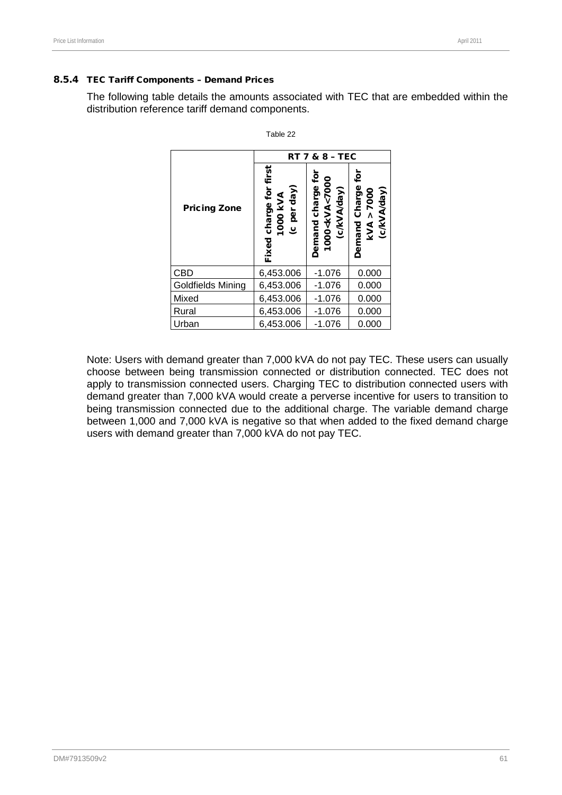#### 8.5.4 TEC Tariff Components – Demand Prices

The following table details the amounts associated with TEC that are embedded within the distribution reference tariff demand components.

|                                                                             | <b>RT 7 &amp; 8 - TEC</b> |                                                                    |                                                 |  |  |  |  |
|-----------------------------------------------------------------------------|---------------------------|--------------------------------------------------------------------|-------------------------------------------------|--|--|--|--|
| charge for first<br>(c per day)<br>1000 kVA<br><b>Pricing Zone</b><br>Fixed |                           | ē<br>1000 <kva<7000<br>Demand charge<br/>(c/kVA/day)</kva<7000<br> | ē<br>Demand Charge<br>(c/kVA/day)<br>kVA > 7000 |  |  |  |  |
| CBD                                                                         | 6,453.006                 | $-1.076$                                                           | 0.000                                           |  |  |  |  |
| Goldfields Mining                                                           | 6,453.006                 | $-1.076$                                                           | 0.000                                           |  |  |  |  |
| Mixed                                                                       | 6,453.006                 | $-1.076$                                                           | 0.000                                           |  |  |  |  |
| Rural                                                                       | 6,453.006                 | $-1.076$                                                           | 0.000                                           |  |  |  |  |
| Urban                                                                       | 6,453.006                 | $-1.076$                                                           | 0.000                                           |  |  |  |  |

Table 22

Note: Users with demand greater than 7,000 kVA do not pay TEC. These users can usually choose between being transmission connected or distribution connected. TEC does not apply to transmission connected users. Charging TEC to distribution connected users with demand greater than 7,000 kVA would create a perverse incentive for users to transition to being transmission connected due to the additional charge. The variable demand charge between 1,000 and 7,000 kVA is negative so that when added to the fixed demand charge users with demand greater than 7,000 kVA do not pay TEC.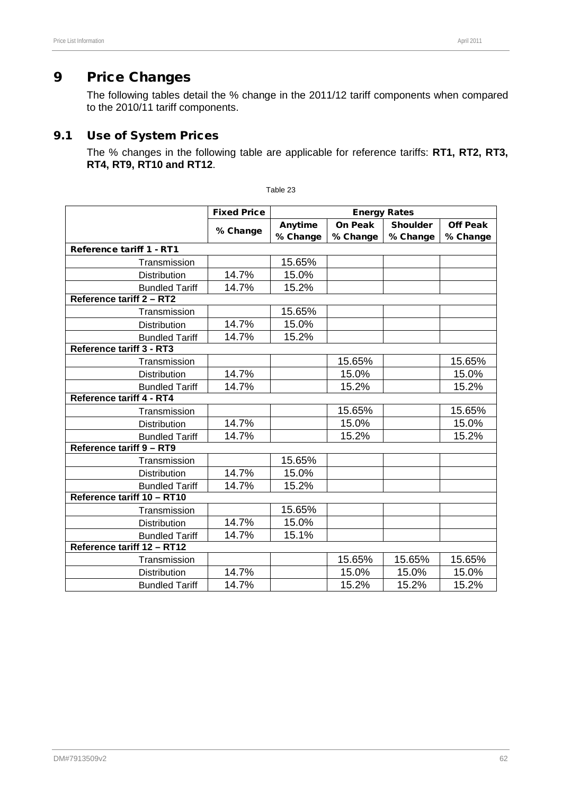The following tables detail the % change in the 2011/12 tariff components when compared to the 2010/11 tariff components.

## 9.1 Use of System Prices

The % changes in the following table are applicable for reference tariffs: **RT1, RT2, RT3, RT4, RT9, RT10 and RT12**.

|                                 | <b>Fixed Price</b> | <b>Energy Rates</b> |          |                 |                 |  |
|---------------------------------|--------------------|---------------------|----------|-----------------|-----------------|--|
|                                 |                    | Anytime             | On Peak  | <b>Shoulder</b> | <b>Off Peak</b> |  |
|                                 | % Change           | % Change            | % Change | % Change        | % Change        |  |
| Reference tariff 1 - RT1        |                    |                     |          |                 |                 |  |
| Transmission                    |                    | 15.65%              |          |                 |                 |  |
| Distribution                    | 14.7%              | 15.0%               |          |                 |                 |  |
| <b>Bundled Tariff</b>           | 14.7%              | 15.2%               |          |                 |                 |  |
| Reference tariff 2 - RT2        |                    |                     |          |                 |                 |  |
| Transmission                    |                    | 15.65%              |          |                 |                 |  |
| <b>Distribution</b>             | 14.7%              | 15.0%               |          |                 |                 |  |
| <b>Bundled Tariff</b>           | 14.7%              | 15.2%               |          |                 |                 |  |
| <b>Reference tariff 3 - RT3</b> |                    |                     |          |                 |                 |  |
| Transmission                    |                    |                     | 15.65%   |                 | 15.65%          |  |
| <b>Distribution</b>             | 14.7%              |                     | 15.0%    |                 | 15.0%           |  |
| <b>Bundled Tariff</b>           | 14.7%              |                     | 15.2%    |                 | 15.2%           |  |
| Reference tariff 4 - RT4        |                    |                     |          |                 |                 |  |
| Transmission                    |                    |                     | 15.65%   |                 | 15.65%          |  |
| Distribution                    | 14.7%              |                     | 15.0%    |                 | 15.0%           |  |
| <b>Bundled Tariff</b>           | 14.7%              |                     | 15.2%    |                 | 15.2%           |  |
| Reference tariff 9 - RT9        |                    |                     |          |                 |                 |  |
| Transmission                    |                    | 15.65%              |          |                 |                 |  |
| Distribution                    | 14.7%              | 15.0%               |          |                 |                 |  |
| <b>Bundled Tariff</b>           | 14.7%              | 15.2%               |          |                 |                 |  |
| Reference tariff 10 - RT10      |                    |                     |          |                 |                 |  |
| Transmission                    |                    | 15.65%              |          |                 |                 |  |
| <b>Distribution</b>             | 14.7%              | 15.0%               |          |                 |                 |  |
| <b>Bundled Tariff</b>           | 14.7%              | 15.1%               |          |                 |                 |  |
| Reference tariff 12 - RT12      |                    |                     |          |                 |                 |  |
| Transmission                    |                    |                     | 15.65%   | 15.65%          | 15.65%          |  |
| Distribution                    | 14.7%              |                     | 15.0%    | 15.0%           | 15.0%           |  |
| <b>Bundled Tariff</b>           | 14.7%              |                     | 15.2%    | 15.2%           | 15.2%           |  |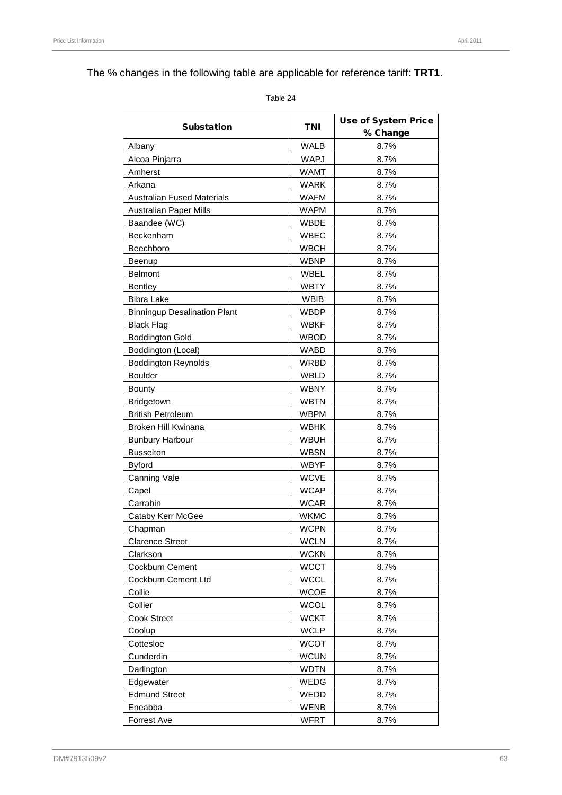# The % changes in the following table are applicable for reference tariff: **TRT1**.

| <b>Substation</b>                   | <b>TNI</b>  | <b>Use of System Price</b> |  |  |
|-------------------------------------|-------------|----------------------------|--|--|
|                                     |             | % Change                   |  |  |
| Albany                              | <b>WALB</b> | 8.7%                       |  |  |
| Alcoa Pinjarra                      | <b>WAPJ</b> | 8.7%                       |  |  |
| Amherst                             | <b>WAMT</b> | 8.7%                       |  |  |
| Arkana                              | <b>WARK</b> | 8.7%                       |  |  |
| <b>Australian Fused Materials</b>   | <b>WAFM</b> | 8.7%                       |  |  |
| <b>Australian Paper Mills</b>       | <b>WAPM</b> | 8.7%                       |  |  |
| Baandee (WC)                        | <b>WBDE</b> | 8.7%                       |  |  |
| Beckenham                           | <b>WBEC</b> | 8.7%                       |  |  |
| Beechboro                           | <b>WBCH</b> | 8.7%                       |  |  |
| Beenup                              | <b>WBNP</b> | 8.7%                       |  |  |
| <b>Belmont</b>                      | WBEL        | 8.7%                       |  |  |
| <b>Bentley</b>                      | <b>WBTY</b> | 8.7%                       |  |  |
| <b>Bibra Lake</b>                   | <b>WBIB</b> | 8.7%                       |  |  |
| <b>Binningup Desalination Plant</b> | <b>WBDP</b> | 8.7%                       |  |  |
| <b>Black Flag</b>                   | <b>WBKF</b> | 8.7%                       |  |  |
| <b>Boddington Gold</b>              | <b>WBOD</b> | 8.7%                       |  |  |
| Boddington (Local)                  | <b>WABD</b> | 8.7%                       |  |  |
| <b>Boddington Reynolds</b>          | <b>WRBD</b> | 8.7%                       |  |  |
| <b>Boulder</b>                      | WBLD        | 8.7%                       |  |  |
| <b>Bounty</b>                       | <b>WBNY</b> | 8.7%                       |  |  |
| Bridgetown                          | <b>WBTN</b> | 8.7%                       |  |  |
| <b>British Petroleum</b>            | <b>WBPM</b> | 8.7%                       |  |  |
| Broken Hill Kwinana                 | <b>WBHK</b> | 8.7%                       |  |  |
| <b>Bunbury Harbour</b>              | <b>WBUH</b> | 8.7%                       |  |  |
| <b>Busselton</b>                    | <b>WBSN</b> | 8.7%                       |  |  |
| <b>Byford</b>                       | <b>WBYF</b> | 8.7%                       |  |  |
| Canning Vale                        | <b>WCVE</b> | 8.7%                       |  |  |
| Capel                               | <b>WCAP</b> | 8.7%                       |  |  |
| Carrabin                            | <b>WCAR</b> | 8.7%                       |  |  |
| Cataby Kerr McGee                   | <b>WKMC</b> | 8.7%                       |  |  |
| Chapman                             | <b>WCPN</b> | 8.7%                       |  |  |
| <b>Clarence Street</b>              | WCLN        | 8.7%                       |  |  |
| Clarkson                            | <b>WCKN</b> | 8.7%                       |  |  |
| Cockburn Cement                     | <b>WCCT</b> | 8.7%                       |  |  |
| Cockburn Cement Ltd                 | <b>WCCL</b> | 8.7%                       |  |  |
| Collie                              | <b>WCOE</b> | 8.7%                       |  |  |
| Collier                             | <b>WCOL</b> | 8.7%                       |  |  |
| <b>Cook Street</b>                  | <b>WCKT</b> | 8.7%                       |  |  |
| Coolup                              | <b>WCLP</b> | 8.7%                       |  |  |
| Cottesloe                           | <b>WCOT</b> | 8.7%                       |  |  |
| Cunderdin                           | <b>WCUN</b> | 8.7%                       |  |  |
| Darlington                          | <b>WDTN</b> | 8.7%                       |  |  |
| Edgewater                           | WEDG        | 8.7%                       |  |  |
| <b>Edmund Street</b>                | WEDD        | 8.7%                       |  |  |
| Eneabba                             | <b>WENB</b> | 8.7%                       |  |  |
| <b>Forrest Ave</b>                  | <b>WFRT</b> | 8.7%                       |  |  |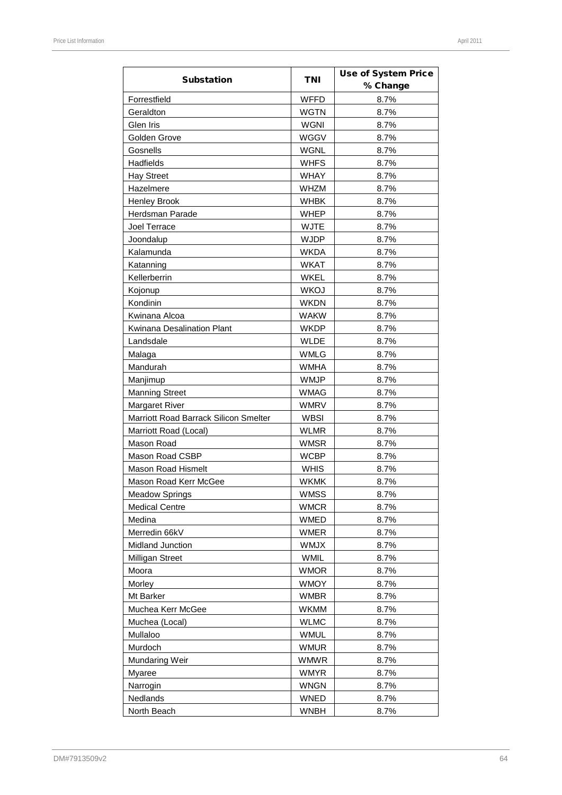|                                       |             | <b>Use of System Price</b> |  |
|---------------------------------------|-------------|----------------------------|--|
| <b>Substation</b>                     | TNI         | % Change                   |  |
| Forrestfield                          | <b>WFFD</b> | 8.7%                       |  |
| Geraldton                             | <b>WGTN</b> | 8.7%                       |  |
| Glen Iris                             | <b>WGNI</b> | 8.7%                       |  |
| Golden Grove                          | WGGV        | 8.7%                       |  |
| Gosnells                              | <b>WGNL</b> | 8.7%                       |  |
| Hadfields                             | <b>WHFS</b> | 8.7%                       |  |
| <b>Hay Street</b>                     | <b>WHAY</b> | 8.7%                       |  |
| Hazelmere                             | <b>WHZM</b> | 8.7%                       |  |
| Henley Brook                          | <b>WHBK</b> | 8.7%                       |  |
| Herdsman Parade                       | <b>WHEP</b> | 8.7%                       |  |
| Joel Terrace                          | <b>WJTE</b> | 8.7%                       |  |
| Joondalup                             | <b>WJDP</b> | 8.7%                       |  |
| Kalamunda                             | <b>WKDA</b> | 8.7%                       |  |
|                                       | <b>WKAT</b> | 8.7%                       |  |
| Katanning                             | <b>WKEL</b> | 8.7%                       |  |
| Kellerberrin                          |             |                            |  |
| Kojonup                               | <b>WKOJ</b> | 8.7%                       |  |
| Kondinin                              | <b>WKDN</b> | 8.7%                       |  |
| Kwinana Alcoa                         | <b>WAKW</b> | 8.7%                       |  |
| Kwinana Desalination Plant            | <b>WKDP</b> | 8.7%                       |  |
| Landsdale                             | <b>WLDE</b> | 8.7%                       |  |
| Malaga                                | <b>WMLG</b> | 8.7%                       |  |
| Mandurah                              | <b>WMHA</b> | 8.7%                       |  |
| Manjimup                              | <b>WMJP</b> | 8.7%                       |  |
| <b>Manning Street</b>                 | <b>WMAG</b> | 8.7%                       |  |
| <b>Margaret River</b>                 | <b>WMRV</b> | 8.7%                       |  |
| Marriott Road Barrack Silicon Smelter | <b>WBSI</b> | 8.7%                       |  |
| Marriott Road (Local)                 | <b>WLMR</b> | 8.7%                       |  |
| Mason Road                            | <b>WMSR</b> | 8.7%                       |  |
| Mason Road CSBP                       | <b>WCBP</b> | 8.7%                       |  |
| <b>Mason Road Hismelt</b>             | <b>WHIS</b> | 8.7%                       |  |
| Mason Road Kerr McGee                 | <b>WKMK</b> | 8.7%                       |  |
| <b>Meadow Springs</b>                 | <b>WMSS</b> | 8.7%                       |  |
| <b>Medical Centre</b>                 | <b>WMCR</b> | 8.7%                       |  |
| Medina                                | <b>WMED</b> | 8.7%                       |  |
| Merredin 66kV                         | <b>WMER</b> | 8.7%                       |  |
| Midland Junction                      | <b>WMJX</b> | 8.7%                       |  |
| Milligan Street                       | <b>WMIL</b> | 8.7%                       |  |
| Moora                                 | <b>WMOR</b> | 8.7%                       |  |
| Morley                                | <b>WMOY</b> | 8.7%                       |  |
| Mt Barker                             | <b>WMBR</b> | 8.7%                       |  |
| Muchea Kerr McGee                     | WKMM        | 8.7%                       |  |
| Muchea (Local)                        | <b>WLMC</b> | 8.7%                       |  |
| Mullaloo                              | <b>WMUL</b> | 8.7%                       |  |
| Murdoch                               | <b>WMUR</b> | 8.7%                       |  |
| Mundaring Weir                        | WMWR        | 8.7%                       |  |
| <b>Myaree</b>                         | <b>WMYR</b> | 8.7%                       |  |
| Narrogin                              | <b>WNGN</b> | 8.7%                       |  |
| Nedlands                              | <b>WNED</b> | 8.7%                       |  |
| North Beach                           | <b>WNBH</b> | 8.7%                       |  |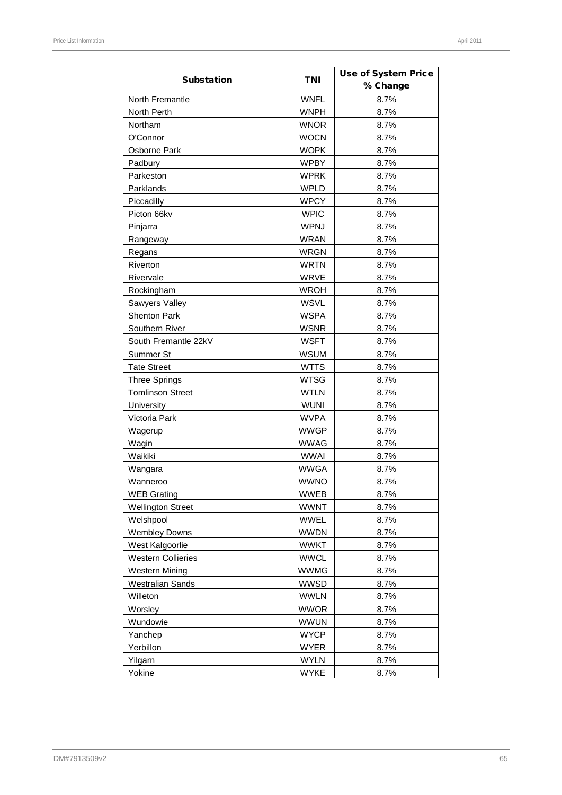| <b>Substation</b>         | <b>TNI</b>  | <b>Use of System Price</b><br>% Change |  |  |
|---------------------------|-------------|----------------------------------------|--|--|
| North Fremantle           | <b>WNFL</b> | 8.7%                                   |  |  |
| North Perth               | <b>WNPH</b> | 8.7%                                   |  |  |
| Northam                   | <b>WNOR</b> | 8.7%                                   |  |  |
| O'Connor                  | <b>WOCN</b> | 8.7%                                   |  |  |
| Osborne Park              | <b>WOPK</b> | 8.7%                                   |  |  |
| Padbury                   | <b>WPBY</b> | 8.7%                                   |  |  |
| Parkeston                 | <b>WPRK</b> | 8.7%                                   |  |  |
| Parklands                 | <b>WPLD</b> | 8.7%                                   |  |  |
| Piccadilly                | <b>WPCY</b> | 8.7%                                   |  |  |
| Picton 66kv               | <b>WPIC</b> | 8.7%                                   |  |  |
| Pinjarra                  | <b>WPNJ</b> | 8.7%                                   |  |  |
| Rangeway                  | <b>WRAN</b> | 8.7%                                   |  |  |
| Regans                    | WRGN        | 8.7%                                   |  |  |
| Riverton                  | <b>WRTN</b> | 8.7%                                   |  |  |
| Rivervale                 | <b>WRVE</b> | 8.7%                                   |  |  |
| Rockingham                | <b>WROH</b> | 8.7%                                   |  |  |
| Sawyers Valley            | <b>WSVL</b> | 8.7%                                   |  |  |
| <b>Shenton Park</b>       | <b>WSPA</b> | 8.7%                                   |  |  |
| Southern River            | <b>WSNR</b> | 8.7%                                   |  |  |
| South Fremantle 22kV      | <b>WSFT</b> | 8.7%                                   |  |  |
| Summer St                 | WSUM        | 8.7%                                   |  |  |
| <b>Tate Street</b>        | <b>WTTS</b> | 8.7%                                   |  |  |
| <b>Three Springs</b>      | <b>WTSG</b> | 8.7%                                   |  |  |
| <b>Tomlinson Street</b>   | <b>WTLN</b> | 8.7%                                   |  |  |
| University                | <b>WUNI</b> | 8.7%                                   |  |  |
| Victoria Park             | <b>WVPA</b> | 8.7%                                   |  |  |
| Wagerup                   | <b>WWGP</b> | 8.7%                                   |  |  |
| Wagin                     | <b>WWAG</b> | 8.7%                                   |  |  |
| Waikiki                   | <b>WWAI</b> | 8.7%                                   |  |  |
| Wangara                   | <b>WWGA</b> | 8.7%                                   |  |  |
| Wanneroo                  | <b>WWNO</b> | 8.7%                                   |  |  |
| <b>WEB Grating</b>        | <b>WWEB</b> | 8.7%                                   |  |  |
| <b>Wellington Street</b>  | <b>WWNT</b> | 8.7%                                   |  |  |
| Welshpool                 | <b>WWEL</b> | 8.7%                                   |  |  |
| <b>Wembley Downs</b>      | <b>WWDN</b> | 8.7%                                   |  |  |
| West Kalgoorlie           | <b>WWKT</b> | 8.7%                                   |  |  |
| <b>Western Collieries</b> | <b>WWCL</b> | 8.7%                                   |  |  |
| <b>Western Mining</b>     | <b>WWMG</b> | 8.7%                                   |  |  |
| <b>Westralian Sands</b>   | <b>WWSD</b> | 8.7%                                   |  |  |
| Willeton                  | <b>WWLN</b> | 8.7%                                   |  |  |
| Worsley                   | <b>WWOR</b> | 8.7%                                   |  |  |
| Wundowie                  | <b>WWUN</b> | 8.7%                                   |  |  |
| Yanchep                   | <b>WYCP</b> | 8.7%                                   |  |  |
| Yerbillon                 | <b>WYER</b> | 8.7%                                   |  |  |
| Yilgarn                   | <b>WYLN</b> | 8.7%                                   |  |  |
| Yokine                    | <b>WYKE</b> | 8.7%                                   |  |  |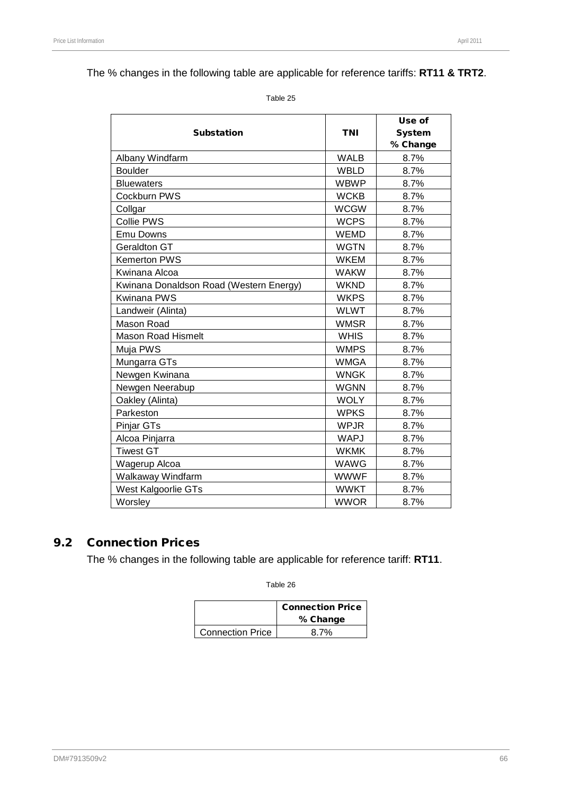## The % changes in the following table are applicable for reference tariffs: **RT11 & TRT2**.

Table 25

|                                         |             | Use of        |  |
|-----------------------------------------|-------------|---------------|--|
| <b>Substation</b>                       | <b>TNI</b>  | <b>System</b> |  |
|                                         |             | % Change      |  |
| Albany Windfarm                         | <b>WALB</b> | 8.7%          |  |
| <b>Boulder</b>                          | <b>WBLD</b> | 8.7%          |  |
| <b>Bluewaters</b>                       | <b>WBWP</b> | 8.7%          |  |
| Cockburn PWS                            | <b>WCKB</b> | 8.7%          |  |
| Collgar                                 | <b>WCGW</b> | 8.7%          |  |
| <b>Collie PWS</b>                       | <b>WCPS</b> | 8.7%          |  |
| <b>Emu Downs</b>                        | <b>WEMD</b> | 8.7%          |  |
| Geraldton GT                            | <b>WGTN</b> | 8.7%          |  |
| <b>Kemerton PWS</b>                     | <b>WKEM</b> | 8.7%          |  |
| Kwinana Alcoa                           | <b>WAKW</b> | 8.7%          |  |
| Kwinana Donaldson Road (Western Energy) | <b>WKND</b> | 8.7%          |  |
| <b>Kwinana PWS</b>                      | <b>WKPS</b> | 8.7%          |  |
| Landweir (Alinta)                       | <b>WLWT</b> | 8.7%          |  |
| Mason Road                              | <b>WMSR</b> | 8.7%          |  |
| <b>Mason Road Hismelt</b>               | <b>WHIS</b> | 8.7%          |  |
| Muja PWS                                | <b>WMPS</b> | 8.7%          |  |
| Mungarra GTs                            | <b>WMGA</b> | 8.7%          |  |
| Newgen Kwinana                          | <b>WNGK</b> | 8.7%          |  |
| Newgen Neerabup                         | <b>WGNN</b> | 8.7%          |  |
| Oakley (Alinta)                         | <b>WOLY</b> | 8.7%          |  |
| Parkeston                               | <b>WPKS</b> | 8.7%          |  |
| Pinjar GTs                              | <b>WPJR</b> | 8.7%          |  |
| Alcoa Pinjarra                          | <b>WAPJ</b> | 8.7%          |  |
| <b>Tiwest GT</b>                        | <b>WKMK</b> | 8.7%          |  |
| Wagerup Alcoa                           | <b>WAWG</b> | 8.7%          |  |
| Walkaway Windfarm                       | <b>WWWF</b> | 8.7%          |  |
| West Kalgoorlie GTs                     | <b>WWKT</b> | 8.7%          |  |
| Worsley                                 | <b>WWOR</b> | 8.7%          |  |

## 9.2 Connection Prices

The % changes in the following table are applicable for reference tariff: **RT11**.

|                         | <b>Connection Price</b><br>% Change |  |  |
|-------------------------|-------------------------------------|--|--|
| <b>Connection Price</b> | 8.7%                                |  |  |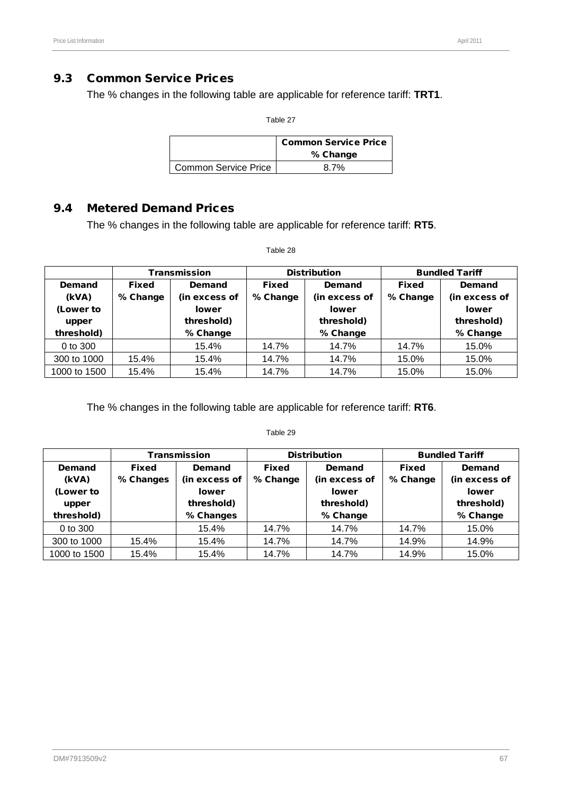## 9.3 Common Service Prices

The % changes in the following table are applicable for reference tariff: **TRT1**.

Table 27

|                             | <b>Common Service Price</b><br>% Change |  |  |
|-----------------------------|-----------------------------------------|--|--|
| <b>Common Service Price</b> | ጸ 7%                                    |  |  |

## 9.4 Metered Demand Prices

The % changes in the following table are applicable for reference tariff: **RT5**.

|              |              | <b>Transmission</b> | <b>Distribution</b> |               | <b>Bundled Tariff</b> |               |  |
|--------------|--------------|---------------------|---------------------|---------------|-----------------------|---------------|--|
| Demand       | <b>Fixed</b> | Demand              | <b>Fixed</b>        | Demand        | <b>Fixed</b>          | Demand        |  |
| (kVA)        | % Change     | (in excess of       | % Change            | (in excess of | % Change              | (in excess of |  |
| (Lower to    |              | lower               |                     | <b>lower</b>  |                       | <b>lower</b>  |  |
| upper        |              | threshold)          |                     | threshold)    |                       | threshold)    |  |
| threshold)   |              | % Change            |                     | % Change      |                       | % Change      |  |
| 0 to 300     |              | 15.4%               | 14.7%               | 14.7%         | 14.7%                 | 15.0%         |  |
| 300 to 1000  | 15.4%        | 15.4%               | 14.7%               | 14.7%         | 15.0%                 | 15.0%         |  |
| 1000 to 1500 | 15.4%        | 15.4%               | 14.7%               | 14.7%         | 15.0%                 | 15.0%         |  |

Table 28

The % changes in the following table are applicable for reference tariff: **RT6**.

|              |           | <b>Transmission</b> |              | <b>Distribution</b> |              | <b>Bundled Tariff</b> |
|--------------|-----------|---------------------|--------------|---------------------|--------------|-----------------------|
| Demand       | Fixed     | Demand              | <b>Fixed</b> | Demand              | <b>Fixed</b> | Demand                |
| (kVA)        | % Changes | (in excess of       | % Change     | (in excess of       | % Change     | (in excess of         |
| (Lower to    |           | <b>lower</b>        |              | <b>lower</b>        |              | <b>lower</b>          |
| upper        |           | threshold)          |              | threshold)          |              | threshold)            |
| threshold)   |           | % Changes           |              | % Change            |              | % Change              |
| 0 to 300     |           | 15.4%               | 14.7%        | 14.7%               | 14.7%        | 15.0%                 |
| 300 to 1000  | 15.4%     | 15.4%               | 14.7%        | 14.7%               | 14.9%        | 14.9%                 |
| 1000 to 1500 | 15.4%     | 15.4%               | 14.7%        | 14.7%               | 14.9%        | 15.0%                 |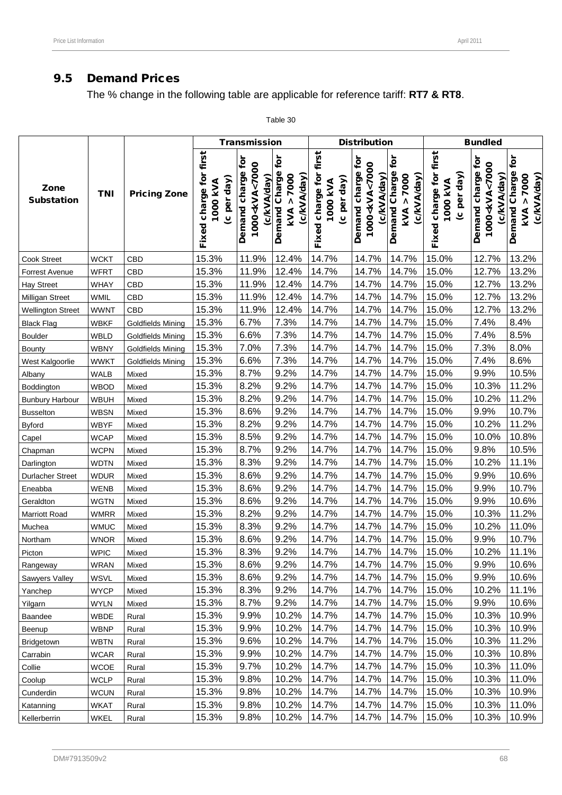# 9.5 Demand Prices

The % change in the following table are applicable for reference tariff: **RT7 & RT8**.

|                           |             |                          |                                                      | <b>Transmission</b>                                              |                                                   |                                                         | <b>Distribution</b>                                              |                                                      |                                                      | <b>Bundled</b>                                                   |                                                             |
|---------------------------|-------------|--------------------------|------------------------------------------------------|------------------------------------------------------------------|---------------------------------------------------|---------------------------------------------------------|------------------------------------------------------------------|------------------------------------------------------|------------------------------------------------------|------------------------------------------------------------------|-------------------------------------------------------------|
| Zone<br><b>Substation</b> | <b>TNI</b>  | <b>Pricing Zone</b>      | first<br>Fixed charge for<br>day)<br>1000 KVA<br>per | Demand charge for<br>1000 <kva<7000<br>(c/kVA/day)</kva<7000<br> | Demand Charge for<br>> 7000<br>(c/kVA/day)<br>kVA | first<br>charge for<br>(c per day)<br>1000 KVA<br>Fixed | Demand charge for<br>1000 <kva<7000<br>(c/kVA/day)</kva<7000<br> | for<br>Demand Charge<br>> 7000<br>(c/kVA/day)<br>kVA | first<br>(c per day)<br>Fixed charge for<br>1000 KVA | Demand charge for<br>1000 <kva<7000<br>(c/kVA/day)</kva<7000<br> | for<br>Demand Charge<br>(c/kVA/day)<br>> 7000<br><b>KVA</b> |
| Cook Street               | <b>WCKT</b> | CBD                      | 15.3%                                                | 11.9%                                                            | 12.4%                                             | 14.7%                                                   | 14.7%                                                            | 14.7%                                                | 15.0%                                                | 12.7%                                                            | 13.2%                                                       |
| Forrest Avenue            | <b>WFRT</b> | CBD                      | 15.3%                                                | 11.9%                                                            | 12.4%                                             | 14.7%                                                   | 14.7%                                                            | 14.7%                                                | 15.0%                                                | 12.7%                                                            | 13.2%                                                       |
| <b>Hay Street</b>         | <b>WHAY</b> | CBD                      | 15.3%                                                | 11.9%                                                            | 12.4%                                             | 14.7%                                                   | 14.7%                                                            | 14.7%                                                | 15.0%                                                | 12.7%                                                            | 13.2%                                                       |
| Milligan Street           | WMIL        | CBD                      | 15.3%                                                | 11.9%                                                            | 12.4%                                             | 14.7%                                                   | 14.7%                                                            | 14.7%                                                | 15.0%                                                | 12.7%                                                            | 13.2%                                                       |
| <b>Wellington Street</b>  | <b>WWNT</b> | CBD                      | 15.3%                                                | 11.9%                                                            | 12.4%                                             | 14.7%                                                   | 14.7%                                                            | 14.7%                                                | 15.0%                                                | 12.7%                                                            | 13.2%                                                       |
| <b>Black Flag</b>         | <b>WBKF</b> | <b>Goldfields Mining</b> | 15.3%                                                | 6.7%                                                             | 7.3%                                              | 14.7%                                                   | 14.7%                                                            | 14.7%                                                | 15.0%                                                | 7.4%                                                             | 8.4%                                                        |
| Boulder                   | <b>WBLD</b> | <b>Goldfields Mining</b> | 15.3%                                                | 6.6%                                                             | 7.3%                                              | 14.7%                                                   | 14.7%                                                            | 14.7%                                                | 15.0%                                                | 7.4%                                                             | 8.5%                                                        |
| <b>Bounty</b>             | <b>WBNY</b> | Goldfields Mining        | 15.3%                                                | 7.0%                                                             | 7.3%                                              | 14.7%                                                   | 14.7%                                                            | 14.7%                                                | 15.0%                                                | 7.3%                                                             | 8.0%                                                        |
| West Kalgoorlie           | <b>WWKT</b> | <b>Goldfields Mining</b> | 15.3%                                                | 6.6%                                                             | 7.3%                                              | 14.7%                                                   | 14.7%                                                            | 14.7%                                                | 15.0%                                                | 7.4%                                                             | 8.6%                                                        |
| Albany                    | WALB        | Mixed                    | 15.3%                                                | 8.7%                                                             | 9.2%                                              | 14.7%                                                   | 14.7%                                                            | 14.7%                                                | 15.0%                                                | 9.9%                                                             | 10.5%                                                       |
| Boddington                | <b>WBOD</b> | Mixed                    | 15.3%                                                | 8.2%                                                             | 9.2%                                              | 14.7%                                                   | 14.7%                                                            | 14.7%                                                | 15.0%                                                | 10.3%                                                            | 11.2%                                                       |
| <b>Bunbury Harbour</b>    | <b>WBUH</b> | Mixed                    | 15.3%                                                | 8.2%                                                             | 9.2%                                              | 14.7%                                                   | 14.7%                                                            | 14.7%                                                | 15.0%                                                | 10.2%                                                            | 11.2%                                                       |
| <b>Busselton</b>          | <b>WBSN</b> | Mixed                    | 15.3%                                                | 8.6%                                                             | 9.2%                                              | 14.7%                                                   | 14.7%                                                            | 14.7%                                                | 15.0%                                                | 9.9%                                                             | 10.7%                                                       |
| <b>Byford</b>             | <b>WBYF</b> | Mixed                    | 15.3%                                                | 8.2%                                                             | 9.2%                                              | 14.7%                                                   | 14.7%                                                            | 14.7%                                                | 15.0%                                                | 10.2%                                                            | 11.2%                                                       |
| Capel                     | <b>WCAP</b> | Mixed                    | 15.3%                                                | 8.5%                                                             | 9.2%                                              | 14.7%                                                   | 14.7%                                                            | 14.7%                                                | 15.0%                                                | 10.0%                                                            | 10.8%                                                       |
| Chapman                   | <b>WCPN</b> | Mixed                    | 15.3%                                                | 8.7%                                                             | 9.2%                                              | 14.7%                                                   | 14.7%                                                            | 14.7%                                                | 15.0%                                                | 9.8%                                                             | 10.5%                                                       |
| Darlington                | <b>WDTN</b> | Mixed                    | 15.3%                                                | 8.3%                                                             | 9.2%                                              | 14.7%                                                   | 14.7%                                                            | 14.7%                                                | 15.0%                                                | 10.2%                                                            | 11.1%                                                       |
| <b>Durlacher Street</b>   | <b>WDUR</b> | Mixed                    | 15.3%                                                | 8.6%                                                             | 9.2%                                              | 14.7%                                                   | 14.7%                                                            | 14.7%                                                | 15.0%                                                | 9.9%                                                             | 10.6%                                                       |
| Eneabba                   | <b>WENB</b> | Mixed                    | 15.3%                                                | 8.6%                                                             | 9.2%                                              | 14.7%                                                   | 14.7%                                                            | 14.7%                                                | 15.0%                                                | 9.9%                                                             | 10.7%                                                       |
| Geraldton                 | <b>WGTN</b> | Mixed                    | 15.3%                                                | 8.6%                                                             | 9.2%                                              | 14.7%                                                   | 14.7%                                                            | 14.7%                                                | 15.0%                                                | 9.9%                                                             | 10.6%                                                       |
| <b>Marriott Road</b>      | <b>WMRR</b> | Mixed                    | 15.3%                                                | 8.2%                                                             | 9.2%                                              | 14.7%                                                   | 14.7%                                                            | 14.7%                                                | 15.0%                                                | 10.3%                                                            | 11.2%                                                       |
| Muchea                    | <b>WMUC</b> | Mixed                    | 15.3%                                                | 8.3%                                                             | 9.2%                                              | 14.7%                                                   | 14.7%                                                            | 14.7%                                                | 15.0%                                                | 10.2%                                                            | 11.0%                                                       |
| Northam                   | <b>WNOR</b> | Mixed                    | 15.3%                                                | 8.6%                                                             | 9.2%                                              | 14.7%                                                   | 14.7%                                                            | 14.7%                                                | 15.0%                                                | 9.9%                                                             | 10.7%                                                       |
| Picton                    | <b>WPIC</b> | Mixed                    | 15.3%                                                | 8.3%                                                             | 9.2%                                              | 14.7%                                                   | 14.7%                                                            | 14.7%                                                | 15.0%                                                | 10.2%                                                            | 11.1%                                                       |
| Rangeway                  | <b>WRAN</b> | Mixed                    | 15.3%                                                | 8.6%                                                             | 9.2%                                              | 14.7%                                                   | 14.7%                                                            | 14.7%                                                | 15.0%                                                | 9.9%                                                             | 10.6%                                                       |
| Sawyers Valley            | <b>WSVL</b> | Mixed                    | 15.3%                                                | 8.6%                                                             | 9.2%                                              | 14.7%                                                   | 14.7%                                                            | 14.7%                                                | 15.0%                                                | 9.9%                                                             | 10.6%                                                       |
| Yanchep                   | <b>WYCP</b> | Mixed                    | 15.3%                                                | 8.3%                                                             | 9.2%                                              | 14.7%                                                   | 14.7%                                                            | 14.7%                                                | 15.0%                                                | 10.2%                                                            | 11.1%                                                       |
| Yilgarn                   | <b>WYLN</b> | Mixed                    | 15.3%                                                | 8.7%                                                             | 9.2%                                              | 14.7%                                                   | 14.7%                                                            | 14.7%                                                | 15.0%                                                | 9.9%                                                             | 10.6%                                                       |
| Baandee                   | WBDE        | Rural                    | 15.3%                                                | 9.9%                                                             | 10.2%                                             | 14.7%                                                   | 14.7%                                                            | 14.7%                                                | 15.0%                                                | 10.3%                                                            | 10.9%                                                       |
| Beenup                    | <b>WBNP</b> | Rural                    | 15.3%                                                | 9.9%                                                             | 10.2%                                             | 14.7%                                                   | 14.7%                                                            | 14.7%                                                | 15.0%                                                | 10.3%                                                            | 10.9%                                                       |
| Bridgetown                | <b>WBTN</b> | Rural                    | 15.3%                                                | 9.6%                                                             | 10.2%                                             | 14.7%                                                   | 14.7%                                                            | 14.7%                                                | 15.0%                                                | 10.3%                                                            | 11.2%                                                       |
| Carrabin                  | <b>WCAR</b> | Rural                    | 15.3%                                                | 9.9%                                                             | 10.2%                                             | 14.7%                                                   | 14.7%                                                            | 14.7%                                                | 15.0%                                                | 10.3%                                                            | 10.8%                                                       |
| Collie                    | <b>WCOE</b> | Rural                    | 15.3%                                                | 9.7%                                                             | 10.2%                                             | 14.7%                                                   | 14.7%                                                            | 14.7%                                                | 15.0%                                                | 10.3%                                                            | 11.0%                                                       |
| Coolup                    | <b>WCLP</b> | Rural                    | 15.3%                                                | 9.8%                                                             | 10.2%                                             | 14.7%                                                   | 14.7%                                                            | 14.7%                                                | 15.0%                                                | 10.3%                                                            | 11.0%                                                       |
| Cunderdin                 | <b>WCUN</b> | Rural                    | 15.3%                                                | 9.8%                                                             | 10.2%                                             | 14.7%                                                   | 14.7%                                                            | 14.7%                                                | 15.0%                                                | 10.3%                                                            | 10.9%                                                       |
| Katanning                 | <b>WKAT</b> | Rural                    | 15.3%                                                | 9.8%                                                             | 10.2%                                             | 14.7%                                                   | 14.7%                                                            | 14.7%                                                | 15.0%                                                | 10.3%                                                            | 11.0%                                                       |
| Kellerberrin              | <b>WKEL</b> | Rural                    | 15.3%                                                | 9.8%                                                             | 10.2%                                             | 14.7%                                                   | 14.7%                                                            | 14.7%                                                | 15.0%                                                | 10.3%                                                            | 10.9%                                                       |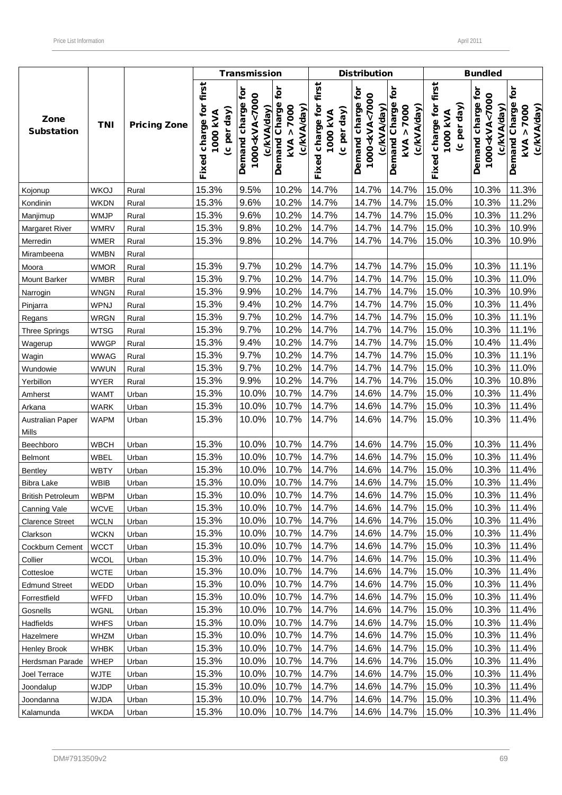|                           |                            |                     |                                                      | <b>Transmission</b>                                              |                                                         |                                                          | <b>Distribution</b>                                              |                                                 |                                                   | <b>Bundled</b>                                                     |                                                      |
|---------------------------|----------------------------|---------------------|------------------------------------------------------|------------------------------------------------------------------|---------------------------------------------------------|----------------------------------------------------------|------------------------------------------------------------------|-------------------------------------------------|---------------------------------------------------|--------------------------------------------------------------------|------------------------------------------------------|
| Zone<br><b>Substation</b> | <b>TNI</b>                 | <b>Pricing Zone</b> | Fixed charge for first<br>day)<br>1000 kVA<br>(c per | Demand charge for<br>1000 <kva<7000<br>(c/kVA/day)</kva<7000<br> | tōr<br>Demand Charge<br>7000<br>(c/kVA/day)<br>٨<br>kVA | first<br>ğ<br>(c per day)<br>1000 KVA<br>charge<br>Fixed | Demand charge for<br>1000 <kva<7000<br>(c/kVA/day)</kva<7000<br> | ć<br>Demand Charge<br>kVA > 7000<br>(c/kVA/day) | Fixed charge for first<br>(c per day)<br>1000 kVA | ē<br>1000 <kva<7000<br>Demand charge<br/>(c/kVA/day)</kva<7000<br> | for<br>Demand Charge<br>7000<br>(c/kVA/day)<br>kVA > |
| Kojonup                   | <b>WKOJ</b>                | Rural               | 15.3%                                                | 9.5%                                                             | 10.2%                                                   | 14.7%                                                    | 14.7%                                                            | 14.7%                                           | 15.0%                                             | 10.3%                                                              | 11.3%                                                |
| Kondinin                  | <b>WKDN</b>                | Rural               | 15.3%                                                | 9.6%                                                             | 10.2%                                                   | 14.7%                                                    | 14.7%                                                            | 14.7%                                           | 15.0%                                             | 10.3%                                                              | 11.2%                                                |
| Manjimup                  | <b>WMJP</b>                | Rural               | 15.3%                                                | 9.6%                                                             | 10.2%                                                   | 14.7%                                                    | 14.7%                                                            | 14.7%                                           | 15.0%                                             | 10.3%                                                              | 11.2%                                                |
| <b>Margaret River</b>     | <b>WMRV</b>                | Rural               | 15.3%                                                | 9.8%                                                             | 10.2%                                                   | 14.7%                                                    | 14.7%                                                            | 14.7%                                           | 15.0%                                             | 10.3%                                                              | 10.9%                                                |
| Merredin                  | WMER                       | Rural               | 15.3%                                                | 9.8%                                                             | 10.2%                                                   | 14.7%                                                    | 14.7%                                                            | 14.7%                                           | 15.0%                                             | 10.3%                                                              | 10.9%                                                |
| Mirambeena                | <b>WMBN</b>                | Rural               |                                                      |                                                                  |                                                         |                                                          |                                                                  |                                                 |                                                   |                                                                    |                                                      |
| Moora                     | <b>WMOR</b>                | Rural               | 15.3%                                                | 9.7%                                                             | 10.2%                                                   | 14.7%                                                    | 14.7%                                                            | 14.7%                                           | 15.0%                                             | 10.3%                                                              | 11.1%                                                |
| Mount Barker              | <b>WMBR</b>                | Rural               | 15.3%                                                | 9.7%                                                             | 10.2%                                                   | 14.7%                                                    | 14.7%                                                            | 14.7%                                           | 15.0%                                             | 10.3%                                                              | 11.0%                                                |
| Narrogin                  | <b>WNGN</b>                | Rural               | 15.3%                                                | 9.9%                                                             | 10.2%                                                   | 14.7%                                                    | 14.7%                                                            | 14.7%                                           | 15.0%                                             | 10.3%                                                              | 10.9%                                                |
| Pinjarra                  | WPNJ                       | Rural               | 15.3%                                                | 9.4%                                                             | 10.2%                                                   | 14.7%                                                    | 14.7%                                                            | 14.7%                                           | 15.0%                                             | 10.3%                                                              | 11.4%                                                |
| Regans                    | <b>WRGN</b>                | Rural               | 15.3%                                                | 9.7%                                                             | 10.2%                                                   | 14.7%                                                    | 14.7%                                                            | 14.7%                                           | 15.0%                                             | 10.3%                                                              | 11.1%                                                |
| <b>Three Springs</b>      | <b>WTSG</b>                | Rural               | 15.3%                                                | 9.7%                                                             | 10.2%                                                   | 14.7%                                                    | 14.7%                                                            | 14.7%                                           | 15.0%                                             | 10.3%                                                              | 11.1%                                                |
| Wagerup                   | <b>WWGP</b>                | Rural               | 15.3%                                                | 9.4%                                                             | 10.2%                                                   | 14.7%                                                    | 14.7%                                                            | 14.7%                                           | 15.0%                                             | 10.4%                                                              | 11.4%                                                |
| Wagin                     | <b>WWAG</b>                | Rural               | 15.3%                                                | 9.7%                                                             | 10.2%                                                   | 14.7%                                                    | 14.7%                                                            | 14.7%                                           | 15.0%                                             | 10.3%                                                              | 11.1%                                                |
| Wundowie                  | <b>WWUN</b>                | Rural               | 15.3%                                                | 9.7%                                                             | 10.2%                                                   | 14.7%                                                    | 14.7%                                                            | 14.7%                                           | 15.0%                                             | 10.3%                                                              | 11.0%                                                |
| Yerbillon                 | <b>WYER</b>                | Rural               | 15.3%                                                | 9.9%                                                             | 10.2%                                                   | 14.7%                                                    | 14.7%                                                            | 14.7%                                           | 15.0%                                             | 10.3%                                                              | 10.8%                                                |
| Amherst                   | <b>WAMT</b>                | Urban               | 15.3%                                                | 10.0%                                                            | 10.7%                                                   | 14.7%                                                    | 14.6%                                                            | 14.7%                                           | 15.0%                                             | 10.3%                                                              | 11.4%                                                |
| Arkana                    | <b>WARK</b>                | Urban               | 15.3%                                                | 10.0%                                                            | 10.7%                                                   | 14.7%                                                    | 14.6%                                                            | 14.7%                                           | 15.0%                                             | 10.3%                                                              | 11.4%                                                |
| Australian Paper<br>Mills | <b>WAPM</b>                | Urban               | 15.3%                                                | 10.0%                                                            | 10.7%                                                   | 14.7%                                                    | 14.6%                                                            | 14.7%                                           | 15.0%                                             | 10.3%                                                              | 11.4%                                                |
| Beechboro                 | <b>WBCH</b>                | Urban               | 15.3%                                                | 10.0%                                                            | 10.7%                                                   | 14.7%                                                    | 14.6%                                                            | 14.7%                                           | 15.0%                                             | 10.3%                                                              | 11.4%                                                |
| Belmont                   | WBEL                       | Urban               | 15.3%                                                | 10.0%                                                            | 10.7%                                                   | 14.7%                                                    | 14.6%                                                            | 14.7%                                           | 15.0%                                             | 10.3%                                                              | 11.4%                                                |
| Bentley                   | <b>WBTY</b>                | Urban               | 15.3%                                                | 10.0%                                                            | 10.7%                                                   | 14.7%                                                    | 14.6%                                                            | 14.7%                                           | 15.0%                                             | 10.3%                                                              | 11.4%                                                |
| <b>Bibra Lake</b>         | <b>WBIB</b>                | Urban               | 15.3%                                                | 10.0%                                                            | 10.7%                                                   | 14.7%                                                    | 14.6%                                                            | 14.7%                                           | 15.0%                                             | 10.3%                                                              | 11.4%                                                |
| <b>British Petroleum</b>  | <b>WBPM</b>                | Urban               | 15.3%                                                | 10.0%                                                            | 10.7%                                                   | 14.7%                                                    | 14.6%                                                            | 14.7%                                           | 15.0%                                             | 10.3%                                                              | 11.4%                                                |
| Canning Vale              | <b>WCVE</b>                | Urban               | 15.3%                                                | 10.0%                                                            | 10.7%                                                   | 14.7%                                                    | 14.6%                                                            | 14.7%                                           | 15.0%                                             | 10.3%                                                              | 11.4%                                                |
| <b>Clarence Street</b>    | <b>WCLN</b>                | Urban               | 15.3%                                                | 10.0%                                                            | 10.7%                                                   | 14.7%                                                    | 14.6%                                                            | 14.7%                                           | 15.0%                                             | 10.3%                                                              | 11.4%                                                |
| Clarkson                  | <b>WCKN</b>                | Urban               | 15.3%                                                | 10.0%                                                            | 10.7%                                                   | 14.7%                                                    | 14.6%                                                            | 14.7%                                           | 15.0%                                             | 10.3%                                                              | 11.4%                                                |
| Cockburn Cement           | <b>WCCT</b>                | Urban               | 15.3%                                                | 10.0%                                                            | 10.7%                                                   | 14.7%                                                    | 14.6%                                                            | 14.7%                                           | 15.0%                                             | 10.3%                                                              | 11.4%                                                |
| Collier                   | <b>WCOL</b>                | Urban               | 15.3%                                                | 10.0%                                                            | 10.7%                                                   | 14.7%                                                    | 14.6%                                                            | 14.7%                                           | 15.0%                                             | 10.3%                                                              | 11.4%                                                |
| Cottesloe                 | <b>WCTE</b>                | Urban               | 15.3%                                                | 10.0%                                                            | 10.7%                                                   | 14.7%                                                    | 14.6%                                                            | 14.7%                                           | 15.0%                                             | 10.3%                                                              | 11.4%                                                |
| <b>Edmund Street</b>      |                            |                     | 15.3%                                                | 10.0%                                                            | 10.7%                                                   | 14.7%                                                    | 14.6%                                                            | 14.7%                                           | 15.0%                                             | 10.3%                                                              | 11.4%                                                |
|                           | WEDD                       | Urban               | 15.3%                                                | 10.0%                                                            | 10.7%                                                   | 14.7%                                                    | 14.6%                                                            | 14.7%                                           | 15.0%                                             | 10.3%                                                              | 11.4%                                                |
| Forrestfield<br>Gosnells  | <b>WFFD</b><br><b>WGNL</b> | Urban<br>Urban      | 15.3%                                                | 10.0%                                                            | 10.7%                                                   | 14.7%                                                    | 14.6%                                                            | 14.7%                                           | 15.0%                                             | 10.3%                                                              | 11.4%                                                |
|                           |                            |                     |                                                      |                                                                  |                                                         |                                                          |                                                                  |                                                 |                                                   |                                                                    |                                                      |
| Hadfields                 | <b>WHFS</b>                | Urban               | 15.3%                                                | 10.0%                                                            | 10.7%                                                   | 14.7%                                                    | 14.6%                                                            | 14.7%                                           | 15.0%                                             | 10.3%                                                              | 11.4%                                                |
| Hazelmere                 | WHZM                       | Urban               | 15.3%                                                | 10.0%                                                            | 10.7%                                                   | 14.7%                                                    | 14.6%                                                            | 14.7%                                           | 15.0%                                             | 10.3%                                                              | 11.4%                                                |
| Henley Brook              | WHBK                       | Urban               | 15.3%                                                | 10.0%                                                            | 10.7%                                                   | 14.7%                                                    | 14.6%                                                            | 14.7%                                           | 15.0%                                             | 10.3%                                                              | 11.4%                                                |
| Herdsman Parade           | <b>WHEP</b>                | Urban               | 15.3%                                                | 10.0%                                                            | 10.7%                                                   | 14.7%                                                    | 14.6%                                                            | 14.7%                                           | 15.0%                                             | 10.3%                                                              | 11.4%                                                |
| Joel Terrace              | <b>WJTE</b>                | Urban               | 15.3%                                                | 10.0%                                                            | 10.7%                                                   | 14.7%                                                    | 14.6%                                                            | 14.7%                                           | 15.0%                                             | 10.3%                                                              | 11.4%                                                |
| Joondalup                 | <b>WJDP</b>                | Urban               | 15.3%                                                | 10.0%                                                            | 10.7%                                                   | 14.7%                                                    | 14.6%                                                            | 14.7%                                           | 15.0%                                             | 10.3%                                                              | 11.4%                                                |
| Joondanna                 | <b>WJDA</b>                | Urban               | 15.3%                                                | 10.0%                                                            | 10.7%                                                   | 14.7%                                                    | 14.6%                                                            | 14.7%                                           | 15.0%                                             | 10.3%                                                              | 11.4%                                                |
| Kalamunda                 | <b>WKDA</b>                | Urban               | 15.3%                                                | 10.0%                                                            | 10.7%                                                   | 14.7%                                                    | 14.6%                                                            | 14.7%                                           | 15.0%                                             | 10.3%                                                              | 11.4%                                                |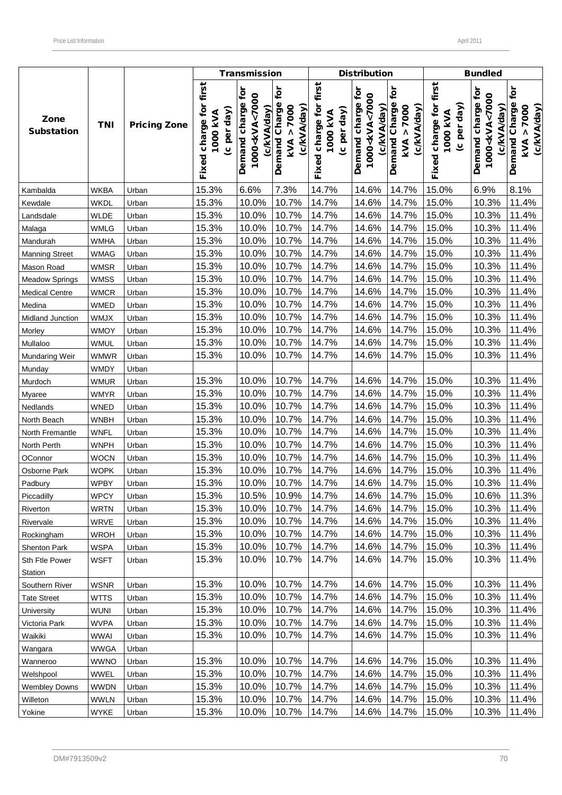|                           |             |                     |                                                      | <b>Transmission</b>                                              |                                                         |                                                          | <b>Distribution</b>                                                |                                                 |                                                   | <b>Bundled</b>                                                     |                                                                   |
|---------------------------|-------------|---------------------|------------------------------------------------------|------------------------------------------------------------------|---------------------------------------------------------|----------------------------------------------------------|--------------------------------------------------------------------|-------------------------------------------------|---------------------------------------------------|--------------------------------------------------------------------|-------------------------------------------------------------------|
| Zone<br><b>Substation</b> | <b>TNI</b>  | <b>Pricing Zone</b> | Fixed charge for first<br>day)<br>1000 kVA<br>(c per | Demand charge for<br>1000 <kva<7000<br>(c/kVA/day)</kva<7000<br> | tōr<br>Demand Charge<br>7000<br>(c/kVA/day)<br>٨<br>kVA | first<br>ē<br>(c per day)<br>1000 KVA<br>charge<br>Fixed | ë<br>1000 <kva<7000<br>Demand charge<br/>(c/kVA/day)</kva<7000<br> | ć<br>Demand Charge<br>kVA > 7000<br>(c/kVA/day) | Fixed charge for first<br>(c per day)<br>1000 kVA | ē<br>1000 <kva<7000<br>Demand charge<br/>(c/kVA/day)</kva<7000<br> | tor<br>Charge<br>7000<br>(c/kVA/day)<br>٨<br>Demand<br><b>KVA</b> |
| Kambalda                  | <b>WKBA</b> | Urban               | 15.3%                                                | 6.6%                                                             | 7.3%                                                    | 14.7%                                                    | 14.6%                                                              | 14.7%                                           | 15.0%                                             | 6.9%                                                               | 8.1%                                                              |
| Kewdale                   | <b>WKDL</b> | Urban               | 15.3%                                                | 10.0%                                                            | 10.7%                                                   | 14.7%                                                    | 14.6%                                                              | 14.7%                                           | 15.0%                                             | 10.3%                                                              | 11.4%                                                             |
| Landsdale                 | <b>WLDE</b> | Urban               | 15.3%                                                | 10.0%                                                            | 10.7%                                                   | 14.7%                                                    | 14.6%                                                              | 14.7%                                           | 15.0%                                             | 10.3%                                                              | 11.4%                                                             |
| Malaga                    | <b>WMLG</b> | Urban               | 15.3%                                                | 10.0%                                                            | 10.7%                                                   | 14.7%                                                    | 14.6%                                                              | 14.7%                                           | 15.0%                                             | 10.3%                                                              | 11.4%                                                             |
| Mandurah                  | <b>WMHA</b> | Urban               | 15.3%                                                | 10.0%                                                            | 10.7%                                                   | 14.7%                                                    | 14.6%                                                              | 14.7%                                           | 15.0%                                             | 10.3%                                                              | 11.4%                                                             |
| <b>Manning Street</b>     | <b>WMAG</b> | Urban               | 15.3%                                                | 10.0%                                                            | 10.7%                                                   | 14.7%                                                    | 14.6%                                                              | 14.7%                                           | 15.0%                                             | 10.3%                                                              | 11.4%                                                             |
| Mason Road                | <b>WMSR</b> | Urban               | 15.3%                                                | 10.0%                                                            | 10.7%                                                   | 14.7%                                                    | 14.6%                                                              | 14.7%                                           | 15.0%                                             | 10.3%                                                              | 11.4%                                                             |
| <b>Meadow Springs</b>     | <b>WMSS</b> | Urban               | 15.3%                                                | 10.0%                                                            | 10.7%                                                   | 14.7%                                                    | 14.6%                                                              | 14.7%                                           | 15.0%                                             | 10.3%                                                              | 11.4%                                                             |
| <b>Medical Centre</b>     | <b>WMCR</b> | Urban               | 15.3%                                                | 10.0%                                                            | 10.7%                                                   | 14.7%                                                    | 14.6%                                                              | 14.7%                                           | 15.0%                                             | 10.3%                                                              | 11.4%                                                             |
| Medina                    | <b>WMED</b> | Urban               | 15.3%                                                | 10.0%                                                            | 10.7%                                                   | 14.7%                                                    | 14.6%                                                              | 14.7%                                           | 15.0%                                             | 10.3%                                                              | 11.4%                                                             |
| Midland Junction          | WMJX        | Urban               | 15.3%                                                | 10.0%                                                            | 10.7%                                                   | 14.7%                                                    | 14.6%                                                              | 14.7%                                           | 15.0%                                             | 10.3%                                                              | 11.4%                                                             |
| Morley                    | <b>WMOY</b> | Urban               | 15.3%                                                | 10.0%                                                            | 10.7%                                                   | 14.7%                                                    | 14.6%                                                              | 14.7%                                           | 15.0%                                             | 10.3%                                                              | 11.4%                                                             |
| Mullaloo                  | <b>WMUL</b> | Urban               | 15.3%                                                | 10.0%                                                            | 10.7%                                                   | 14.7%                                                    | 14.6%                                                              | 14.7%                                           | 15.0%                                             | 10.3%                                                              | 11.4%                                                             |
| Mundaring Weir            | <b>WMWR</b> | Urban               | 15.3%                                                | 10.0%                                                            | 10.7%                                                   | 14.7%                                                    | 14.6%                                                              | 14.7%                                           | 15.0%                                             | 10.3%                                                              | 11.4%                                                             |
| Munday                    | <b>WMDY</b> | Urban               |                                                      |                                                                  |                                                         |                                                          |                                                                    |                                                 |                                                   |                                                                    |                                                                   |
| Murdoch                   | <b>WMUR</b> | Urban               | 15.3%                                                | 10.0%                                                            | 10.7%                                                   | 14.7%                                                    | 14.6%                                                              | 14.7%                                           | 15.0%                                             | 10.3%                                                              | 11.4%                                                             |
| Myaree                    | <b>WMYR</b> | Urban               | 15.3%                                                | 10.0%                                                            | 10.7%                                                   | 14.7%                                                    | 14.6%                                                              | 14.7%                                           | 15.0%                                             | 10.3%                                                              | 11.4%                                                             |
| Nedlands                  | <b>WNED</b> | Urban               | 15.3%                                                | 10.0%                                                            | 10.7%                                                   | 14.7%                                                    | 14.6%                                                              | 14.7%                                           | 15.0%                                             | 10.3%                                                              | 11.4%                                                             |
| North Beach               | <b>WNBH</b> | Urban               | 15.3%                                                | 10.0%                                                            | 10.7%                                                   | 14.7%                                                    | 14.6%                                                              | 14.7%                                           | 15.0%                                             | 10.3%                                                              | 11.4%                                                             |
| North Fremantle           | <b>WNFL</b> | Urban               | 15.3%                                                | 10.0%                                                            | 10.7%                                                   | 14.7%                                                    | 14.6%                                                              | 14.7%                                           | 15.0%                                             | 10.3%                                                              | 11.4%                                                             |
| North Perth               | <b>WNPH</b> | Urban               | 15.3%                                                | 10.0%                                                            | 10.7%                                                   | 14.7%                                                    | 14.6%                                                              | 14.7%                                           | 15.0%                                             | 10.3%                                                              | 11.4%                                                             |
| OConnor                   | <b>WOCN</b> | Urban               | 15.3%                                                | 10.0%                                                            | 10.7%                                                   | 14.7%                                                    | 14.6%                                                              | 14.7%                                           | 15.0%                                             | 10.3%                                                              | 11.4%                                                             |
| Osborne Park              | <b>WOPK</b> | Urban               | 15.3%                                                | 10.0%                                                            | 10.7%                                                   | 14.7%                                                    | 14.6%                                                              | 14.7%                                           | 15.0%                                             | 10.3%                                                              | 11.4%                                                             |
| Padbury                   | <b>WPBY</b> | Urban               | 15.3%                                                | 10.0%                                                            | 10.7%                                                   | 14.7%                                                    | 14.6%                                                              | 14.7%                                           | 15.0%                                             | 10.3%                                                              | 11.4%                                                             |
| Piccadilly                | <b>WPCY</b> | Urban               | 15.3%                                                | 10.5%                                                            | 10.9%                                                   | 14.7%                                                    | 14.6%                                                              | 14.7%                                           | 15.0%                                             | 10.6%                                                              | 11.3%                                                             |
| Riverton                  | <b>WRTN</b> | Urban               | 15.3%                                                | 10.0%                                                            | 10.7%                                                   | 14.7%                                                    | 14.6%                                                              | 14.7%                                           | 15.0%                                             | 10.3%                                                              | 11.4%                                                             |
| Rivervale                 | WRVE        | Urban               | 15.3%                                                | 10.0%                                                            | 10.7%                                                   | 14.7%                                                    | 14.6%                                                              | 14.7%                                           | 15.0%                                             | 10.3%                                                              | 11.4%                                                             |
| Rockingham                | <b>WROH</b> | Urban               | 15.3%                                                | 10.0%                                                            | 10.7%                                                   | 14.7%                                                    | 14.6%                                                              | 14.7%                                           | 15.0%                                             | 10.3%                                                              | 11.4%                                                             |
| Shenton Park              | <b>WSPA</b> | Urban               | 15.3%                                                | 10.0%                                                            | 10.7%                                                   | 14.7%                                                    | 14.6%                                                              | 14.7%                                           | 15.0%                                             | 10.3%                                                              | 11.4%                                                             |
| Sth Ftle Power            | <b>WSFT</b> | Urban               | 15.3%                                                | 10.0%                                                            | 10.7%                                                   | 14.7%                                                    | 14.6%                                                              | 14.7%                                           | 15.0%                                             | 10.3%                                                              | 11.4%                                                             |
| Station                   |             |                     |                                                      |                                                                  |                                                         |                                                          |                                                                    |                                                 |                                                   |                                                                    |                                                                   |
| Southern River            | <b>WSNR</b> | Urban               | 15.3%                                                | 10.0%                                                            | 10.7%                                                   | 14.7%                                                    | 14.6%                                                              | 14.7%                                           | 15.0%                                             | 10.3%                                                              | 11.4%                                                             |
| <b>Tate Street</b>        | <b>WTTS</b> | Urban               | 15.3%                                                | 10.0%                                                            | 10.7%                                                   | 14.7%                                                    | 14.6%                                                              | 14.7%                                           | 15.0%                                             | 10.3%                                                              | 11.4%                                                             |
| University                | <b>WUNI</b> | Urban               | 15.3%                                                | 10.0%                                                            | 10.7%                                                   | 14.7%                                                    | 14.6%                                                              | 14.7%                                           | 15.0%                                             | 10.3%                                                              | 11.4%                                                             |
| Victoria Park             | <b>WVPA</b> | Urban               | 15.3%                                                | 10.0%                                                            | 10.7%                                                   | 14.7%                                                    | 14.6%                                                              | 14.7%                                           | 15.0%                                             | 10.3%                                                              | 11.4%                                                             |
| Waikiki                   | <b>WWAI</b> | Urban               | 15.3%                                                | 10.0%                                                            | 10.7%                                                   | 14.7%                                                    | 14.6%                                                              | 14.7%                                           | 15.0%                                             | 10.3%                                                              | 11.4%                                                             |
| Wangara                   | <b>WWGA</b> | Urban               |                                                      |                                                                  |                                                         |                                                          |                                                                    |                                                 |                                                   |                                                                    |                                                                   |
| Wanneroo                  | <b>WWNO</b> | Urban               | 15.3%                                                | 10.0%                                                            | 10.7%                                                   | 14.7%                                                    | 14.6%                                                              | 14.7%                                           | 15.0%                                             | 10.3%                                                              | 11.4%                                                             |
| Welshpool                 | <b>WWEL</b> | Urban               | 15.3%                                                | 10.0%                                                            | 10.7%                                                   | 14.7%                                                    | 14.6%                                                              | 14.7%                                           | 15.0%                                             | 10.3%                                                              | 11.4%                                                             |
| <b>Wembley Downs</b>      | <b>WWDN</b> | Urban               | 15.3%                                                | 10.0%                                                            | 10.7%                                                   | 14.7%                                                    | 14.6%                                                              | 14.7%                                           | 15.0%                                             | 10.3%                                                              | 11.4%                                                             |
| Willeton                  | <b>WWLN</b> | Urban               | 15.3%                                                | 10.0%                                                            | 10.7%                                                   | 14.7%                                                    | 14.6%                                                              | 14.7%                                           | 15.0%                                             | 10.3%                                                              | 11.4%                                                             |
| Yokine                    | <b>WYKE</b> | Urban               | 15.3%                                                | 10.0%                                                            | 10.7%                                                   | 14.7%                                                    | 14.6%                                                              | 14.7%                                           | 15.0%                                             | 10.3%                                                              | 11.4%                                                             |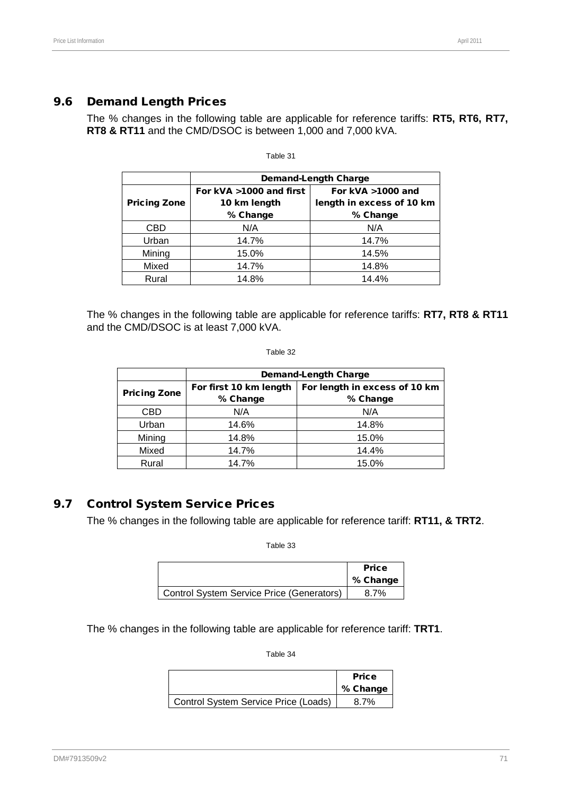# 9.6 Demand Length Prices

The % changes in the following table are applicable for reference tariffs: **RT5, RT6, RT7, RT8 & RT11** and the CMD/DSOC is between 1,000 and 7,000 kVA.

|                     | <b>Demand-Length Charge</b> |                           |  |  |  |  |
|---------------------|-----------------------------|---------------------------|--|--|--|--|
|                     | For kVA >1000 and first     | For kVA >1000 and         |  |  |  |  |
| <b>Pricing Zone</b> | 10 km length                | length in excess of 10 km |  |  |  |  |
|                     | % Change                    | % Change                  |  |  |  |  |
| CBD                 | N/A                         | N/A                       |  |  |  |  |
| Urban               | 14.7%                       | 14.7%                     |  |  |  |  |
| Mining              | 15.0%                       | 14.5%                     |  |  |  |  |
| Mixed               | 14.7%                       | 14.8%                     |  |  |  |  |
| Rural               | 14.8%                       | 14.4%                     |  |  |  |  |

Table 31

The % changes in the following table are applicable for reference tariffs: **RT7, RT8 & RT11** and the CMD/DSOC is at least 7,000 kVA.

Table 32

| <b>Demand-Length Charge</b> |                               |  |  |  |
|-----------------------------|-------------------------------|--|--|--|
| For first 10 km length      | For length in excess of 10 km |  |  |  |
| % Change                    | % Change                      |  |  |  |
| N/A                         | N/A                           |  |  |  |
| 14.6%                       | 14.8%                         |  |  |  |
| 14.8%                       | 15.0%                         |  |  |  |
| 14.7%                       | 14.4%                         |  |  |  |
| 14.7%                       | 15.0%                         |  |  |  |
|                             |                               |  |  |  |

# 9.7 Control System Service Prices

The % changes in the following table are applicable for reference tariff: **RT11, & TRT2**.

Table 33

|                                           | <b>Price</b><br>% Change |
|-------------------------------------------|--------------------------|
| Control System Service Price (Generators) | 8.7%                     |

The % changes in the following table are applicable for reference tariff: **TRT1**.

|                                      | <b>Price</b><br>% Change |
|--------------------------------------|--------------------------|
| Control System Service Price (Loads) | 8.7%                     |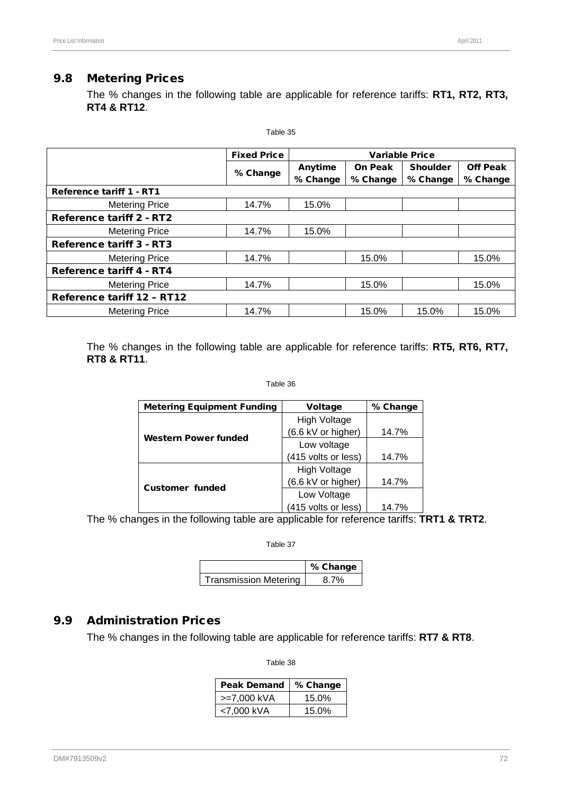# 9.8 Metering Prices

The % changes in the following table are applicable for reference tariffs: **RT1, RT2, RT3, RT4 & RT12**.

|                                   | Table 35                                    |          |                |                 |                 |
|-----------------------------------|---------------------------------------------|----------|----------------|-----------------|-----------------|
|                                   | <b>Fixed Price</b><br><b>Variable Price</b> |          |                |                 |                 |
|                                   |                                             | Anytime  | <b>On Peak</b> | <b>Shoulder</b> | <b>Off Peak</b> |
|                                   | % Change                                    | % Change | % Change       | % Change        | % Change        |
| <b>Reference tariff 1 - RT1</b>   |                                             |          |                |                 |                 |
| <b>Metering Price</b>             | 14.7%                                       | 15.0%    |                |                 |                 |
| Reference tariff 2 - RT2          |                                             |          |                |                 |                 |
| <b>Metering Price</b>             | 14.7%                                       | 15.0%    |                |                 |                 |
| Reference tariff 3 - RT3          |                                             |          |                |                 |                 |
| <b>Metering Price</b>             | 14.7%                                       |          | 15.0%          |                 | 15.0%           |
| <b>Reference tariff 4 - RT4</b>   |                                             |          |                |                 |                 |
| <b>Metering Price</b>             | 14.7%                                       |          | 15.0%          |                 | 15.0%           |
| <b>Reference tariff 12 - RT12</b> |                                             |          |                |                 |                 |
| <b>Metering Price</b>             | 14.7%                                       |          | 15.0%          | 15.0%           | 15.0%           |

The % changes in the following table are applicable for reference tariffs: **RT5, RT6, RT7, RT8 & RT11**.

#### Table 36

| <b>Metering Equipment Funding</b> | <b>Voltage</b>      | % Change |
|-----------------------------------|---------------------|----------|
|                                   | <b>High Voltage</b> |          |
| <b>Western Power funded</b>       | (6.6 kV or higher)  | 14.7%    |
|                                   | Low voltage         |          |
|                                   | (415 volts or less) | 14.7%    |
|                                   | High Voltage        |          |
| <b>Customer funded</b>            | (6.6 kV or higher)  | 14.7%    |
|                                   | Low Voltage         |          |
|                                   | (415 volts or less) | 14.7%    |

The % changes in the following table are applicable for reference tariffs: **TRT1 & TRT2**.

Table 37

|                       | % Change |
|-----------------------|----------|
| Transmission Metering | 8.7%     |

### 9.9 Administration Prices

The % changes in the following table are applicable for reference tariffs: **RT7 & RT8**.

| <b>Peak Demand</b> | % Change |
|--------------------|----------|
| >=7,000 kVA        | 15.0%    |
| <7.000 kVA         | $15.0\%$ |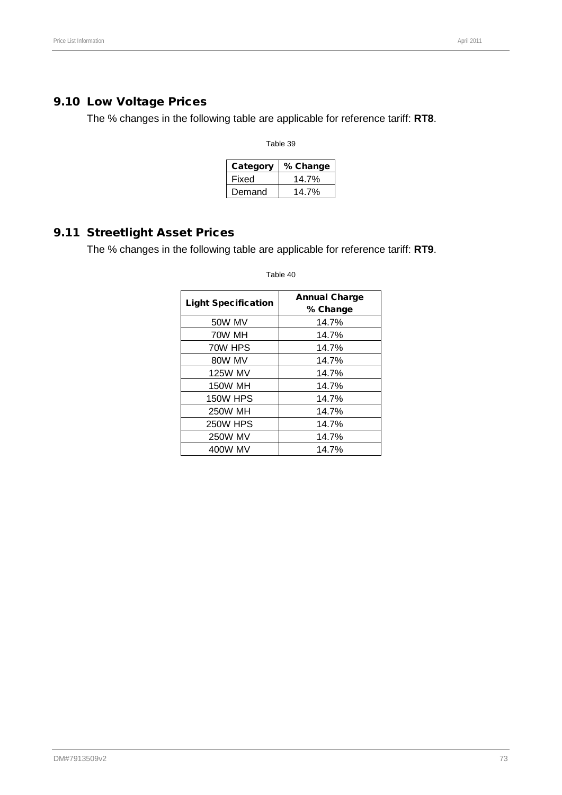#### 9.10 Low Voltage Prices

The % changes in the following table are applicable for reference tariff: **RT8**.

Table 39

| Category | % Change |  |  |
|----------|----------|--|--|
| Fixed    | 14.7%    |  |  |
| Demand   | 14 7%    |  |  |

### 9.11 Streetlight Asset Prices

The % changes in the following table are applicable for reference tariff: **RT9**.

Light Specification **Annual Charge** % Change 50W MV 14.7% 70W MH 14.7% 70W HPS 14.7% 80W MV | 14.7% 125W MV 14.7% 150W MH 14.7% 150W HPS 14.7% 250W MH 14.7% 250W HPS 14.7% 250W MV 14.7% 400W MV 14.7%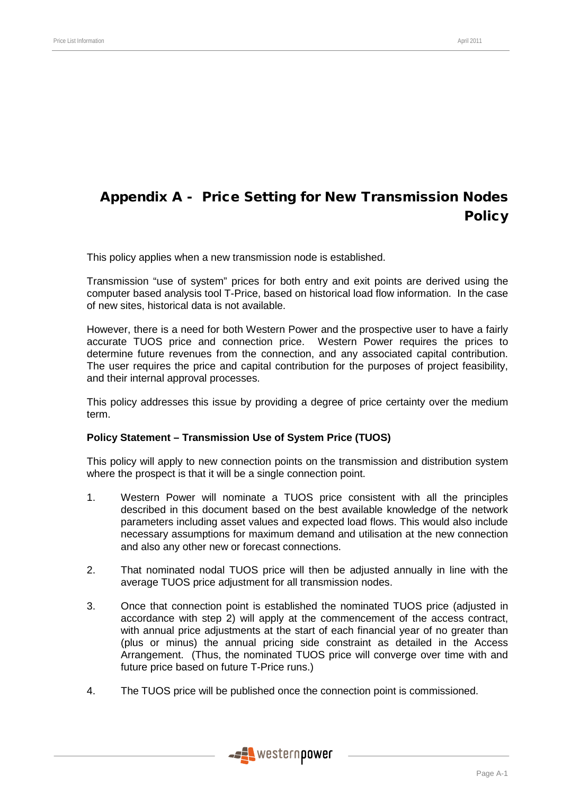# Appendix A - Price Setting for New Transmission Nodes **Policy**

This policy applies when a new transmission node is established.

Transmission "use of system" prices for both entry and exit points are derived using the computer based analysis tool T-Price, based on historical load flow information. In the case of new sites, historical data is not available.

However, there is a need for both Western Power and the prospective user to have a fairly accurate TUOS price and connection price. Western Power requires the prices to determine future revenues from the connection, and any associated capital contribution. The user requires the price and capital contribution for the purposes of project feasibility, and their internal approval processes.

This policy addresses this issue by providing a degree of price certainty over the medium term.

#### **Policy Statement – Transmission Use of System Price (TUOS)**

This policy will apply to new connection points on the transmission and distribution system where the prospect is that it will be a single connection point.

- 1. Western Power will nominate a TUOS price consistent with all the principles described in this document based on the best available knowledge of the network parameters including asset values and expected load flows. This would also include necessary assumptions for maximum demand and utilisation at the new connection and also any other new or forecast connections.
- 2. That nominated nodal TUOS price will then be adjusted annually in line with the average TUOS price adjustment for all transmission nodes.
- 3. Once that connection point is established the nominated TUOS price (adjusted in accordance with step 2) will apply at the commencement of the access contract, with annual price adjustments at the start of each financial year of no greater than (plus or minus) the annual pricing side constraint as detailed in the Access Arrangement. (Thus, the nominated TUOS price will converge over time with and future price based on future T-Price runs.)
- 4. The TUOS price will be published once the connection point is commissioned.